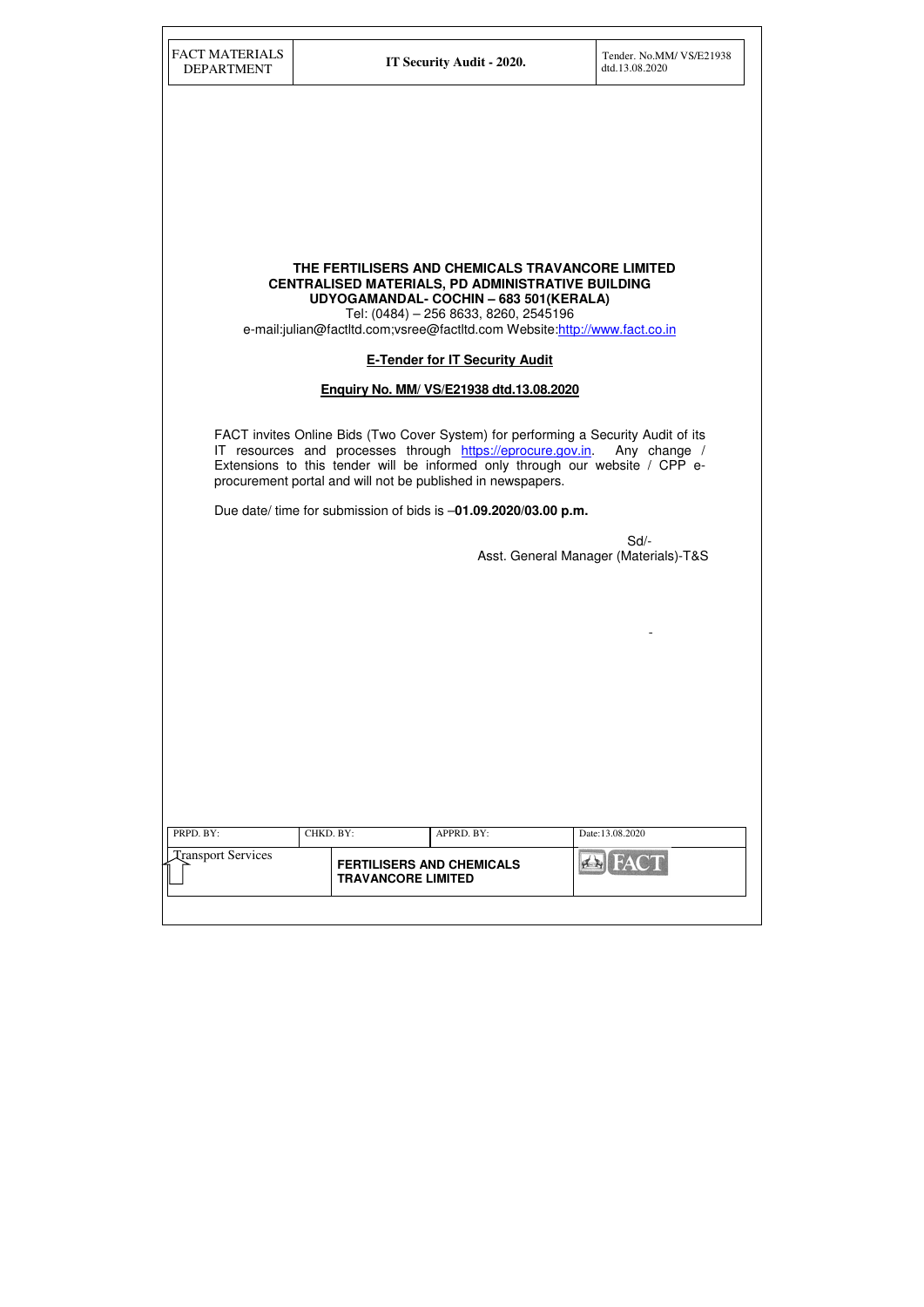| <b>FACT MATERIALS</b><br><b>DEPARTMENT</b> | IT Security Audit - 2020.                                                                                                                                                                                                                                                                                     | Tender. No.MM/ VS/E21938<br>dtd.13.08.2020  |
|--------------------------------------------|---------------------------------------------------------------------------------------------------------------------------------------------------------------------------------------------------------------------------------------------------------------------------------------------------------------|---------------------------------------------|
|                                            |                                                                                                                                                                                                                                                                                                               |                                             |
|                                            |                                                                                                                                                                                                                                                                                                               |                                             |
|                                            |                                                                                                                                                                                                                                                                                                               |                                             |
|                                            |                                                                                                                                                                                                                                                                                                               |                                             |
|                                            |                                                                                                                                                                                                                                                                                                               |                                             |
|                                            |                                                                                                                                                                                                                                                                                                               |                                             |
|                                            | THE FERTILISERS AND CHEMICALS TRAVANCORE LIMITED<br><b>CENTRALISED MATERIALS, PD ADMINISTRATIVE BUILDING</b><br>UDYOGAMANDAL- COCHIN - 683 501 (KERALA)<br>Tel: (0484) - 256 8633, 8260, 2545196<br>e-mail:julian@factItd.com;vsree@factItd.com Website:http://www.fact.co.in                                 |                                             |
|                                            | <b>E-Tender for IT Security Audit</b>                                                                                                                                                                                                                                                                         |                                             |
|                                            | Enquiry No. MM/ VS/E21938 dtd.13.08.2020                                                                                                                                                                                                                                                                      |                                             |
|                                            | FACT invites Online Bids (Two Cover System) for performing a Security Audit of its<br>IT resources and processes through https://eprocure.gov.in. Any change /<br>Extensions to this tender will be informed only through our website / CPP e-<br>procurement portal and will not be published in newspapers. |                                             |
|                                            | Due date/ time for submission of bids is -01.09.2020/03.00 p.m.                                                                                                                                                                                                                                               |                                             |
|                                            |                                                                                                                                                                                                                                                                                                               | Sd<br>Asst. General Manager (Materials)-T&S |
|                                            |                                                                                                                                                                                                                                                                                                               |                                             |
|                                            |                                                                                                                                                                                                                                                                                                               |                                             |
|                                            |                                                                                                                                                                                                                                                                                                               |                                             |
|                                            |                                                                                                                                                                                                                                                                                                               |                                             |
|                                            |                                                                                                                                                                                                                                                                                                               |                                             |
|                                            |                                                                                                                                                                                                                                                                                                               |                                             |
|                                            |                                                                                                                                                                                                                                                                                                               |                                             |
|                                            |                                                                                                                                                                                                                                                                                                               |                                             |
|                                            |                                                                                                                                                                                                                                                                                                               |                                             |
| PRPD. BY:                                  | CHKD. BY:<br>APPRD. BY:                                                                                                                                                                                                                                                                                       | Date:13.08.2020                             |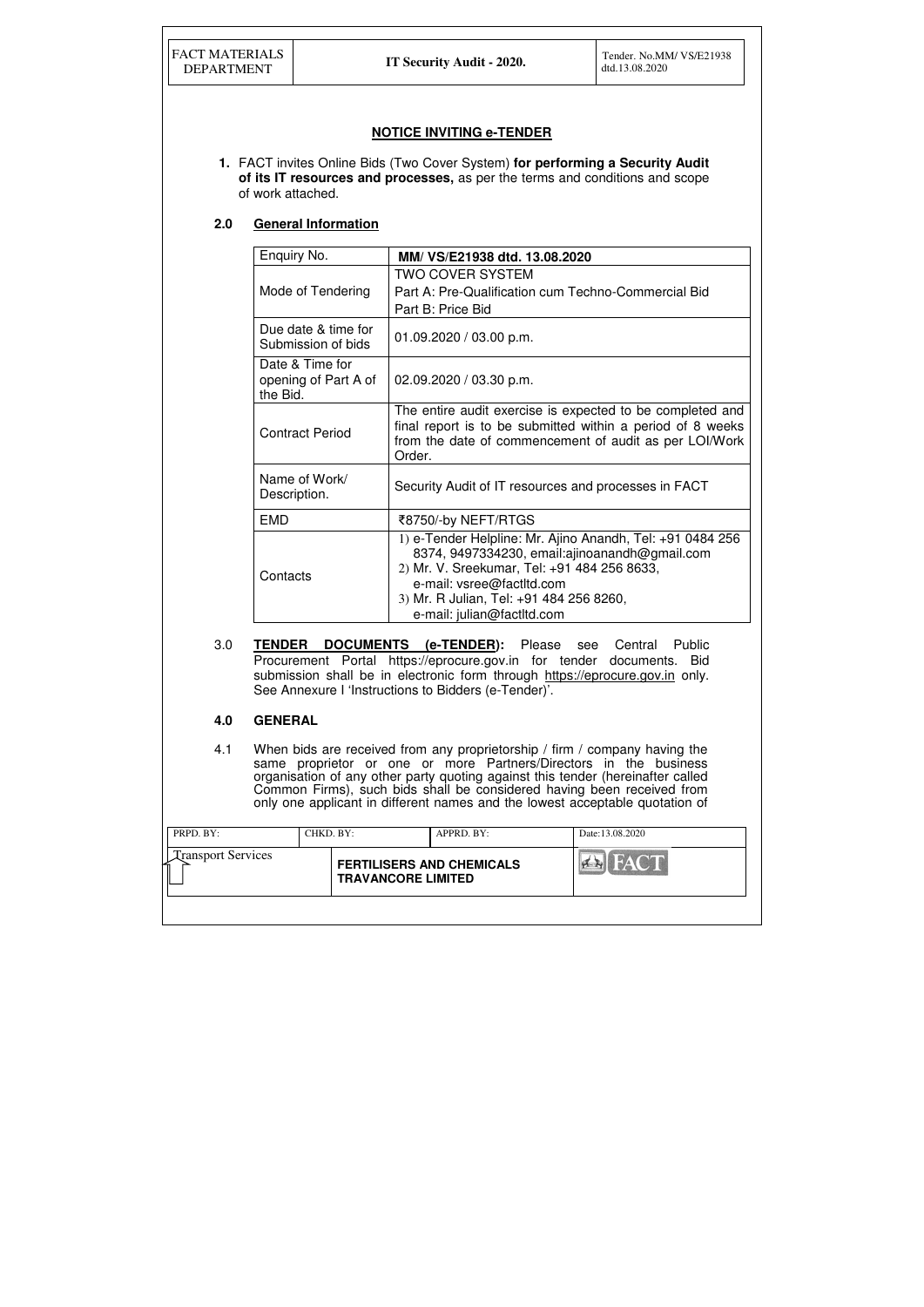| <b>FACT MATERIALS</b><br><b>DEPARTMENT</b> |                                                                                                                                                                                                                                                                                 |                                         | IT Security Audit - 2020.                                                                                                                                                                                                                                                                                                                                                                    | Tender. No.MM/ VS/E21938<br>dtd.13.08.2020                                                                                                                                        |  |
|--------------------------------------------|---------------------------------------------------------------------------------------------------------------------------------------------------------------------------------------------------------------------------------------------------------------------------------|-----------------------------------------|----------------------------------------------------------------------------------------------------------------------------------------------------------------------------------------------------------------------------------------------------------------------------------------------------------------------------------------------------------------------------------------------|-----------------------------------------------------------------------------------------------------------------------------------------------------------------------------------|--|
|                                            | of work attached.                                                                                                                                                                                                                                                               |                                         | <b>NOTICE INVITING e-TENDER</b><br>1. FACT invites Online Bids (Two Cover System) for performing a Security Audit<br>of its IT resources and processes, as per the terms and conditions and scope                                                                                                                                                                                            |                                                                                                                                                                                   |  |
| 2.0                                        |                                                                                                                                                                                                                                                                                 | <b>General Information</b>              |                                                                                                                                                                                                                                                                                                                                                                                              |                                                                                                                                                                                   |  |
|                                            | Enquiry No.                                                                                                                                                                                                                                                                     |                                         | MM/ VS/E21938 dtd. 13.08.2020                                                                                                                                                                                                                                                                                                                                                                |                                                                                                                                                                                   |  |
|                                            | Mode of Tendering<br>Due date & time for<br>Submission of bids                                                                                                                                                                                                                  |                                         | <b>TWO COVER SYSTEM</b><br>Part A: Pre-Qualification cum Techno-Commercial Bid<br>Part B: Price Bid                                                                                                                                                                                                                                                                                          |                                                                                                                                                                                   |  |
|                                            |                                                                                                                                                                                                                                                                                 |                                         | 01.09.2020 / 03.00 p.m.                                                                                                                                                                                                                                                                                                                                                                      |                                                                                                                                                                                   |  |
|                                            | the Bid.                                                                                                                                                                                                                                                                        | Date & Time for<br>opening of Part A of | 02.09.2020 / 03.30 p.m.                                                                                                                                                                                                                                                                                                                                                                      |                                                                                                                                                                                   |  |
|                                            |                                                                                                                                                                                                                                                                                 | <b>Contract Period</b>                  | Order.                                                                                                                                                                                                                                                                                                                                                                                       | The entire audit exercise is expected to be completed and<br>final report is to be submitted within a period of 8 weeks<br>from the date of commencement of audit as per LOI/Work |  |
|                                            | Description.                                                                                                                                                                                                                                                                    | Name of Work/                           | Security Audit of IT resources and processes in FACT                                                                                                                                                                                                                                                                                                                                         |                                                                                                                                                                                   |  |
|                                            | <b>EMD</b>                                                                                                                                                                                                                                                                      |                                         | ₹8750/-by NEFT/RTGS                                                                                                                                                                                                                                                                                                                                                                          |                                                                                                                                                                                   |  |
|                                            | Contacts                                                                                                                                                                                                                                                                        |                                         | 2) Mr. V. Sreekumar, Tel: +91 484 256 8633,<br>e-mail: vsree@factltd.com<br>3) Mr. R Julian, Tel: +91 484 256 8260,<br>e-mail: julian@factltd.com                                                                                                                                                                                                                                            | 1) e-Tender Helpline: Mr. Ajino Anandh, Tel: +91 0484 256<br>8374, 9497334230, email:ajinoanandh@gmail.com                                                                        |  |
| 3.0                                        | TENDER DOCUMENTS (e-TENDER): Please<br>Central<br>Public<br>see<br>Procurement Portal https://eprocure.gov.in for tender documents. Bid<br>submission shall be in electronic form through https://eprocure.gov.in only.<br>See Annexure I 'Instructions to Bidders (e-Tender)'. |                                         |                                                                                                                                                                                                                                                                                                                                                                                              |                                                                                                                                                                                   |  |
| 4.0                                        | <b>GENERAL</b>                                                                                                                                                                                                                                                                  |                                         |                                                                                                                                                                                                                                                                                                                                                                                              |                                                                                                                                                                                   |  |
| 4.1                                        |                                                                                                                                                                                                                                                                                 |                                         | When bids are received from any proprietorship / firm / company having the<br>same proprietor or one or more Partners/Directors in the business<br>organisation of any other party quoting against this tender (hereinafter called<br>Common Firms), such bids shall be considered having been received from<br>only one applicant in different names and the lowest acceptable quotation of |                                                                                                                                                                                   |  |
| PRPD. BY:                                  |                                                                                                                                                                                                                                                                                 | CHKD. BY:                               | APPRD. BY:                                                                                                                                                                                                                                                                                                                                                                                   | Date:13.08.2020                                                                                                                                                                   |  |
| <b>Transport Services</b>                  |                                                                                                                                                                                                                                                                                 |                                         | <b>FERTILISERS AND CHEMICALS</b><br><b>TRAVANCORE LIMITED</b>                                                                                                                                                                                                                                                                                                                                | AN PA                                                                                                                                                                             |  |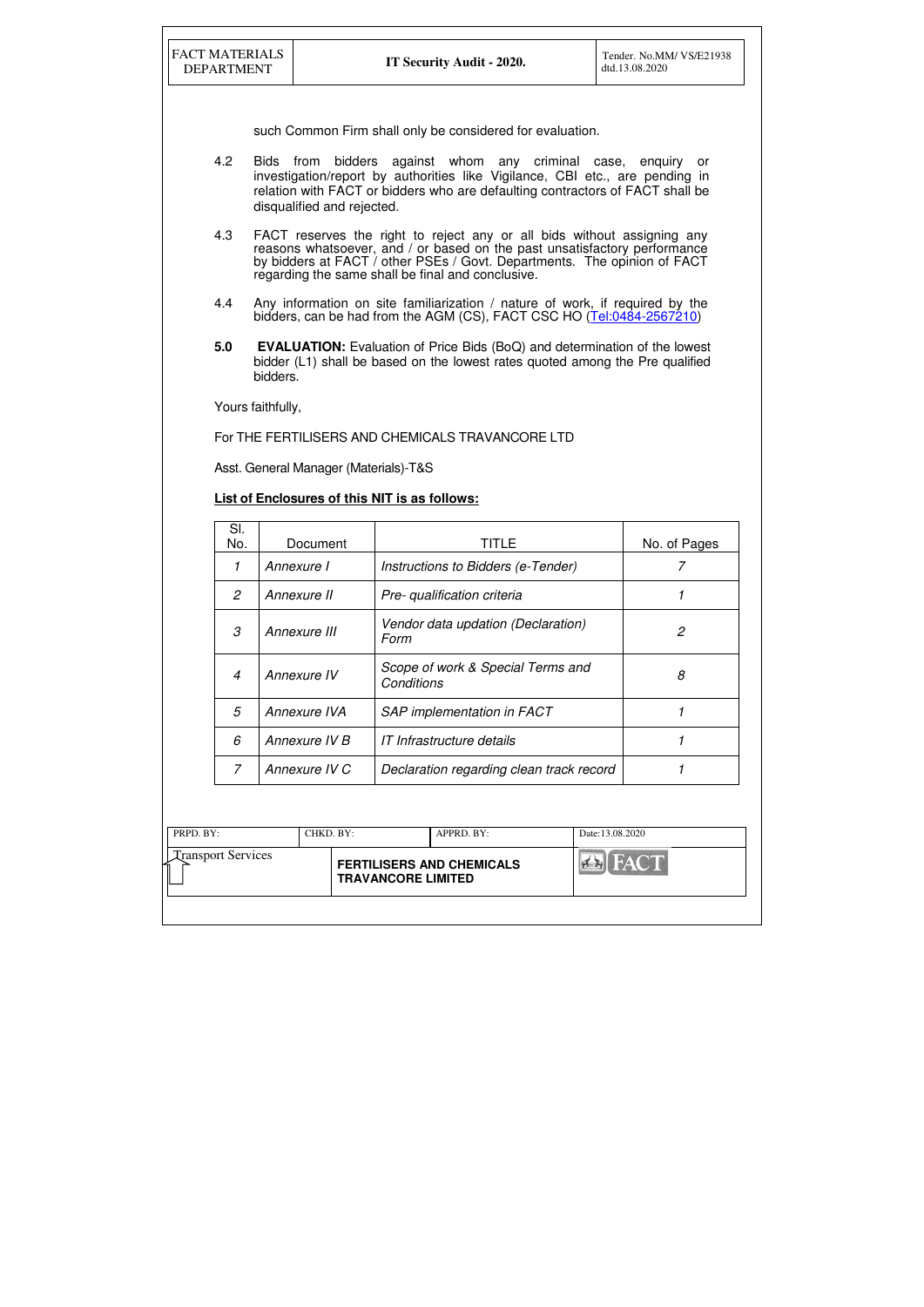| <b>Transport Services</b><br><b>HACT</b><br><b>FERTILISERS AND CHEMICALS</b> | PRPD. BY: | CHKD. BY: | $APPRD$ . $BY$ : | Date:13.08.2020 |
|------------------------------------------------------------------------------|-----------|-----------|------------------|-----------------|
| <b>TRAVANCORE LIMITED</b>                                                    |           |           |                  |                 |

| <b>DEPARTMENT</b> | Tender, No.MM/VS/E21938<br>dtd.13.08.2020                                                                                                                                                                                                                                             |                                       |                                                                                                                                                                    |                |  |  |  |
|-------------------|---------------------------------------------------------------------------------------------------------------------------------------------------------------------------------------------------------------------------------------------------------------------------------------|---------------------------------------|--------------------------------------------------------------------------------------------------------------------------------------------------------------------|----------------|--|--|--|
|                   |                                                                                                                                                                                                                                                                                       |                                       | such Common Firm shall only be considered for evaluation.                                                                                                          |                |  |  |  |
| 4.2               | Bids from<br>bidders against whom any criminal case, enquiry or<br>investigation/report by authorities like Vigilance, CBI etc., are pending in<br>relation with FACT or bidders who are defaulting contractors of FACT shall be<br>disqualified and rejected.                        |                                       |                                                                                                                                                                    |                |  |  |  |
| 4.3               | FACT reserves the right to reject any or all bids without assigning any<br>reasons whatsoever, and / or based on the past unsatisfactory performance<br>by bidders at FACT / other PSEs / Govt. Departments. The opinion of FACT<br>regarding the same shall be final and conclusive. |                                       |                                                                                                                                                                    |                |  |  |  |
| 4.4               |                                                                                                                                                                                                                                                                                       |                                       | Any information on site familiarization / nature of work, if required by the<br>bidders, can be had from the AGM (CS), FACT CSC HO (Tel:0484-2567210)              |                |  |  |  |
| 5.0               |                                                                                                                                                                                                                                                                                       |                                       | <b>EVALUATION:</b> Evaluation of Price Bids (BoQ) and determination of the lowest<br>bidder (L1) shall be based on the lowest rates quoted among the Pre qualified |                |  |  |  |
|                   | bidders.                                                                                                                                                                                                                                                                              |                                       |                                                                                                                                                                    |                |  |  |  |
|                   | Yours faithfully,                                                                                                                                                                                                                                                                     |                                       |                                                                                                                                                                    |                |  |  |  |
|                   |                                                                                                                                                                                                                                                                                       |                                       | For THE FERTILISERS AND CHEMICALS TRAVANCORE LTD                                                                                                                   |                |  |  |  |
|                   |                                                                                                                                                                                                                                                                                       | Asst. General Manager (Materials)-T&S |                                                                                                                                                                    |                |  |  |  |
|                   |                                                                                                                                                                                                                                                                                       |                                       | <b>List of Enclosures of this NIT is as follows:</b>                                                                                                               |                |  |  |  |
| SI.<br>No.        |                                                                                                                                                                                                                                                                                       | Document                              | <b>TITLE</b>                                                                                                                                                       | No. of Pages   |  |  |  |
| 1                 |                                                                                                                                                                                                                                                                                       | Annexure I                            | Instructions to Bidders (e-Tender)                                                                                                                                 | 7              |  |  |  |
| $\mathfrak{2}$    |                                                                                                                                                                                                                                                                                       | Annexure II                           | Pre- qualification criteria                                                                                                                                        | $\mathcal I$   |  |  |  |
| $\mathcal S$      |                                                                                                                                                                                                                                                                                       | Annexure III                          | Vendor data updation (Declaration)<br>Form                                                                                                                         | $\mathfrak{D}$ |  |  |  |
| $\overline{4}$    |                                                                                                                                                                                                                                                                                       | Annexure IV                           | Scope of work & Special Terms and<br>Conditions                                                                                                                    | 8              |  |  |  |
| 5                 |                                                                                                                                                                                                                                                                                       | Annexure IVA                          | <b>SAP</b> implementation in FACT                                                                                                                                  | $\mathcal I$   |  |  |  |
| 6                 |                                                                                                                                                                                                                                                                                       | Annexure IV B                         | IT Infrastructure details                                                                                                                                          | 1              |  |  |  |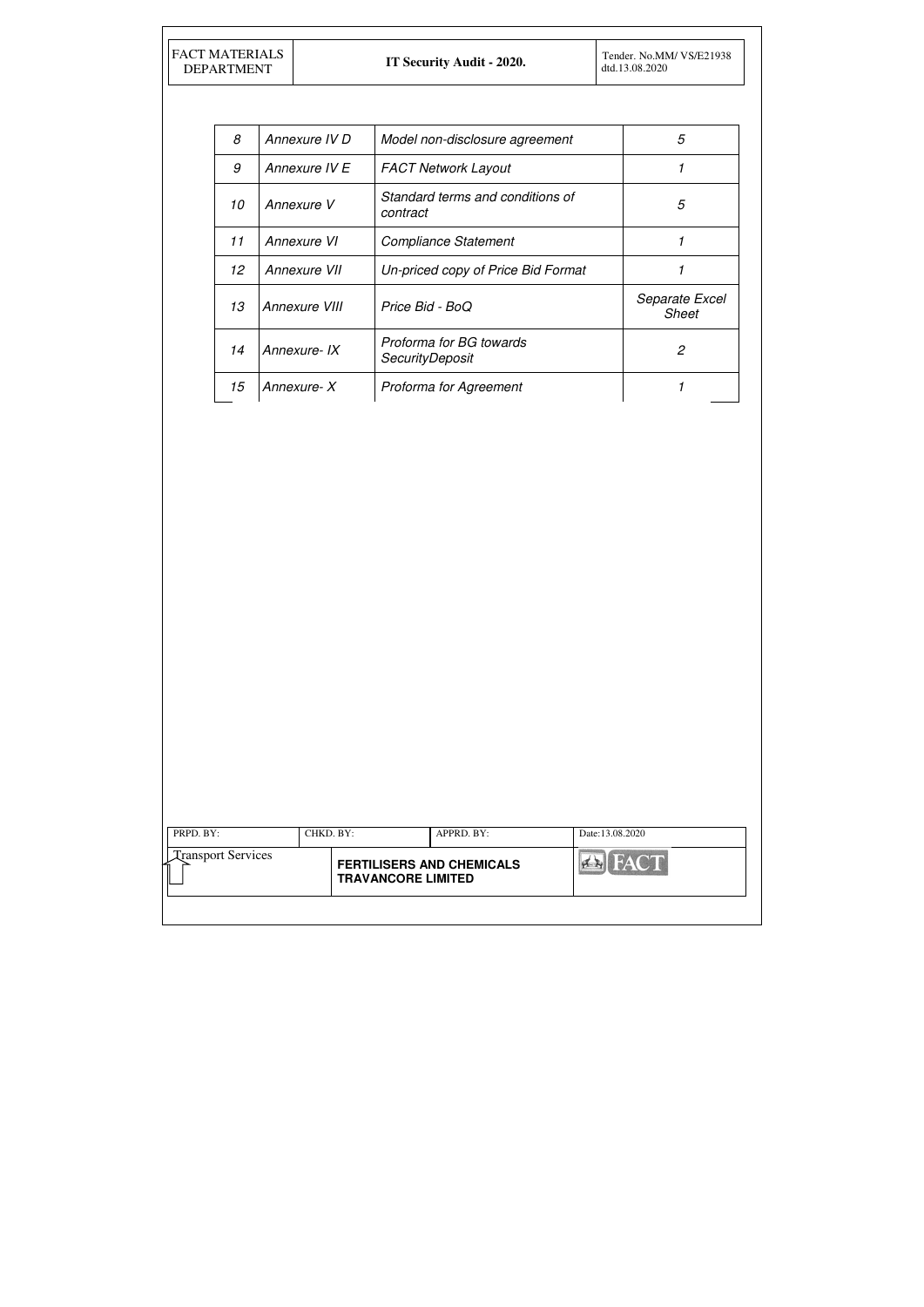| <b>FACT MATERIALS</b> |
|-----------------------|
| <b>DEPARTMENT</b>     |

| 8  | Annexure IV D | Model non-disclosure agreement                    | 5                              |
|----|---------------|---------------------------------------------------|--------------------------------|
| 9  | Annexure IV E | <b>FACT Network Layout</b>                        |                                |
| 10 | Annexure V    | Standard terms and conditions of<br>contract      | 5                              |
| 11 | Annexure VI   | <b>Compliance Statement</b>                       | 1                              |
| 12 | Annexure VII  | Un-priced copy of Price Bid Format                |                                |
| 13 | Annexure VIII | Price Bid - BoQ                                   | Separate Excel<br><b>Sheet</b> |
| 14 | Annexure-IX   | Proforma for BG towards<br><b>SecurityDeposit</b> | 2                              |
| 15 | Annexure-X    | Proforma for Agreement                            |                                |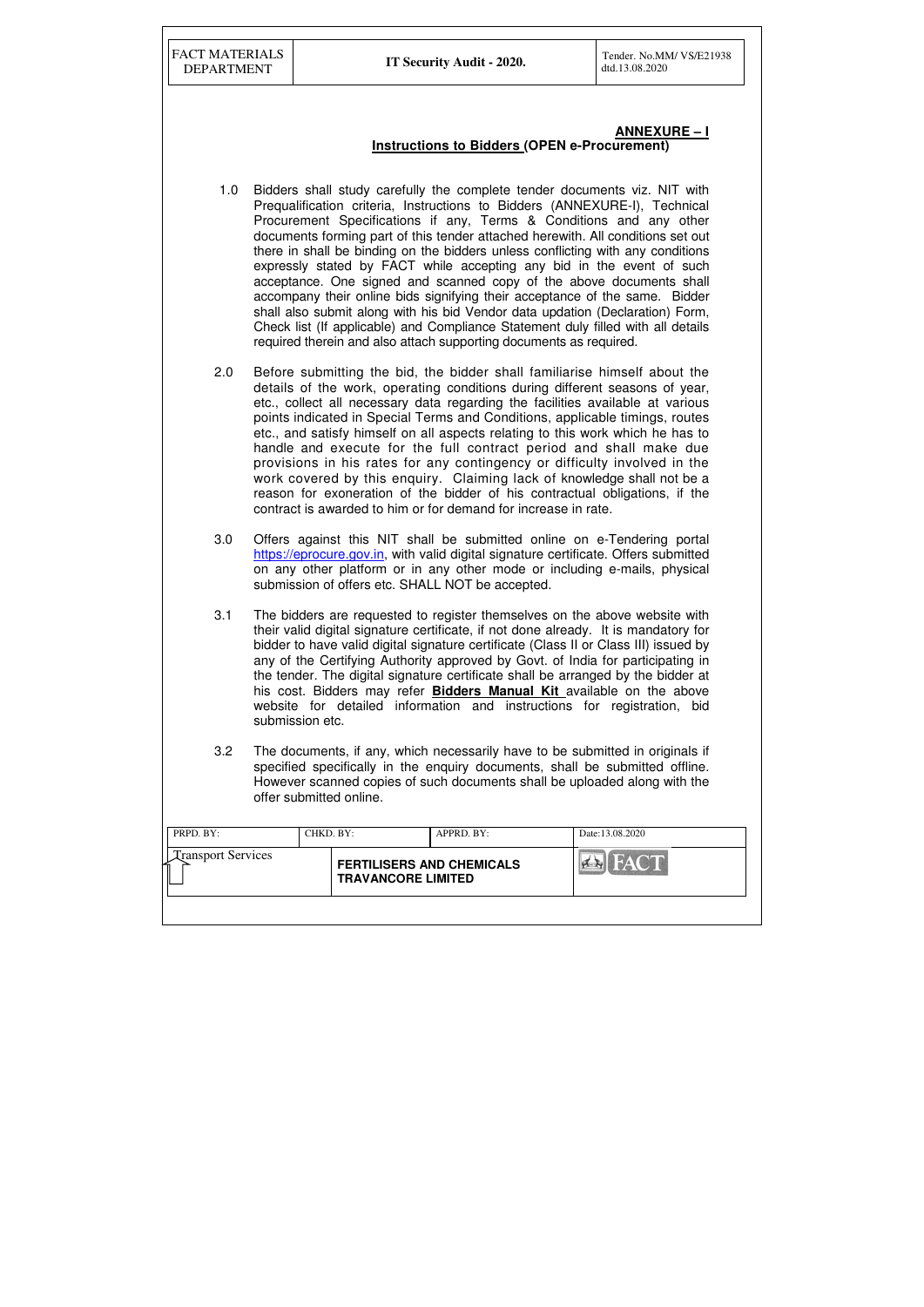| FACT MATERIALS    |
|-------------------|
| <b>DEPARTMENT</b> |

| PRPD. BY:                 | CHKD. BY: |                                                               | $APPRD$ . $BY$ : | Date:13.08.2020 |
|---------------------------|-----------|---------------------------------------------------------------|------------------|-----------------|
| <b>Transport Services</b> |           | <b>FERTILISERS AND CHEMICALS</b><br><b>TRAVANCORE LIMITED</b> |                  | <b>FACT</b>     |
|                           |           |                                                               |                  |                 |

### **ANNEXURE – I Instructions to Bidders (OPEN e-Procurement)**

- 1.0 Bidders shall study carefully the complete tender documents viz. NIT with Prequalification criteria, Instructions to Bidders (ANNEXURE-I), Technical Procurement Specifications if any, Terms & Conditions and any other documents forming part of this tender attached herewith. All conditions set out there in shall be binding on the bidders unless conflicting with any conditions expressly stated by FACT while accepting any bid in the event of such acceptance. One signed and scanned copy of the above documents shall accompany their online bids signifying their acceptance of the same. Bidder shall also submit along with his bid Vendor data updation (Declaration) Form, Check list (If applicable) and Compliance Statement duly filled with all details required therein and also attach supporting documents as required.
- 2.0 Before submitting the bid, the bidder shall familiarise himself about the details of the work, operating conditions during different seasons of year, etc., collect all necessary data regarding the facilities available at various points indicated in Special Terms and Conditions, applicable timings, routes etc., and satisfy himself on all aspects relating to this work which he has to handle and execute for the full contract period and shall make due provisions in his rates for any contingency or difficulty involved in the work covered by this enquiry. Claiming lack of knowledge shall not be a reason for exoneration of the bidder of his contractual obligations, if the contract is awarded to him or for demand for increase in rate.
- 3.0 Offers against this NIT shall be submitted online on e-Tendering portal https://eprocure.gov.in, with valid digital signature certificate. Offers submitted on any other platform or in any other mode or including e-mails, physical submission of offers etc. SHALL NOT be accepted.
- 3.1 The bidders are requested to register themselves on the above website with their valid digital signature certificate, if not done already. It is mandatory for bidder to have valid digital signature certificate (Class II or Class III) issued by any of the Certifying Authority approved by Govt. of India for participating in the tender. The digital signature certificate shall be arranged by the bidder at his cost. Bidders may refer **Bidders Manual Kit** available on the above website for detailed information and instructions for registration, bid submission etc.
- 3.2 The documents, if any, which necessarily have to be submitted in originals if specified specifically in the enquiry documents, shall be submitted offline. However scanned copies of such documents shall be uploaded along with the offer submitted online.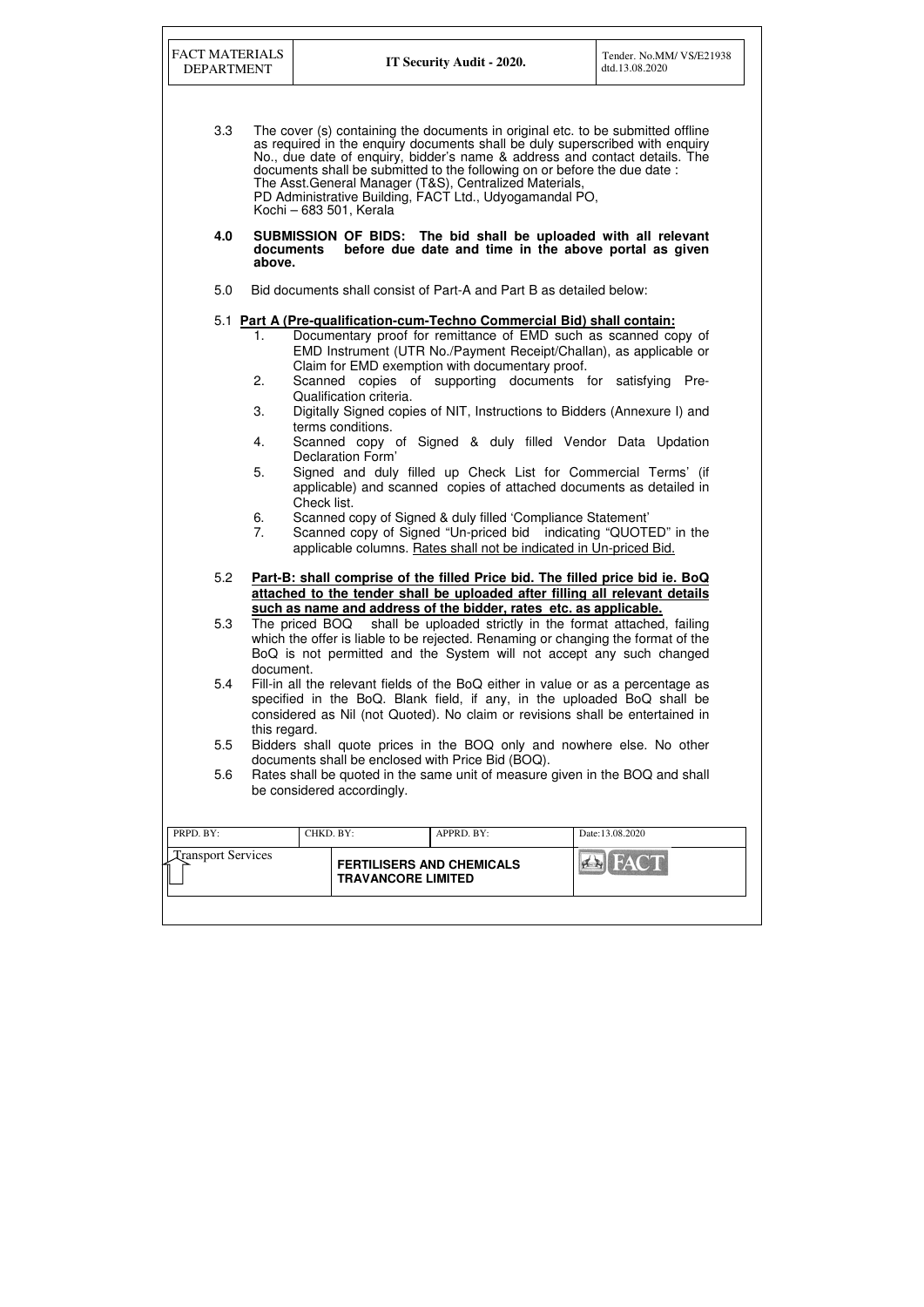| <b>FACT MATERIALS</b><br><b>DEPARTMENT</b> |                                              | IT Security Audit - 2020.                                                                                                                                                                                                                                                                                                                                                                                                                        | Tender. No.MM/VS/E21938<br>dtd.13.08.2020 |
|--------------------------------------------|----------------------------------------------|--------------------------------------------------------------------------------------------------------------------------------------------------------------------------------------------------------------------------------------------------------------------------------------------------------------------------------------------------------------------------------------------------------------------------------------------------|-------------------------------------------|
| 3.3                                        | Kochi - 683 501, Kerala                      | The cover (s) containing the documents in original etc. to be submitted offline<br>as required in the enquiry documents shall be duly superscribed with enquiry<br>No., due date of enquiry, bidder's name & address and contact details. The<br>documents shall be submitted to the following on or before the due date :<br>The Asst. General Manager (T&S), Centralized Materials,<br>PD Administrative Building, FACT Ltd., Udyogamandal PO, |                                           |
| 4.0                                        | documents<br>above.                          | SUBMISSION OF BIDS: The bid shall be uploaded with all relevant<br>before due date and time in the above portal as given                                                                                                                                                                                                                                                                                                                         |                                           |
| 5.0                                        |                                              | Bid documents shall consist of Part-A and Part B as detailed below:                                                                                                                                                                                                                                                                                                                                                                              |                                           |
| 1.                                         |                                              | 5.1 Part A (Pre-qualification-cum-Techno Commercial Bid) shall contain:<br>Documentary proof for remittance of EMD such as scanned copy of<br>EMD Instrument (UTR No./Payment Receipt/Challan), as applicable or                                                                                                                                                                                                                                 |                                           |
| 2.                                         |                                              | Claim for EMD exemption with documentary proof.<br>Scanned copies of supporting documents for satisfying Pre-                                                                                                                                                                                                                                                                                                                                    |                                           |
| 3.                                         | Qualification criteria.<br>terms conditions. | Digitally Signed copies of NIT, Instructions to Bidders (Annexure I) and                                                                                                                                                                                                                                                                                                                                                                         |                                           |
| 4.                                         | Declaration Form'                            | Scanned copy of Signed & duly filled Vendor Data Updation                                                                                                                                                                                                                                                                                                                                                                                        |                                           |
| 5.                                         | Check list.                                  | Signed and duly filled up Check List for Commercial Terms' (if<br>applicable) and scanned copies of attached documents as detailed in                                                                                                                                                                                                                                                                                                            |                                           |
| 6.<br>7.                                   |                                              | Scanned copy of Signed & duly filled 'Compliance Statement'<br>Scanned copy of Signed "Un-priced bid indicating "QUOTED" in the<br>applicable columns. Rates shall not be indicated in Un-priced Bid.                                                                                                                                                                                                                                            |                                           |
| 5.2                                        |                                              | Part-B: shall comprise of the filled Price bid. The filled price bid ie. BoQ<br>attached to the tender shall be uploaded after filling all relevant details                                                                                                                                                                                                                                                                                      |                                           |
| 5.3                                        | document.                                    | such as name and address of the bidder, rates etc. as applicable.<br>The priced BOQ shall be uploaded strictly in the format attached, failing<br>which the offer is liable to be rejected. Renaming or changing the format of the<br>BoQ is not permitted and the System will not accept any such changed                                                                                                                                       |                                           |
| 5.4                                        | this regard.                                 | Fill-in all the relevant fields of the BoQ either in value or as a percentage as<br>specified in the BoQ. Blank field, if any, in the uploaded BoQ shall be<br>considered as Nil (not Quoted). No claim or revisions shall be entertained in                                                                                                                                                                                                     |                                           |
| 5.5                                        |                                              | Bidders shall quote prices in the BOQ only and nowhere else. No other<br>documents shall be enclosed with Price Bid (BOQ).                                                                                                                                                                                                                                                                                                                       |                                           |
| 5.6                                        | be considered accordingly.                   | Rates shall be quoted in the same unit of measure given in the BOQ and shall                                                                                                                                                                                                                                                                                                                                                                     |                                           |
| PRPD. BY:                                  | CHKD. BY:                                    | APPRD. BY:                                                                                                                                                                                                                                                                                                                                                                                                                                       | Date:13.08.2020                           |
| <b>Transport Services</b>                  |                                              | <b>FERTILISERS AND CHEMICALS</b><br><b>TRAVANCORE LIMITED</b>                                                                                                                                                                                                                                                                                                                                                                                    |                                           |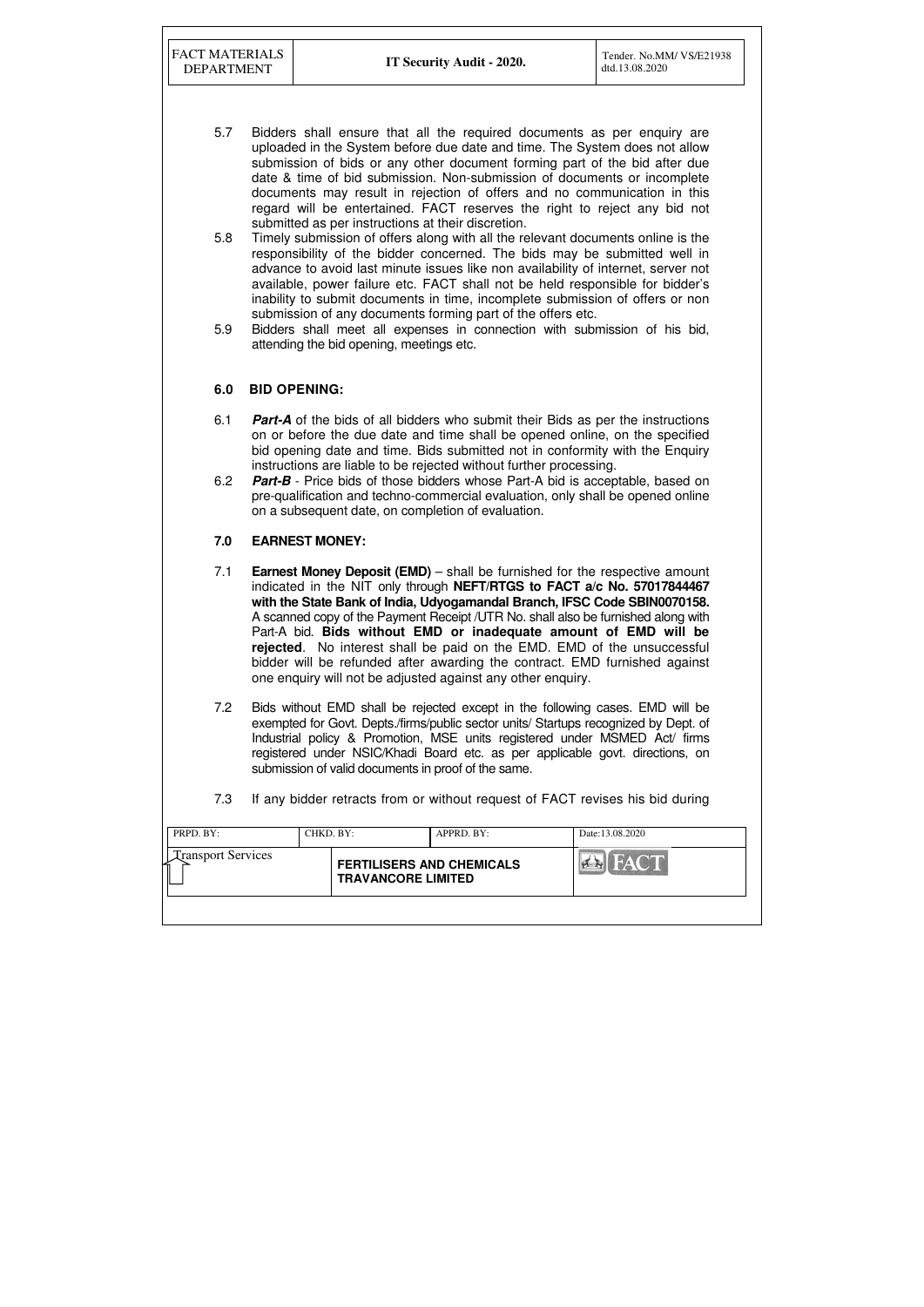FACT MATERIALS

|                                                                                            | Date:13.08.2020          |
|--------------------------------------------------------------------------------------------|--------------------------|
| <b>Transport Services</b><br><b>FERTILISERS AND CHEMICALS</b><br><b>TRAVANCORE LIMITED</b> | FACT<br>$H_{\mathbb{Z}}$ |

- 5.7 Bidders shall ensure that all the required documents as per enquiry are uploaded in the System before due date and time. The System does not allow submission of bids or any other document forming part of the bid after due date & time of bid submission. Non-submission of documents or incomplete documents may result in rejection of offers and no communication in this regard will be entertained. FACT reserves the right to reject any bid not submitted as per instructions at their discretion.
- 5.8 Timely submission of offers along with all the relevant documents online is the responsibility of the bidder concerned. The bids may be submitted well in advance to avoid last minute issues like non availability of internet, server not available, power failure etc. FACT shall not be held responsible for bidder's inability to submit documents in time, incomplete submission of offers or non submission of any documents forming part of the offers etc.
- 5.9 Bidders shall meet all expenses in connection with submission of his bid, attending the bid opening, meetings etc.

### **6.0 BID OPENING:**

- 6.1 **Part-A** of the bids of all bidders who submit their Bids as per the instructions on or before the due date and time shall be opened online, on the specified bid opening date and time. Bids submitted not in conformity with the Enquiry instructions are liable to be rejected without further processing.
- 6.2 **Part-B** Price bids of those bidders whose Part-A bid is acceptable, based on pre-qualification and techno-commercial evaluation, only shall be opened online on a subsequent date, on completion of evaluation.

#### **7.0 EARNEST MONEY:**

- 7.1 **Earnest Money Deposit (EMD)** shall be furnished for the respective amount indicated in the NIT only through **NEFT/RTGS to FACT a/c No. 57017844467 with the State Bank of India, Udyogamandal Branch, IFSC Code SBIN0070158.**  A scanned copy of the Payment Receipt /UTR No. shall also be furnished along with Part-A bid. **Bids without EMD or inadequate amount of EMD will be rejected**. No interest shall be paid on the EMD. EMD of the unsuccessful bidder will be refunded after awarding the contract. EMD furnished against one enquiry will not be adjusted against any other enquiry.
- 7.2 Bids without EMD shall be rejected except in the following cases. EMD will be exempted for Govt. Depts./firms/public sector units/ Startups recognized by Dept. of Industrial policy & Promotion, MSE units registered under MSMED Act/ firms registered under NSIC/Khadi Board etc. as per applicable govt. directions, on submission of valid documents in proof of the same.
- 7.3 If any bidder retracts from or without request of FACT revises his bid during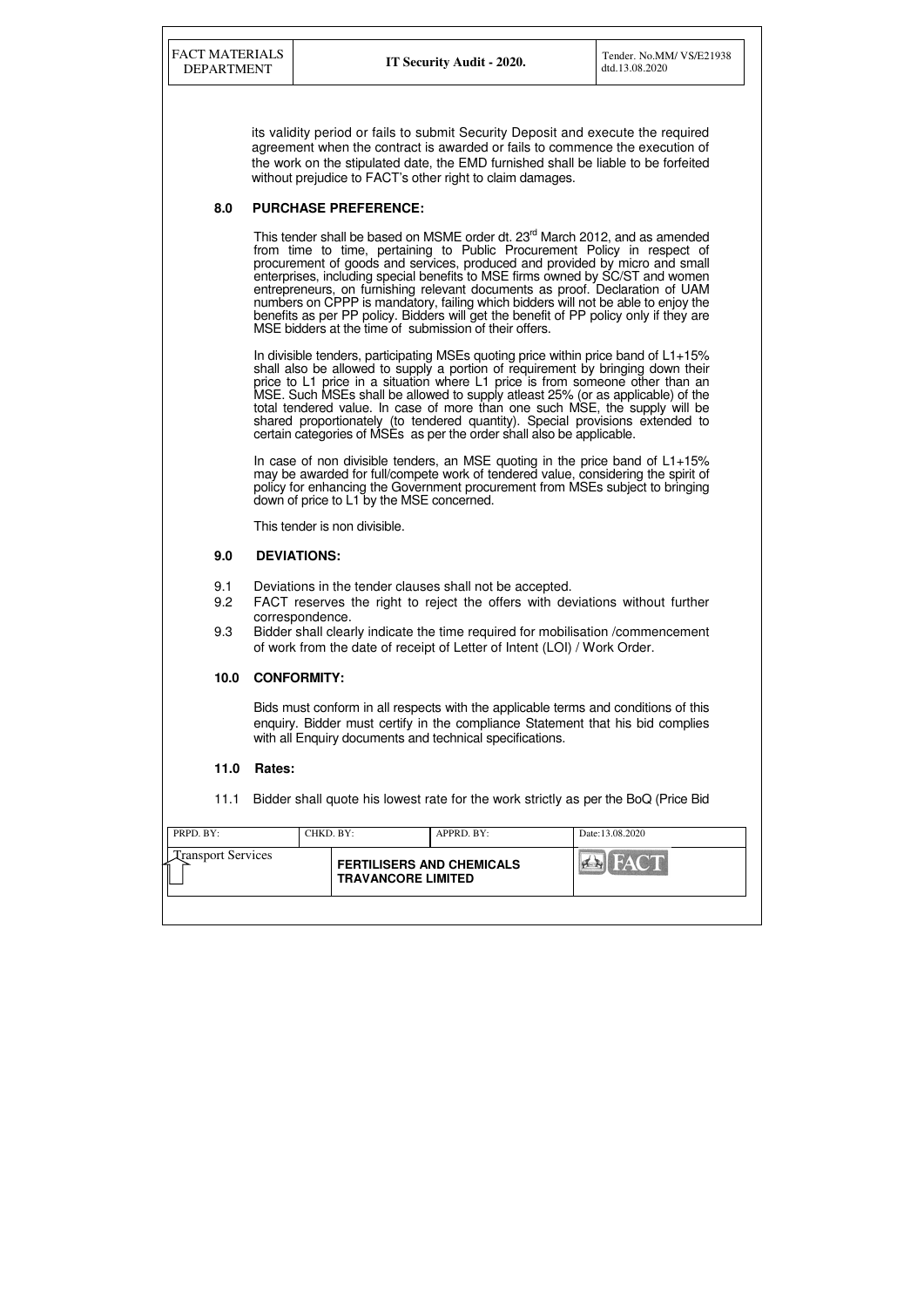| PRPD. BY:<br>CHKD. BY:    |                           | APPRD. BY:                       | Date:13.08.2020           |
|---------------------------|---------------------------|----------------------------------|---------------------------|
| <b>Transport Services</b> | <b>TRAVANCORE LIMITED</b> | <b>FERTILISERS AND CHEMICALS</b> | EATCH<br>$\left  \right $ |

its validity period or fails to submit Security Deposit and execute the required agreement when the contract is awarded or fails to commence the execution of the work on the stipulated date, the EMD furnished shall be liable to be forfeited without prejudice to FACT's other right to claim damages.

## **8.0 PURCHASE PREFERENCE:**

This tender shall be based on MSME order dt. 23<sup>rd</sup> March 2012, and as amended from time to time, pertaining to Public Procurement Policy in respect of procurement of goods and services, produced and provided by micro and small enterprises, including special benefits to MSE firms owned by SC/ST and women entrepreneurs, on furnishing relevant documents as proof. Declaration of UAM numbers on CPPP is mandatory, failing which bidders will not be able to enjoy the benefits as per PP policy. Bidders will get the benefit of PP policy only if they are MSE bidders at the time of submission of their offers.

In divisible tenders, participating MSEs quoting price within price band of  $L1+15%$ shall also be allowed to supply a portion of requirement by bringing down their price to L1 price in a situation where L1 price is from someone other than an MSE. Such MSEs shall be allowed to supply atleast 25% (or as applicable) of the total tendered value. In case of more than one such MSE, the supply will be shared proportionately (to tendered quantity). Special provisions extended to certain categories of MSEs as per the order shall also be applicable.

In case of non divisible tenders, an MSE quoting in the price band of  $L1+15%$ may be awarded for full/compete work of tendered value, considering the spirit of policy for enhancing the Government procurement from MSEs subject to bringing down of price to L1 by the MSE concerned.

This tender is non divisible.

## **9.0 DEVIATIONS:**

- 9.1 Deviations in the tender clauses shall not be accepted.
- 9.2 FACT reserves the right to reject the offers with deviations without further correspondence.
- 9.3 Bidder shall clearly indicate the time required for mobilisation /commencement of work from the date of receipt of Letter of Intent (LOI) / Work Order.

## **10.0 CONFORMITY:**

Bids must conform in all respects with the applicable terms and conditions of this enquiry. Bidder must certify in the compliance Statement that his bid complies with all Enquiry documents and technical specifications.

## **11.0 Rates:**

11.1 Bidder shall quote his lowest rate for the work strictly as per the BoQ (Price Bid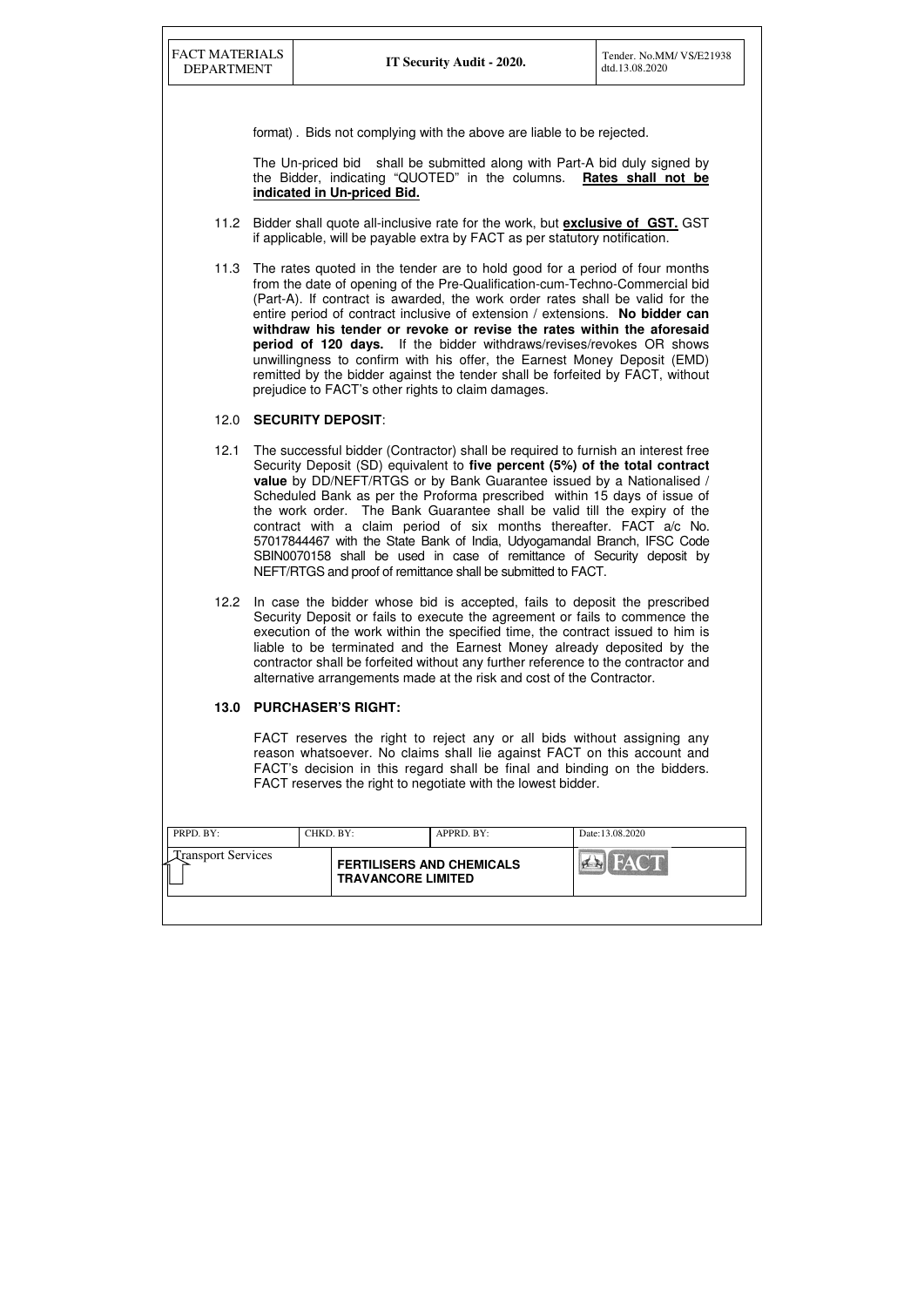| PRPD. BY:                 | CHKD. BY: |                                                               | APPRD. BY: | Date:13.08.2020               |
|---------------------------|-----------|---------------------------------------------------------------|------------|-------------------------------|
| <b>Transport Services</b> |           | <b>FERTILISERS AND CHEMICALS</b><br><b>TRAVANCORE LIMITED</b> |            | <b>FACT</b><br>H <sub>1</sub> |
|                           |           |                                                               |            |                               |

format) . Bids not complying with the above are liable to be rejected.

The Un-priced bid shall be submitted along with Part-A bid duly signed by the Bidder, indicating "QUOTED" in the columns. **Rates shall not be indicated in Un-priced Bid.** 

- 11.2 Bidder shall quote all-inclusive rate for the work, but **exclusive of GST.** GST if applicable, will be payable extra by FACT as per statutory notification.
- 11.3 The rates quoted in the tender are to hold good for a period of four months from the date of opening of the Pre-Qualification-cum-Techno-Commercial bid (Part-A). If contract is awarded, the work order rates shall be valid for the entire period of contract inclusive of extension / extensions. **No bidder can withdraw his tender or revoke or revise the rates within the aforesaid period of 120 days.** If the bidder withdraws/revises/revokes OR shows unwillingness to confirm with his offer, the Earnest Money Deposit (EMD) remitted by the bidder against the tender shall be forfeited by FACT, without prejudice to FACT's other rights to claim damages.

## 12.0 **SECURITY DEPOSIT**:

- 12.1 The successful bidder (Contractor) shall be required to furnish an interest free Security Deposit (SD) equivalent to **five percent (5%) of the total contract value** by DD/NEFT/RTGS or by Bank Guarantee issued by a Nationalised / Scheduled Bank as per the Proforma prescribed within 15 days of issue of the work order. The Bank Guarantee shall be valid till the expiry of the contract with a claim period of six months thereafter. FACT a/c No. 57017844467 with the State Bank of India, Udyogamandal Branch, IFSC Code SBIN0070158 shall be used in case of remittance of Security deposit by NEFT/RTGS and proof of remittance shall be submitted to FACT.
- 12.2 In case the bidder whose bid is accepted, fails to deposit the prescribed Security Deposit or fails to execute the agreement or fails to commence the execution of the work within the specified time, the contract issued to him is liable to be terminated and the Earnest Money already deposited by the contractor shall be forfeited without any further reference to the contractor and alternative arrangements made at the risk and cost of the Contractor.

## **13.0 PURCHASER'S RIGHT:**

 FACT reserves the right to reject any or all bids without assigning any reason whatsoever. No claims shall lie against FACT on this account and FACT's decision in this regard shall be final and binding on the bidders. FACT reserves the right to negotiate with the lowest bidder.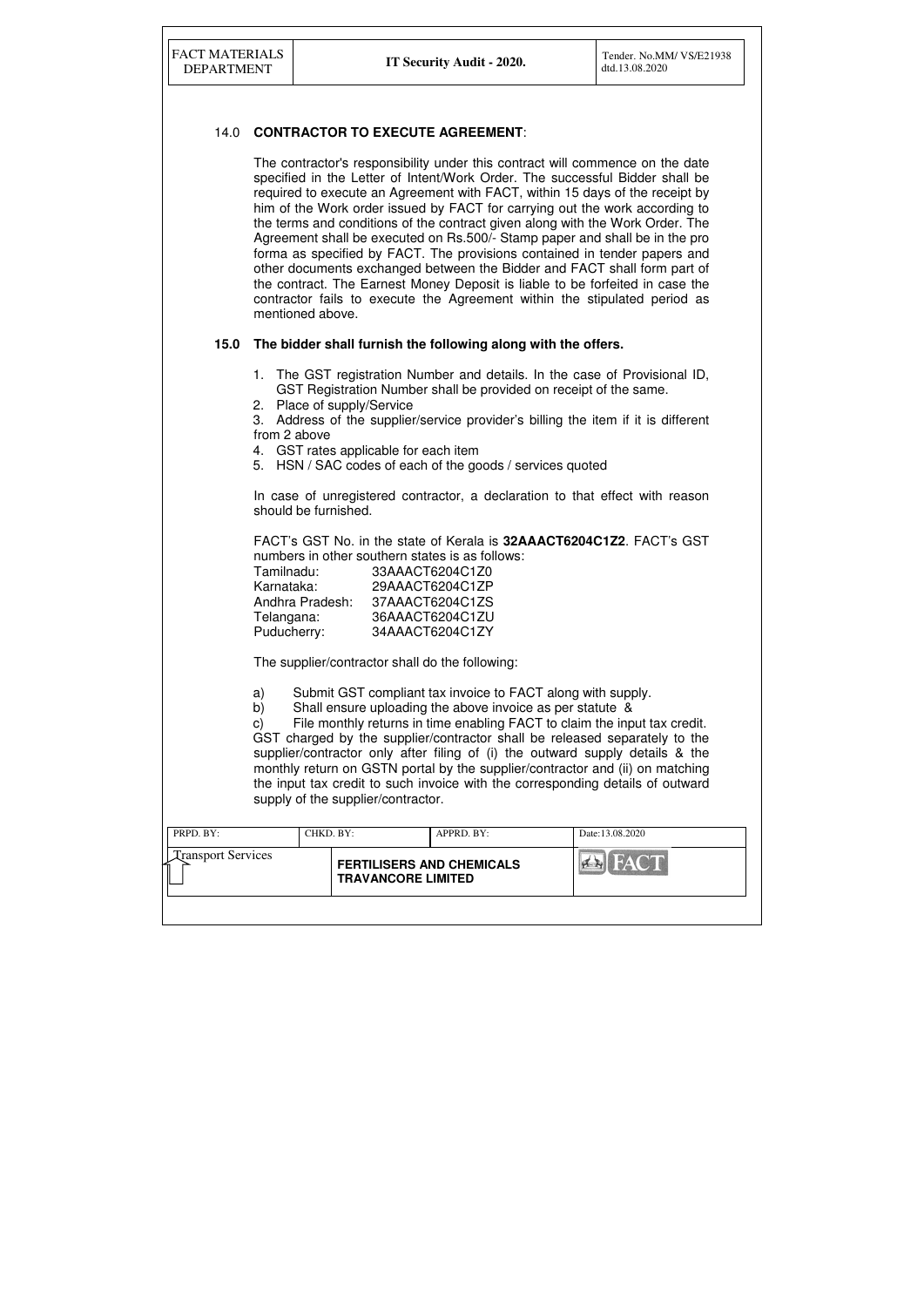| PRPD. BY:                 | CHKD. BY: |                                                               | $APPRD$ . $BY$ : | Date:13.08.2020                                      |
|---------------------------|-----------|---------------------------------------------------------------|------------------|------------------------------------------------------|
| <b>Transport Services</b> |           | <b>FERTILISERS AND CHEMICALS</b><br><b>TRAVANCORE LIMITED</b> |                  | <b>FACT</b><br>$\left( 4 - \left  4 \right  \right)$ |
|                           |           |                                                               |                  |                                                      |

### 14.0 **CONTRACTOR TO EXECUTE AGREEMENT**:

 The contractor's responsibility under this contract will commence on the date specified in the Letter of Intent/Work Order. The successful Bidder shall be required to execute an Agreement with FACT, within 15 days of the receipt by him of the Work order issued by FACT for carrying out the work according to the terms and conditions of the contract given along with the Work Order. The Agreement shall be executed on Rs.500/- Stamp paper and shall be in the pro forma as specified by FACT. The provisions contained in tender papers and other documents exchanged between the Bidder and FACT shall form part of the contract. The Earnest Money Deposit is liable to be forfeited in case the contractor fails to execute the Agreement within the stipulated period as mentioned above.

#### **15.0 The bidder shall furnish the following along with the offers.**

| The GST registration Number and details. In the case of Provisional ID, |
|-------------------------------------------------------------------------|
| GST Registration Number shall be provided on receipt of the same.       |

- 2. Place of supply/Service
- 3. Address of the supplier/service provider's billing the item if it is different from 2 above
- 4. GST rates applicable for each item
- 5. HSN / SAC codes of each of the goods / services quoted

In case of unregistered contractor, a declaration to that effect with reason should be furnished.

FACT's GST No. in the state of Kerala is **32AAACT6204C1Z2**. FACT's GST numbers in other southern states is as follows:

| 33AAACT6204C1Z0 |
|-----------------|
| 29AAACT6204C1ZP |
| 37AAACT6204C1ZS |
| 36AAACT6204C1ZU |
| 34AAACT6204C1ZY |
|                 |

The supplier/contractor shall do the following:

a) Submit GST compliant tax invoice to FACT along with supply.

b) Shall ensure uploading the above invoice as per statute &

c) File monthly returns in time enabling FACT to claim the input tax credit. GST charged by the supplier/contractor shall be released separately to the supplier/contractor only after filing of (i) the outward supply details & the monthly return on GSTN portal by the supplier/contractor and (ii) on matching the input tax credit to such invoice with the corresponding details of outward supply of the supplier/contractor.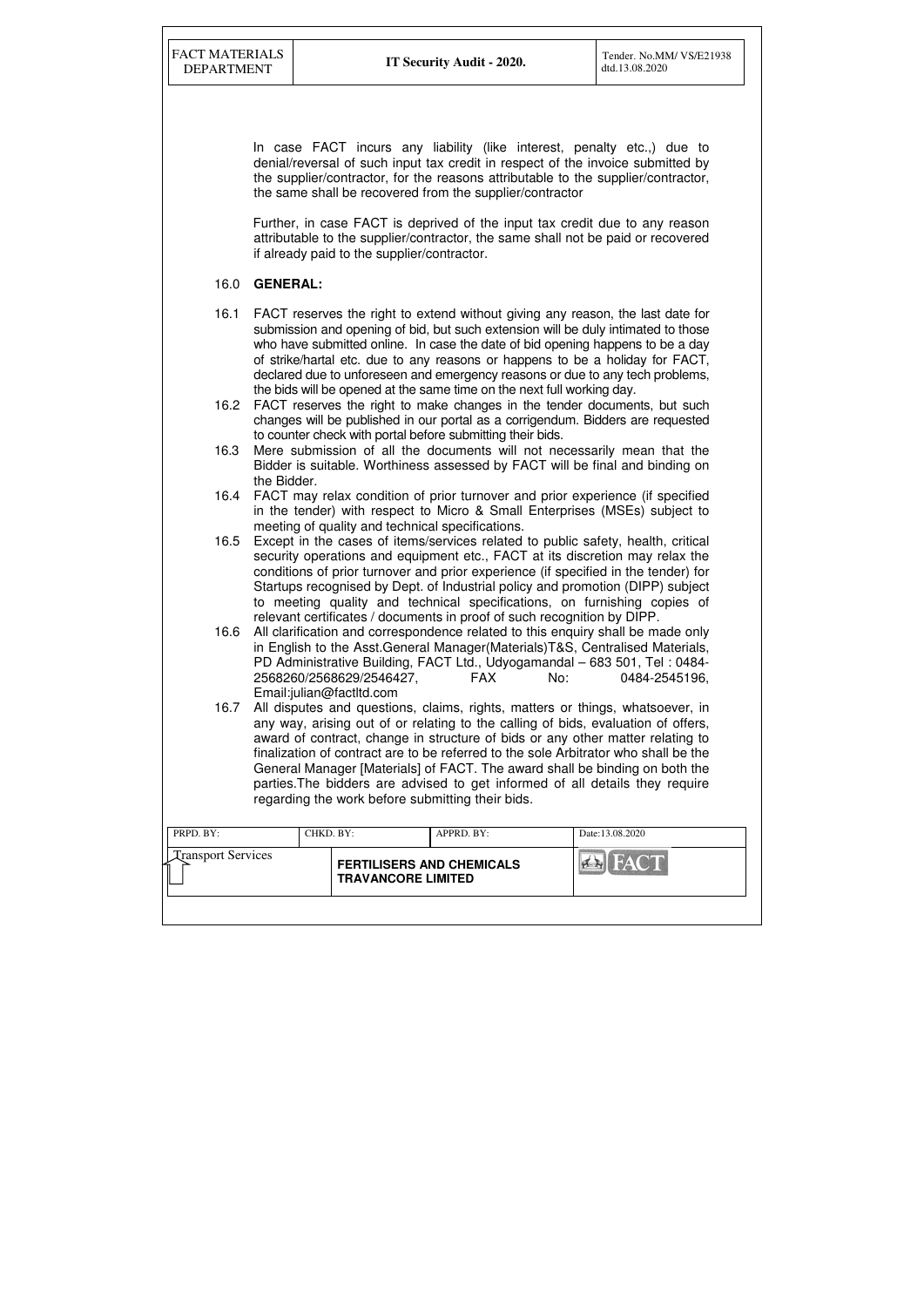| PRPD. BY:                 | CHKD. BY: |                                                               | APPRD. BY: | Date: 13.08.2020 |
|---------------------------|-----------|---------------------------------------------------------------|------------|------------------|
| <b>Transport Services</b> |           | <b>FERTILISERS AND CHEMICALS</b><br><b>TRAVANCORE LIMITED</b> |            | HACT<br>$H = H$  |
|                           |           |                                                               |            |                  |

In case FACT incurs any liability (like interest, penalty etc.,) due to denial/reversal of such input tax credit in respect of the invoice submitted by the supplier/contractor, for the reasons attributable to the supplier/contractor, the same shall be recovered from the supplier/contractor

Further, in case FACT is deprived of the input tax credit due to any reason attributable to the supplier/contractor, the same shall not be paid or recovered if already paid to the supplier/contractor.

### 16.0 **GENERAL:**

- 16.1 FACT reserves the right to extend without giving any reason, the last date for submission and opening of bid, but such extension will be duly intimated to those who have submitted online. In case the date of bid opening happens to be a day of strike/hartal etc. due to any reasons or happens to be a holiday for FACT, declared due to unforeseen and emergency reasons or due to any tech problems, the bids will be opened at the same time on the next full working day.
- 16.2 FACT reserves the right to make changes in the tender documents, but such changes will be published in our portal as a corrigendum. Bidders are requested to counter check with portal before submitting their bids.
- 16.3 Mere submission of all the documents will not necessarily mean that the Bidder is suitable. Worthiness assessed by FACT will be final and binding on the Bidder.
- 16.4 FACT may relax condition of prior turnover and prior experience (if specified in the tender) with respect to Micro & Small Enterprises (MSEs) subject to meeting of quality and technical specifications.
- 16.5 Except in the cases of items/services related to public safety, health, critical security operations and equipment etc., FACT at its discretion may relax the conditions of prior turnover and prior experience (if specified in the tender) for Startups recognised by Dept. of Industrial policy and promotion (DIPP) subject to meeting quality and technical specifications, on furnishing copies of relevant certificates / documents in proof of such recognition by DIPP.
- 16.6 All clarification and correspondence related to this enquiry shall be made only in English to the Asst.General Manager(Materials)T&S, Centralised Materials, PD Administrative Building, FACT Ltd., Udyogamandal – 683 501, Tel : 0484- 2568260/2568629/2546427, FAX No: 0484-2545196, Email:julian@factltd.com
- 16.7 All disputes and questions, claims, rights, matters or things, whatsoever, in any way, arising out of or relating to the calling of bids, evaluation of offers, award of contract, change in structure of bids or any other matter relating to finalization of contract are to be referred to the sole Arbitrator who shall be the General Manager [Materials] of FACT. The award shall be binding on both the parties.The bidders are advised to get informed of all details they require regarding the work before submitting their bids.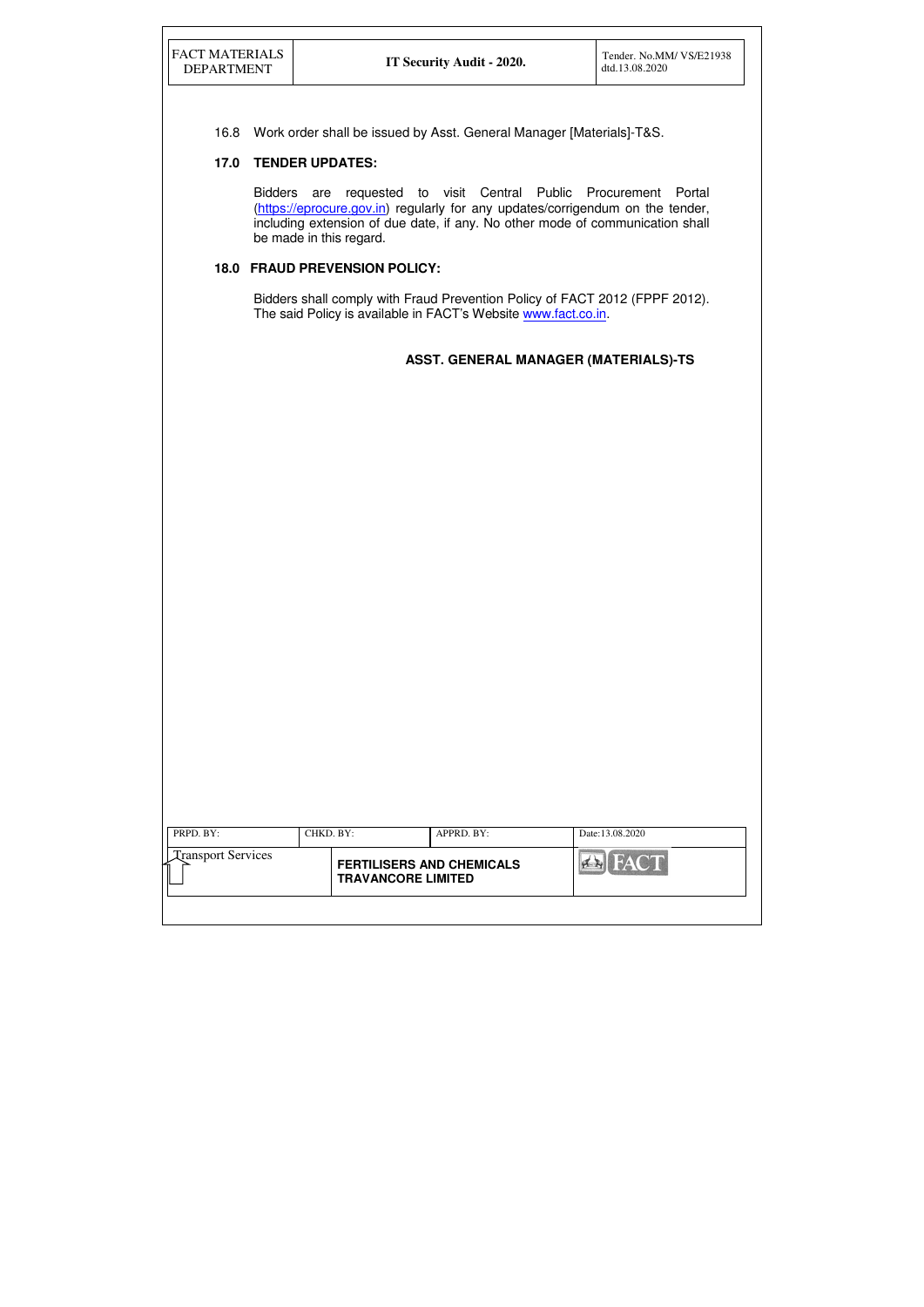| PRPD. BY:                 | CHKD. BY:                                                     | APPRD. BY: | Date:13.08.2020 |
|---------------------------|---------------------------------------------------------------|------------|-----------------|
| <b>Transport Services</b> | <b>FERTILISERS AND CHEMICALS</b><br><b>TRAVANCORE LIMITED</b> |            | <b>FACT</b>     |

16.8 Work order shall be issued by Asst. General Manager [Materials]-T&S.

Bidders shall comply with Fraud Prevention Policy of FACT 2012 (FPPF 2012). The said Policy is available in FACT's Website www.fact.co.in.

# **17.0 TENDER UPDATES:**

Bidders are requested to visit Central Public Procurement Portal (https://eprocure.gov.in) regularly for any updates/corrigendum on the tender, including extension of due date, if any. No other mode of communication shall be made in this regard.

# **18.0 FRAUD PREVENSION POLICY:**

|  |  |  | ASST. GENERAL MANAGER (MATERIALS)-TS |
|--|--|--|--------------------------------------|
|--|--|--|--------------------------------------|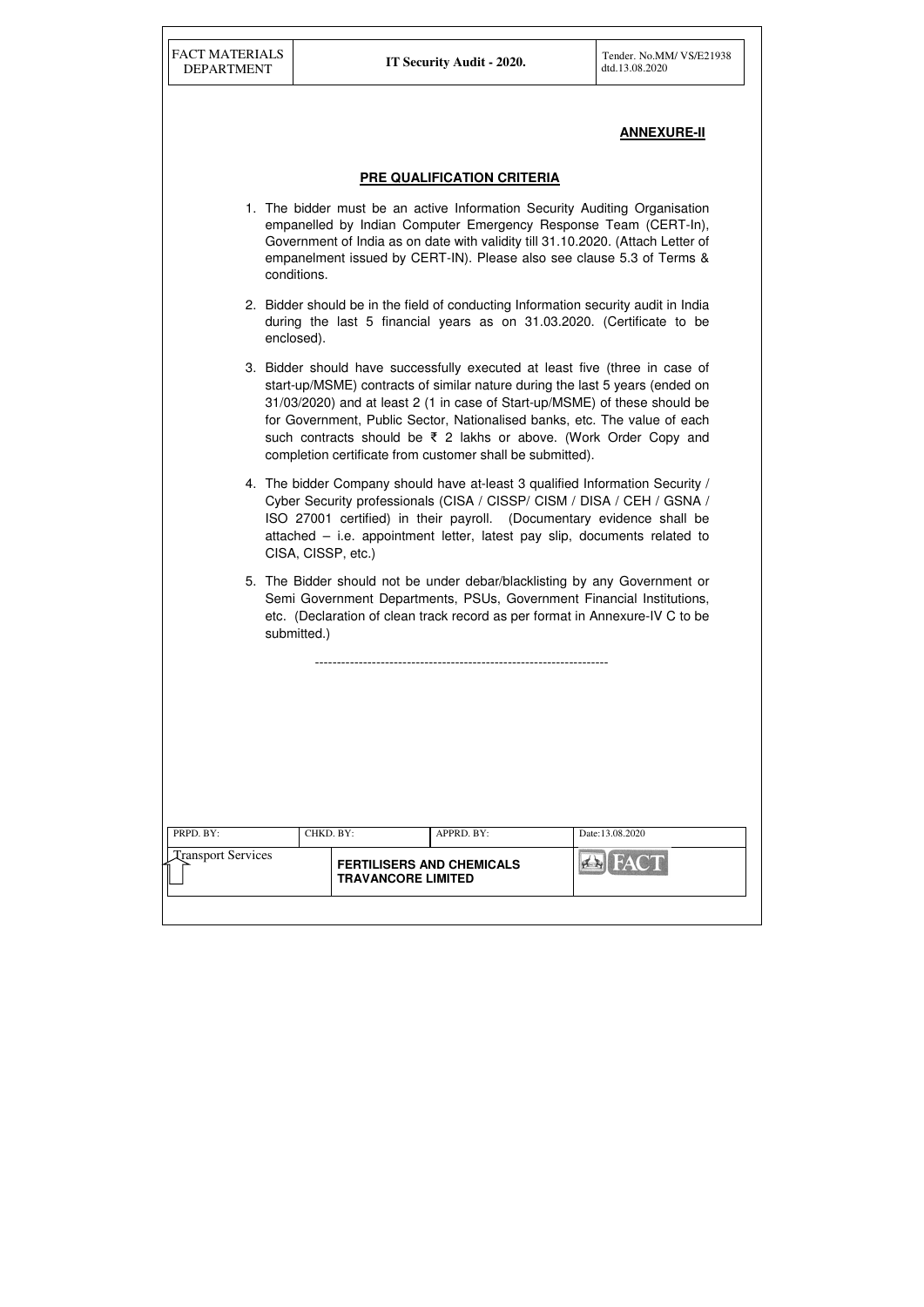| PRPD. BY:                 | CHKD. BY:                                                     | APPRD. BY: | Date:13.08.2020 |
|---------------------------|---------------------------------------------------------------|------------|-----------------|
| <b>Transport Services</b> | <b>FERTILISERS AND CHEMICALS</b><br><b>TRAVANCORE LIMITED</b> |            | <b>EN FACT</b>  |

# **ANNEXURE-II**

### **PRE QUALIFICATION CRITERIA**

- 1. The bidder must be an active Information Security Auditing Organisation empanelled by Indian Computer Emergency Response Team (CERT-In), Government of India as on date with validity till 31.10.2020. (Attach Letter of empanelment issued by CERT-IN). Please also see clause 5.3 of Terms & conditions.
- 2. Bidder should be in the field of conducting Information security audit in India during the last 5 financial years as on 31.03.2020. (Certificate to be enclosed).
- 3. Bidder should have successfully executed at least five (three in case of start-up/MSME) contracts of similar nature during the last 5 years (ended on 31/03/2020) and at least 2 (1 in case of Start-up/MSME) of these should be for Government, Public Sector, Nationalised banks, etc. The value of each such contracts should be ₹ 2 lakhs or above. (Work Order Copy and completion certificate from customer shall be submitted).
- 4. The bidder Company should have at-least 3 qualified Information Security / Cyber Security professionals (CISA / CISSP/ CISM / DISA / CEH / GSNA / ISO 27001 certified) in their payroll. (Documentary evidence shall be attached – i.e. appointment letter, latest pay slip, documents related to CISA, CISSP, etc.)
- 5. The Bidder should not be under debar/blacklisting by any Government or Semi Government Departments, PSUs, Government Financial Institutions, etc. (Declaration of clean track record as per format in Annexure-IV C to be submitted.)

-------------------------------------------------------------------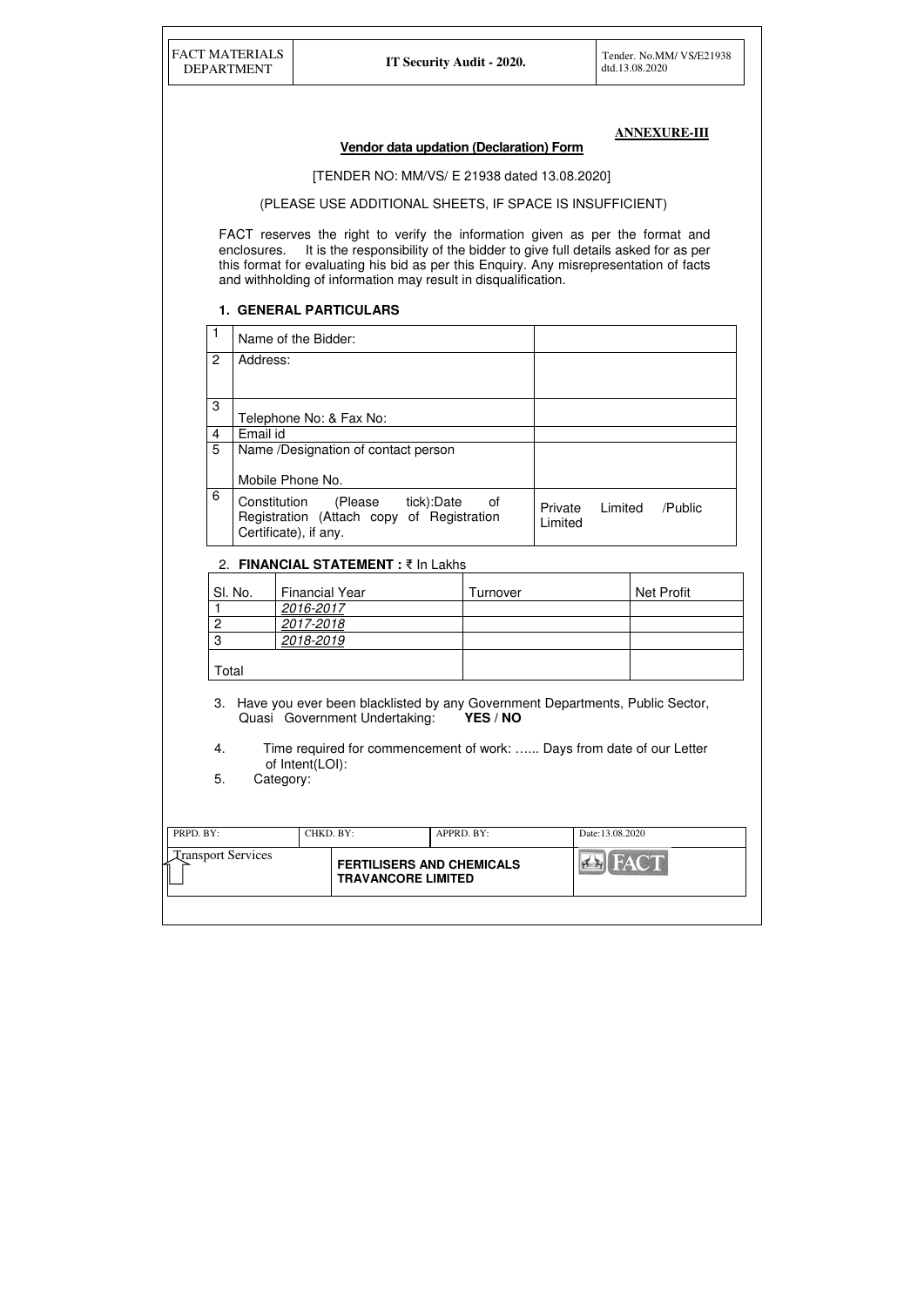| <b>FACT MATERIALS</b> |
|-----------------------|
| <b>DEPARTMENT</b>     |

| PRPD. BY:                      | CHKD, BY:                                                     | $APPRD$ . BY: | Date:13.08.2020 |
|--------------------------------|---------------------------------------------------------------|---------------|-----------------|
| <b>Transport Services</b><br>∽ | <b>FERTILISERS AND CHEMICALS</b><br><b>TRAVANCORE LIMITED</b> |               | <b>FACT</b>     |
|                                |                                                               |               |                 |

#### **ANNEXURE-III**

# **Vendor data updation (Declaration) Form**

#### [TENDER NO: MM/VS/ E 21938 dated 13.08.2020]

(PLEASE USE ADDITIONAL SHEETS, IF SPACE IS INSUFFICIENT)

FACT reserves the right to verify the information given as per the format and enclosures. It is the responsibility of the bidder to give full details asked for as per this format for evaluating his bid as per this Enquiry. Any misrepresentation of facts and withholding of information may result in disqualification.

- 3. Have you ever been blacklisted by any Government Departments, Public Sector, Quasi Government Undertaking: **YES / NO**
- 4. Time required for commencement of work: …... Days from date of our Letter of Intent(LOI):<br>5. Category:
- Category:

### **1. GENERAL PARTICULARS**

|                | Name of the Bidder:                                                                                               |                    |         |         |
|----------------|-------------------------------------------------------------------------------------------------------------------|--------------------|---------|---------|
| $\overline{2}$ | Address:                                                                                                          |                    |         |         |
| 3              | Telephone No: & Fax No:                                                                                           |                    |         |         |
| $\overline{4}$ | Email id                                                                                                          |                    |         |         |
| 5              | Name /Designation of contact person                                                                               |                    |         |         |
|                | Mobile Phone No.                                                                                                  |                    |         |         |
| 6              | Constitution<br>tick):Date<br>(Please<br>of<br>Registration (Attach copy of Registration<br>Certificate), if any. | Private<br>Limited | Limited | /Public |

## 2. **FINANCIAL STATEMENT :** ₹ In Lakhs

| SI. No. | <b>Financial Year</b> | Turnover | <b>Net Profit</b> |
|---------|-----------------------|----------|-------------------|
|         | 2016-2017             |          |                   |
|         | 2017-2018             |          |                   |
| റ       | 2018-2019             |          |                   |
| Total   |                       |          |                   |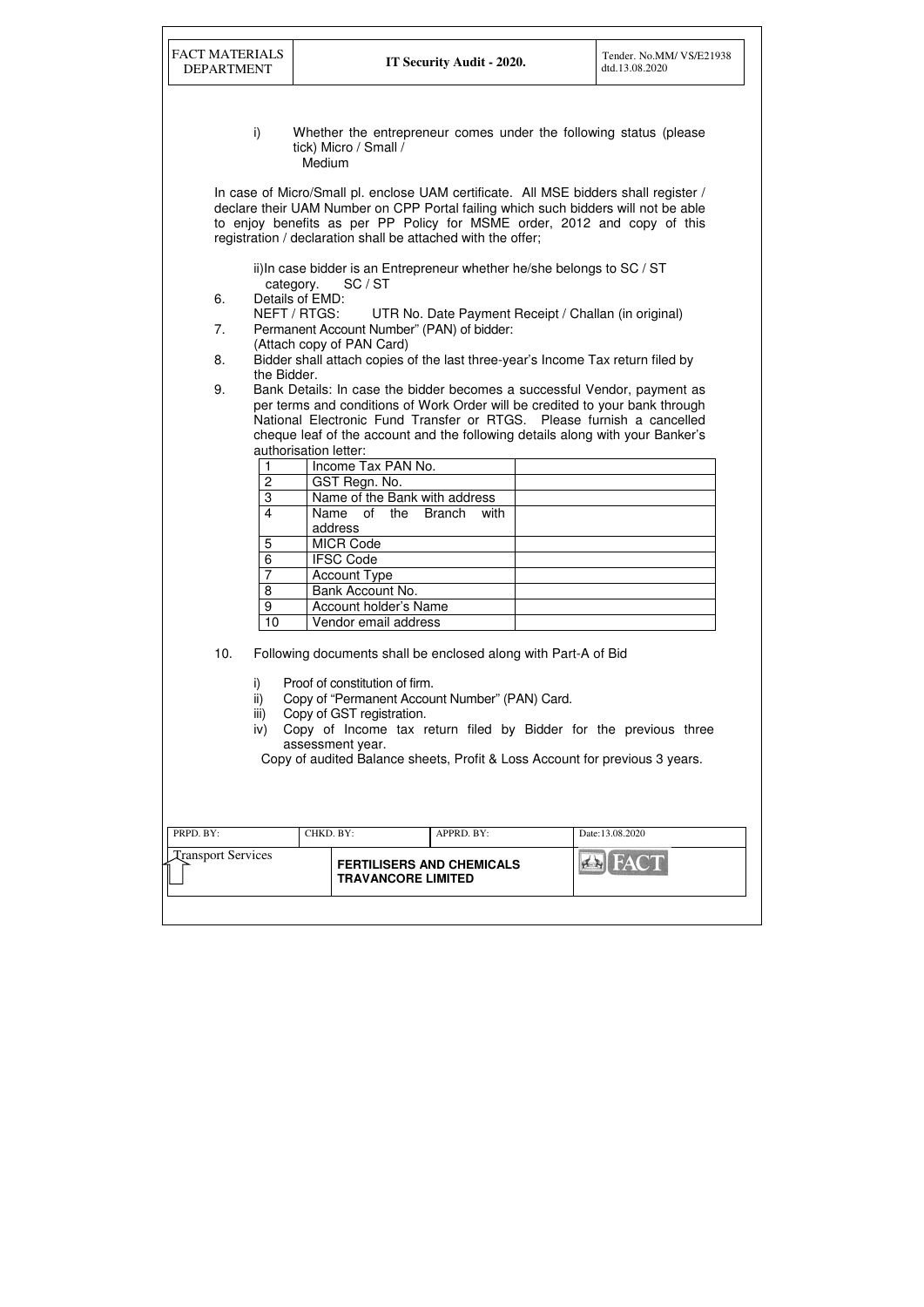| <b>FACT MATERIALS</b><br><b>DEPARTMENT</b> |                                                                                                                                                    | IT Security Audit - 2020.        | Tender. No.MM/VS/E21938<br>dtd.13.08.2020                                                                                                                                                                                                              |  |  |
|--------------------------------------------|----------------------------------------------------------------------------------------------------------------------------------------------------|----------------------------------|--------------------------------------------------------------------------------------------------------------------------------------------------------------------------------------------------------------------------------------------------------|--|--|
| i)                                         | tick) Micro / Small /<br>Medium                                                                                                                    |                                  | Whether the entrepreneur comes under the following status (please)                                                                                                                                                                                     |  |  |
|                                            | registration / declaration shall be attached with the offer;                                                                                       |                                  | In case of Micro/Small pl. enclose UAM certificate. All MSE bidders shall register /<br>declare their UAM Number on CPP Portal failing which such bidders will not be able<br>to enjoy benefits as per PP Policy for MSME order, 2012 and copy of this |  |  |
| 6.                                         | ii) In case bidder is an Entrepreneur whether he/she belongs to SC / ST<br>category.<br>SC/ST<br>Details of EMD:                                   |                                  |                                                                                                                                                                                                                                                        |  |  |
| 7.                                         | NEFT / RTGS:<br>Permanent Account Number" (PAN) of bidder:<br>(Attach copy of PAN Card)                                                            |                                  | UTR No. Date Payment Receipt / Challan (in original)                                                                                                                                                                                                   |  |  |
| 8.<br>9.                                   | the Bidder.                                                                                                                                        |                                  | Bidder shall attach copies of the last three-year's Income Tax return filed by<br>Bank Details: In case the bidder becomes a successful Vendor, payment as                                                                                             |  |  |
| $\overline{2}$                             | authorisation letter:<br>Income Tax PAN No.<br>GST Regn. No.                                                                                       |                                  | per terms and conditions of Work Order will be credited to your bank through<br>National Electronic Fund Transfer or RTGS. Please furnish a cancelled<br>cheque leaf of the account and the following details along with your Banker's                 |  |  |
| 3<br>$\overline{\mathbf{A}}$               | Name of the Bank with address<br>of the<br>Name<br>address                                                                                         | <b>Branch</b><br>with            |                                                                                                                                                                                                                                                        |  |  |
| 5<br>6<br>$\overline{7}$                   | <b>MICR Code</b><br><b>IFSC Code</b><br><b>Account Type</b>                                                                                        |                                  |                                                                                                                                                                                                                                                        |  |  |
| 8<br>9<br>10                               | Bank Account No.<br>Account holder's Name<br>Vendor email address                                                                                  |                                  |                                                                                                                                                                                                                                                        |  |  |
| 10.<br>i)<br>ii)                           | Following documents shall be enclosed along with Part-A of Bid<br>Proof of constitution of firm.<br>Copy of "Permanent Account Number" (PAN) Card. |                                  |                                                                                                                                                                                                                                                        |  |  |
| iii)<br>iv)                                | Copy of GST registration.<br>assessment year.                                                                                                      |                                  | Copy of Income tax return filed by Bidder for the previous three<br>Copy of audited Balance sheets, Profit & Loss Account for previous 3 years.                                                                                                        |  |  |
| PRPD. BY:                                  | CHKD. BY:                                                                                                                                          | APPRD. BY:                       | Date:13.08.2020                                                                                                                                                                                                                                        |  |  |
| <b>Transport Services</b>                  | <b>TRAVANCORE LIMITED</b>                                                                                                                          | <b>FERTILISERS AND CHEMICALS</b> |                                                                                                                                                                                                                                                        |  |  |
|                                            |                                                                                                                                                    |                                  |                                                                                                                                                                                                                                                        |  |  |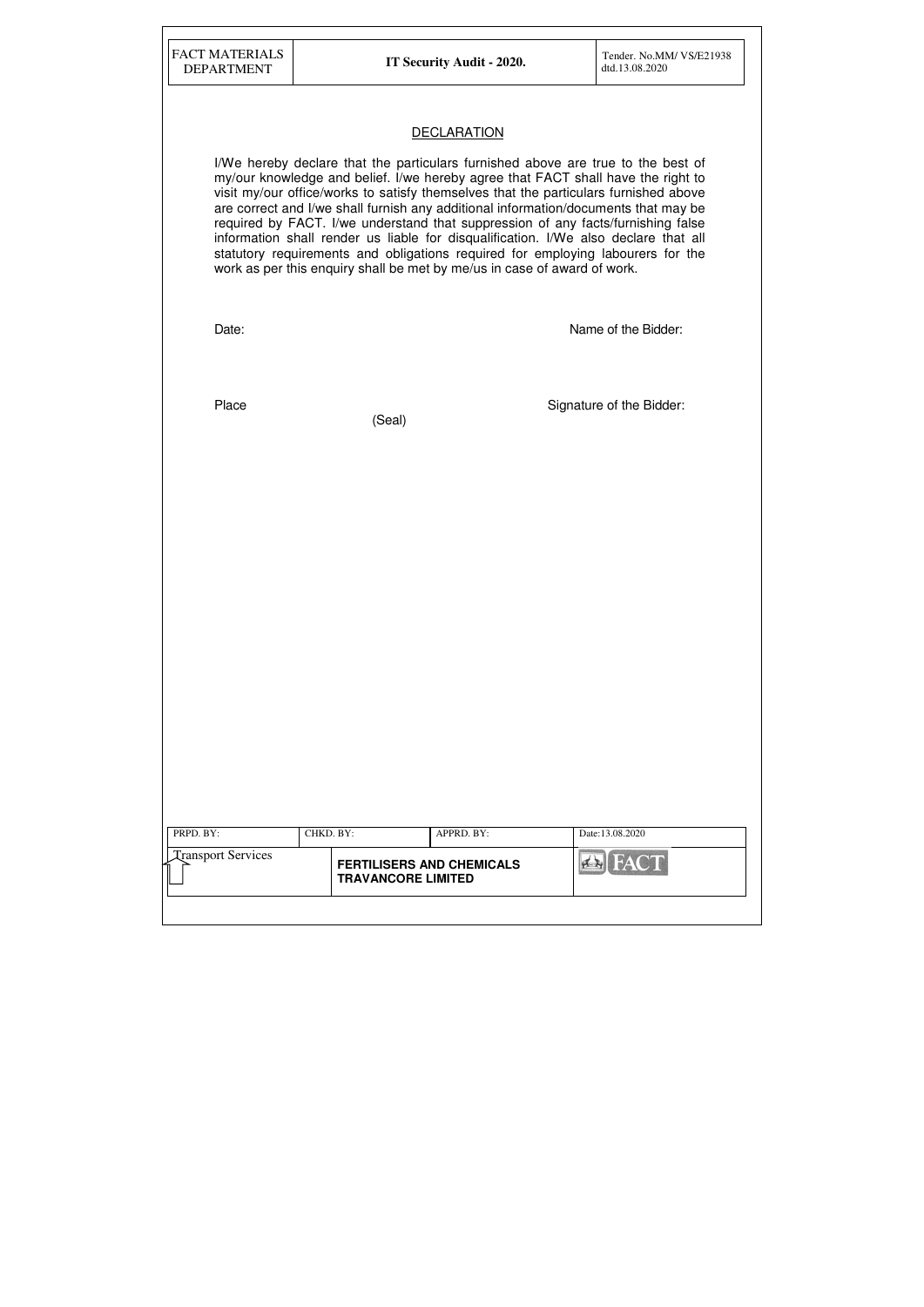| <b>FACT MATERIALS</b><br><b>DEPARTMENT</b> |           | IT Security Audit - 2020.                                                | Tender. No.MM/ VS/E21938<br>dtd.13.08.2020                                                                                                                                                                                                                                                                                                                                                                                                                                                                                                                                                                        |
|--------------------------------------------|-----------|--------------------------------------------------------------------------|-------------------------------------------------------------------------------------------------------------------------------------------------------------------------------------------------------------------------------------------------------------------------------------------------------------------------------------------------------------------------------------------------------------------------------------------------------------------------------------------------------------------------------------------------------------------------------------------------------------------|
|                                            |           | <b>DECLARATION</b>                                                       |                                                                                                                                                                                                                                                                                                                                                                                                                                                                                                                                                                                                                   |
|                                            |           | work as per this enquiry shall be met by me/us in case of award of work. | I/We hereby declare that the particulars furnished above are true to the best of<br>my/our knowledge and belief. I/we hereby agree that FACT shall have the right to<br>visit my/our office/works to satisfy themselves that the particulars furnished above<br>are correct and I/we shall furnish any additional information/documents that may be<br>required by FACT. I/we understand that suppression of any facts/furnishing false<br>information shall render us liable for disqualification. I/We also declare that all<br>statutory requirements and obligations required for employing labourers for the |
| Date:                                      |           |                                                                          | Name of the Bidder:                                                                                                                                                                                                                                                                                                                                                                                                                                                                                                                                                                                               |
| Place                                      | (Seal)    |                                                                          | Signature of the Bidder:                                                                                                                                                                                                                                                                                                                                                                                                                                                                                                                                                                                          |
|                                            |           |                                                                          |                                                                                                                                                                                                                                                                                                                                                                                                                                                                                                                                                                                                                   |
|                                            |           |                                                                          |                                                                                                                                                                                                                                                                                                                                                                                                                                                                                                                                                                                                                   |
|                                            |           |                                                                          |                                                                                                                                                                                                                                                                                                                                                                                                                                                                                                                                                                                                                   |
|                                            |           |                                                                          |                                                                                                                                                                                                                                                                                                                                                                                                                                                                                                                                                                                                                   |
|                                            |           |                                                                          |                                                                                                                                                                                                                                                                                                                                                                                                                                                                                                                                                                                                                   |
| PRPD. BY:                                  | CHKD. BY: | APPRD. BY:                                                               | Date:13.08.2020                                                                                                                                                                                                                                                                                                                                                                                                                                                                                                                                                                                                   |
| <b>Transport Services</b>                  |           | <b>FERTILISERS AND CHEMICALS</b>                                         | <b>FACT</b>                                                                                                                                                                                                                                                                                                                                                                                                                                                                                                                                                                                                       |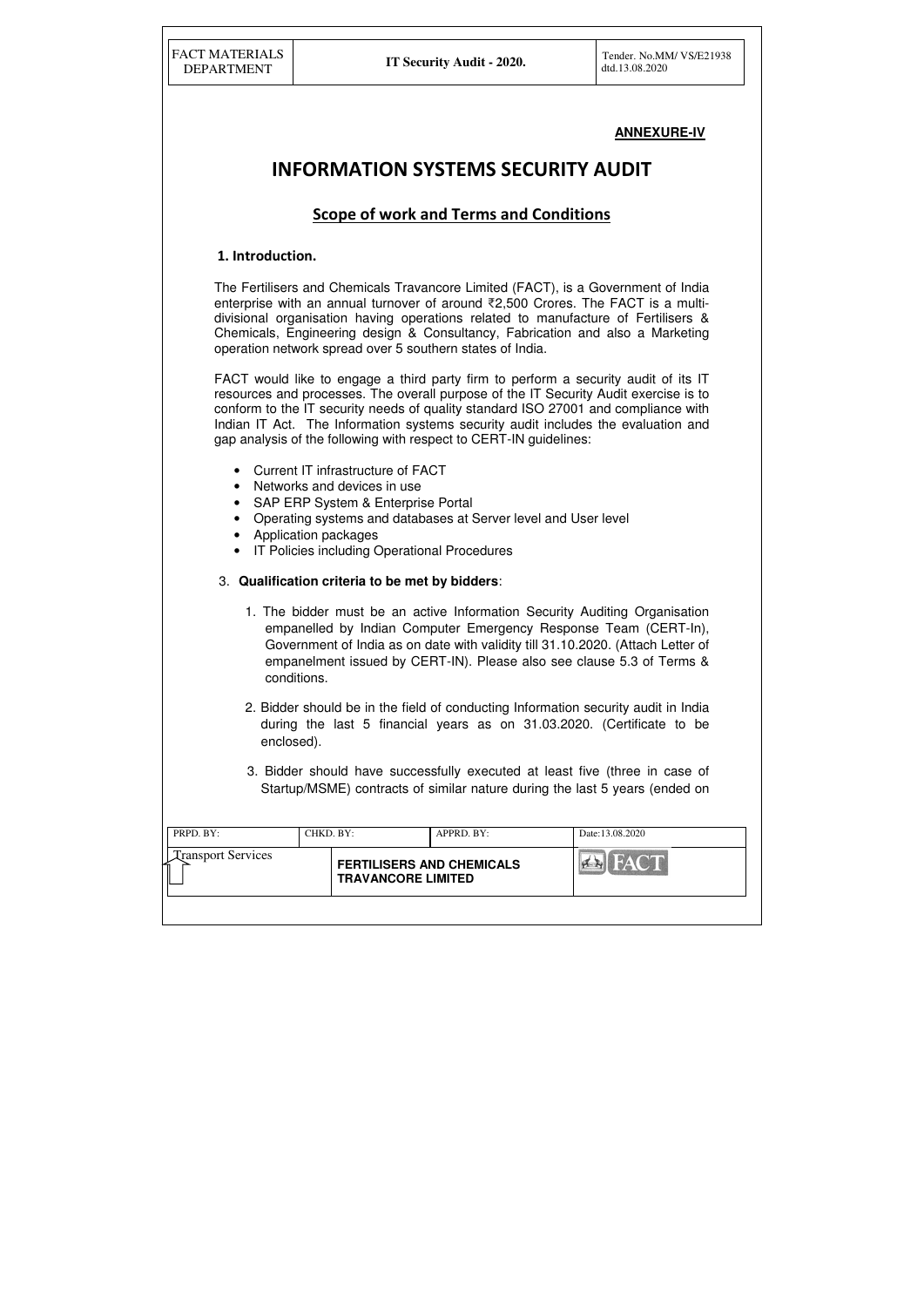| PRPD. BY:                      | CHKD. BY: |                                                               | $APPRD$ . BY: | Date:13.08.2020                   |
|--------------------------------|-----------|---------------------------------------------------------------|---------------|-----------------------------------|
| <b>Transport Services</b><br>ሩ |           | <b>FERTILISERS AND CHEMICALS</b><br><b>TRAVANCORE LIMITED</b> |               | <b>THE RAY ONE DE</b><br>$\sigma$ |
|                                |           |                                                               |               |                                   |

# **ANNEXURE-IV**

# INFORMATION SYSTEMS SECURITY AUDIT

# Scope of work and Terms and Conditions

## 1. Introduction.

The Fertilisers and Chemicals Travancore Limited (FACT), is a Government of India enterprise with an annual turnover of around ₹2,500 Crores. The FACT is a multidivisional organisation having operations related to manufacture of Fertilisers & Chemicals, Engineering design & Consultancy, Fabrication and also a Marketing operation network spread over 5 southern states of India.

FACT would like to engage a third party firm to perform a security audit of its IT resources and processes. The overall purpose of the IT Security Audit exercise is to conform to the IT security needs of quality standard ISO 27001 and compliance with Indian IT Act. The Information systems security audit includes the evaluation and gap analysis of the following with respect to CERT-IN guidelines:

- Current IT infrastructure of FACT
- Networks and devices in use
- SAP ERP System & Enterprise Portal
- Operating systems and databases at Server level and User level
- Application packages
- IT Policies including Operational Procedures
- 3. **Qualification criteria to be met by bidders**:
	- 1. The bidder must be an active Information Security Auditing Organisation empanelled by Indian Computer Emergency Response Team (CERT-In), Government of India as on date with validity till 31.10.2020. (Attach Letter of empanelment issued by CERT-IN). Please also see clause 5.3 of Terms & conditions.
	- 2. Bidder should be in the field of conducting Information security audit in India during the last 5 financial years as on 31.03.2020. (Certificate to be enclosed).
	- 3. Bidder should have successfully executed at least five (three in case of Startup/MSME) contracts of similar nature during the last 5 years (ended on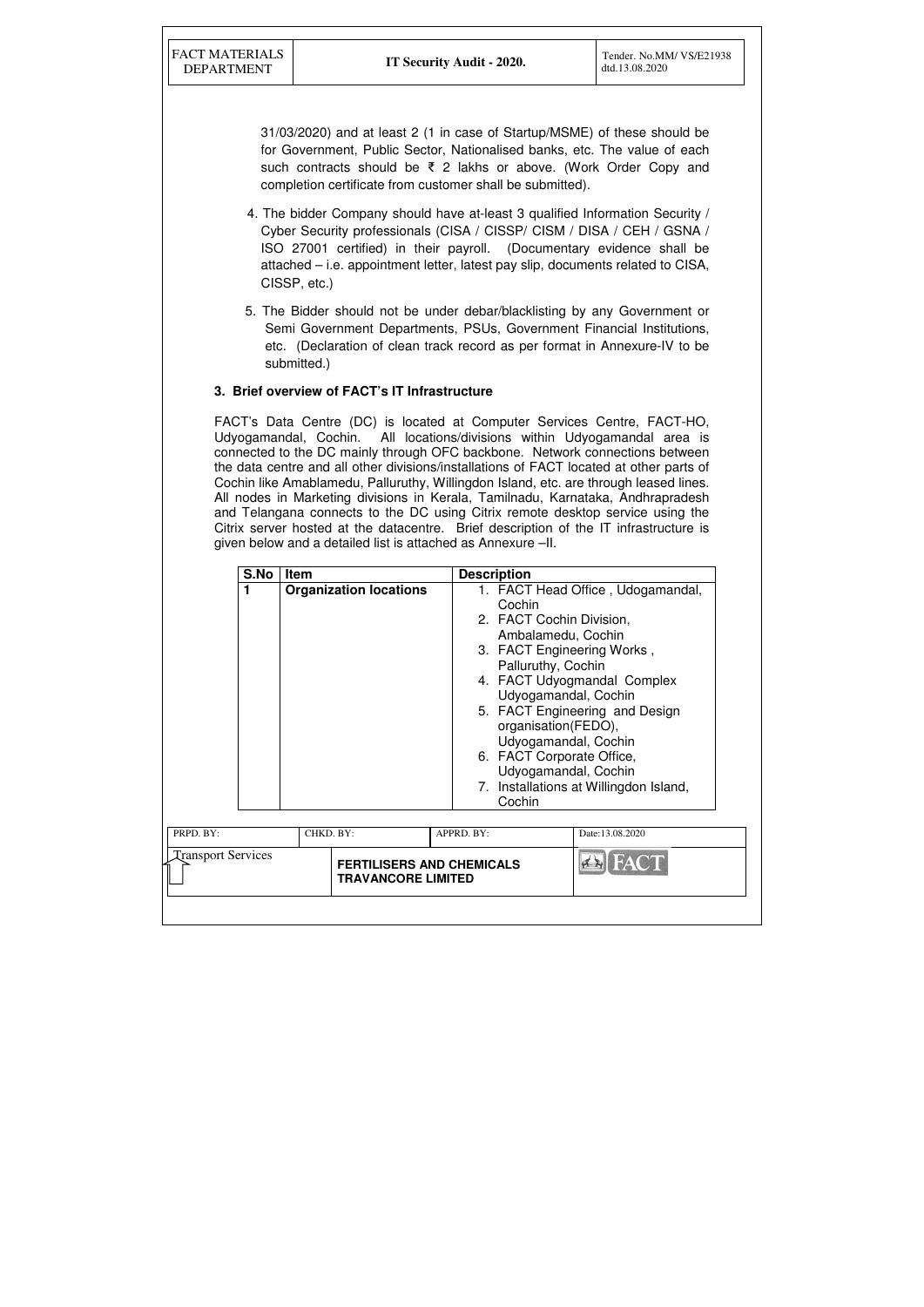31/03/2020) and at least 2 (1 in case of Startup/MSME) of these should be for Government, Public Sector, Nationalised banks, etc. The value of each such contracts should be ₹ 2 lakhs or above. (Work Order Copy and completion certificate from customer shall be submitted).

- 4. The bidder Company should have at-least 3 qualified Information Security / Cyber Security professionals (CISA / CISSP/ CISM / DISA / CEH / GSNA / ISO 27001 certified) in their payroll. (Documentary evidence shall be attached – i.e. appointment letter, latest pay slip, documents related to CISA, CISSP, etc.)
- 5. The Bidder should not be under debar/blacklisting by any Government or Semi Government Departments, PSUs, Government Financial Institutions, etc. (Declaration of clean track record as per format in Annexure-IV to be submitted.)

## **3. Brief overview of FACT's IT Infrastructure**

| S.No                      | <b>Item</b>                   | <b>Description</b>                                                                                                     |                                                                                                                                                                                                                                                                          |
|---------------------------|-------------------------------|------------------------------------------------------------------------------------------------------------------------|--------------------------------------------------------------------------------------------------------------------------------------------------------------------------------------------------------------------------------------------------------------------------|
| 1                         | <b>Organization locations</b> | Cochin<br>2. FACT Cochin Division,<br>Palluruthy, Cochin<br>organisation(FEDO),<br>6. FACT Corporate Office,<br>Cochin | 1. FACT Head Office, Udogamandal,<br>Ambalamedu, Cochin<br>3. FACT Engineering Works,<br>4. FACT Udyogmandal Complex<br>Udyogamandal, Cochin<br>5. FACT Engineering and Design<br>Udyogamandal, Cochin<br>Udyogamandal, Cochin<br>7. Installations at Willingdon Island, |
| PRPD. BY:                 | CHKD. BY:                     | APPRD. BY:                                                                                                             | Date:13.08.2020                                                                                                                                                                                                                                                          |
| <b>Transport Services</b> | <b>TRAVANCORE LIMITED</b>     | <b>FERTILISERS AND CHEMICALS</b>                                                                                       | <b>BEA</b>                                                                                                                                                                                                                                                               |

FACT's Data Centre (DC) is located at Computer Services Centre, FACT-HO, Udyogamandal, Cochin. All locations/divisions within Udyogamandal area is connected to the DC mainly through OFC backbone. Network connections between the data centre and all other divisions/installations of FACT located at other parts of Cochin like Amablamedu, Palluruthy, Willingdon Island, etc. are through leased lines. All nodes in Marketing divisions in Kerala, Tamilnadu, Karnataka, Andhrapradesh and Telangana connects to the DC using Citrix remote desktop service using the Citrix server hosted at the datacentre. Brief description of the IT infrastructure is given below and a detailed list is attached as Annexure –II.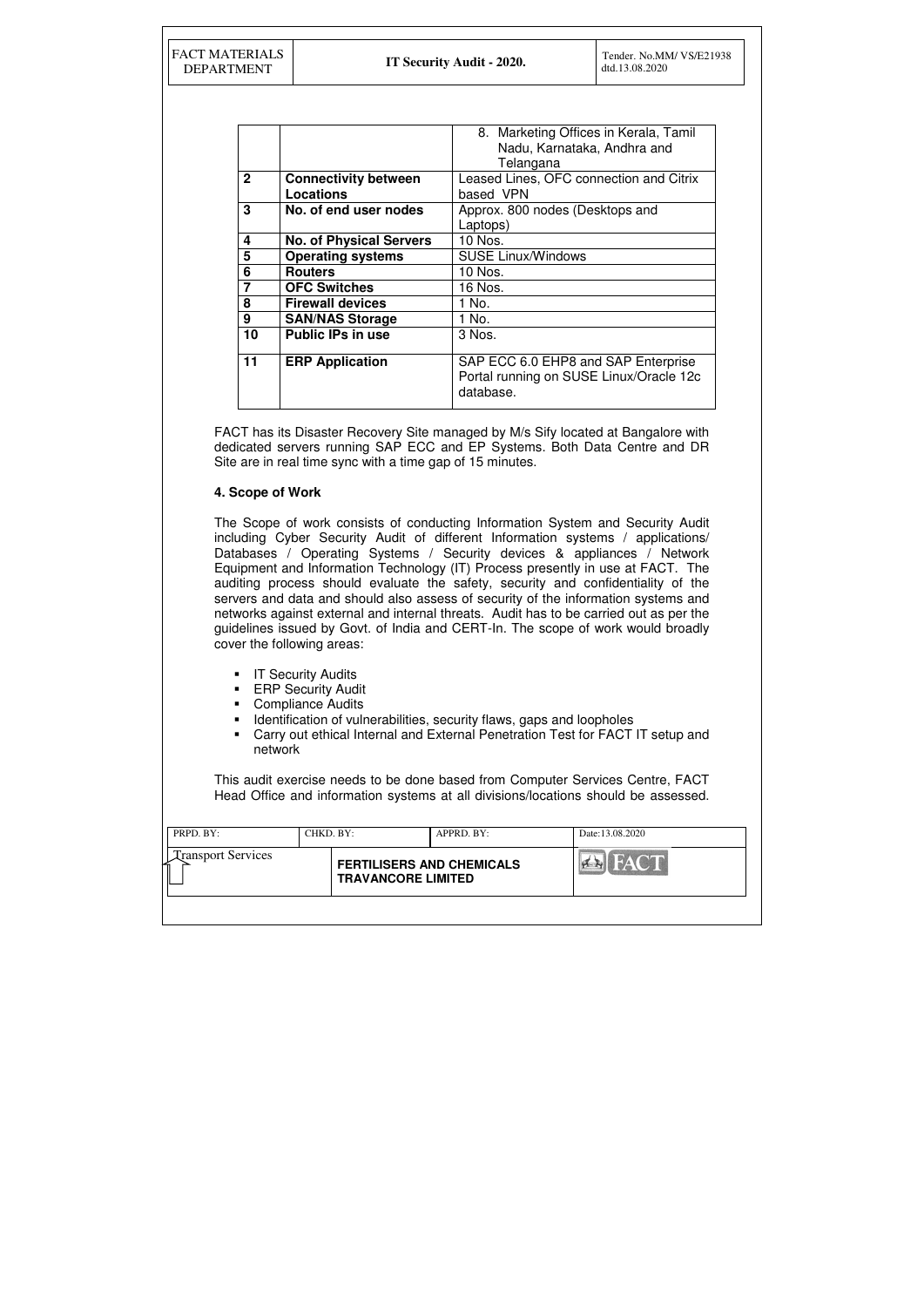| PRPD. BY:                      | CHKD. BY: |                                                               | APPRD. BY: | Date:13.08.2020 |
|--------------------------------|-----------|---------------------------------------------------------------|------------|-----------------|
| <b>Transport Services</b><br>∽ |           | <b>FERTILISERS AND CHEMICALS</b><br><b>TRAVANCORE LIMITED</b> |            | HAIC'IN         |
|                                |           |                                                               |            |                 |

|              |                                | 8. Marketing Offices in Kerala, Tamil                                                       |
|--------------|--------------------------------|---------------------------------------------------------------------------------------------|
|              |                                | Nadu, Karnataka, Andhra and                                                                 |
|              |                                | Telangana                                                                                   |
| $\mathbf{2}$ | <b>Connectivity between</b>    | Leased Lines, OFC connection and Citrix                                                     |
|              | Locations                      | based VPN                                                                                   |
| 3            | No. of end user nodes          | Approx. 800 nodes (Desktops and                                                             |
|              |                                | Laptops)                                                                                    |
| 4            | <b>No. of Physical Servers</b> | 10 Nos.                                                                                     |
| 5            | <b>Operating systems</b>       | <b>SUSE Linux/Windows</b>                                                                   |
| 6            | <b>Routers</b>                 | 10 Nos.                                                                                     |
| 7            | <b>OFC Switches</b>            | 16 Nos.                                                                                     |
| 8            | <b>Firewall devices</b>        | 1 No.                                                                                       |
| 9            | <b>SAN/NAS Storage</b>         | 1 No.                                                                                       |
| 10           | <b>Public IPs in use</b>       | 3 Nos.                                                                                      |
| 11           | <b>ERP Application</b>         | SAP ECC 6.0 EHP8 and SAP Enterprise<br>Portal running on SUSE Linux/Oracle 12c<br>database. |

FACT has its Disaster Recovery Site managed by M/s Sify located at Bangalore with dedicated servers running SAP ECC and EP Systems. Both Data Centre and DR Site are in real time sync with a time gap of 15 minutes.

- **IT Security Audits**
- **ERP Security Audit**
- Compliance Audits
- **IDENTIFICATED IS CONTERNATED IN A LOCATE IS A LOCATE IS A LOCATE IS A LOCATE IS A LOCATE IS A LOCATE IS A LOCATE IS A LOCATE IS A LOCATE IS A LOCATE IS A LOCATE IS A LOCATE IS A LOCATE IS A LOCATE IS A LOCATE IS A LOCATE**
- Carry out ethical Internal and External Penetration Test for FACT IT setup and network

# **4. Scope of Work**

The Scope of work consists of conducting Information System and Security Audit including Cyber Security Audit of different Information systems / applications/ Databases / Operating Systems / Security devices & appliances / Network Equipment and Information Technology (IT) Process presently in use at FACT. The auditing process should evaluate the safety, security and confidentiality of the servers and data and should also assess of security of the information systems and networks against external and internal threats. Audit has to be carried out as per the guidelines issued by Govt. of India and CERT-In. The scope of work would broadly cover the following areas:

This audit exercise needs to be done based from Computer Services Centre, FACT Head Office and information systems at all divisions/locations should be assessed.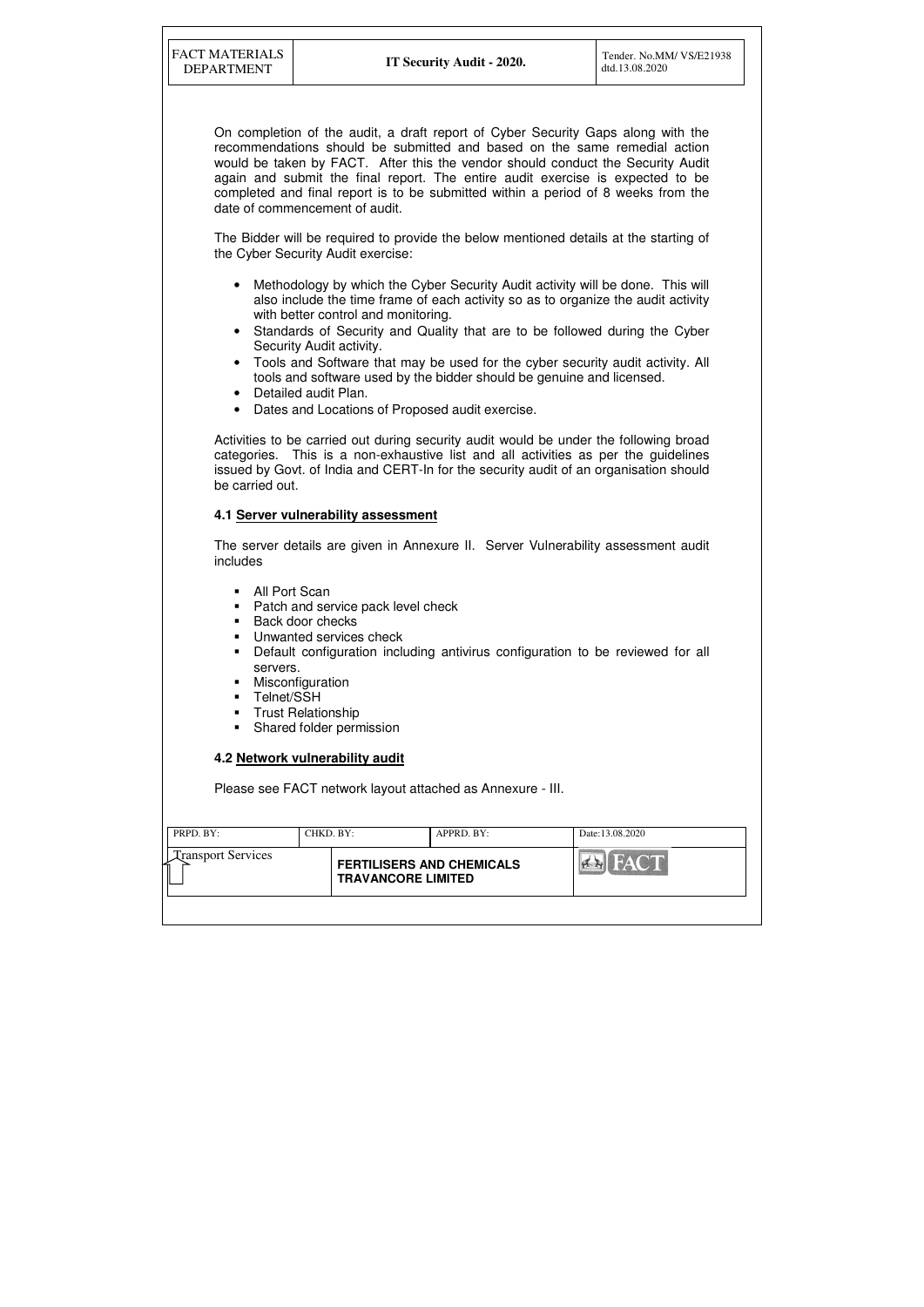| PRPD. BY:                 | CHKD. BY: |                                                               | $APPRD$ . $BY$ : | Date:13.08.2020 |
|---------------------------|-----------|---------------------------------------------------------------|------------------|-----------------|
| <b>Transport Services</b> |           | <b>FERTILISERS AND CHEMICALS</b><br><b>TRAVANCORE LIMITED</b> |                  |                 |
|                           |           |                                                               |                  |                 |

On completion of the audit, a draft report of Cyber Security Gaps along with the recommendations should be submitted and based on the same remedial action would be taken by FACT. After this the vendor should conduct the Security Audit again and submit the final report. The entire audit exercise is expected to be completed and final report is to be submitted within a period of 8 weeks from the date of commencement of audit.

The Bidder will be required to provide the below mentioned details at the starting of the Cyber Security Audit exercise:

- **All Port Scan**
- Patch and service pack level check
- **Back door checks**
- **Unwanted services check**
- Default configuration including antivirus configuration to be reviewed for all servers.
- **Misconfiguration**
- **Telnet/SSH**
- **Trust Relationship**
- Shared folder permission
- Methodology by which the Cyber Security Audit activity will be done. This will also include the time frame of each activity so as to organize the audit activity with better control and monitoring.
- Standards of Security and Quality that are to be followed during the Cyber Security Audit activity.
- Tools and Software that may be used for the cyber security audit activity. All tools and software used by the bidder should be genuine and licensed.
- Detailed audit Plan.
- Dates and Locations of Proposed audit exercise.

Activities to be carried out during security audit would be under the following broad categories. This is a non-exhaustive list and all activities as per the guidelines issued by Govt. of India and CERT-In for the security audit of an organisation should be carried out.

## **4.1 Server vulnerability assessment**

The server details are given in Annexure II. Server Vulnerability assessment audit includes

## **4.2 Network vulnerability audit**

Please see FACT network layout attached as Annexure - III.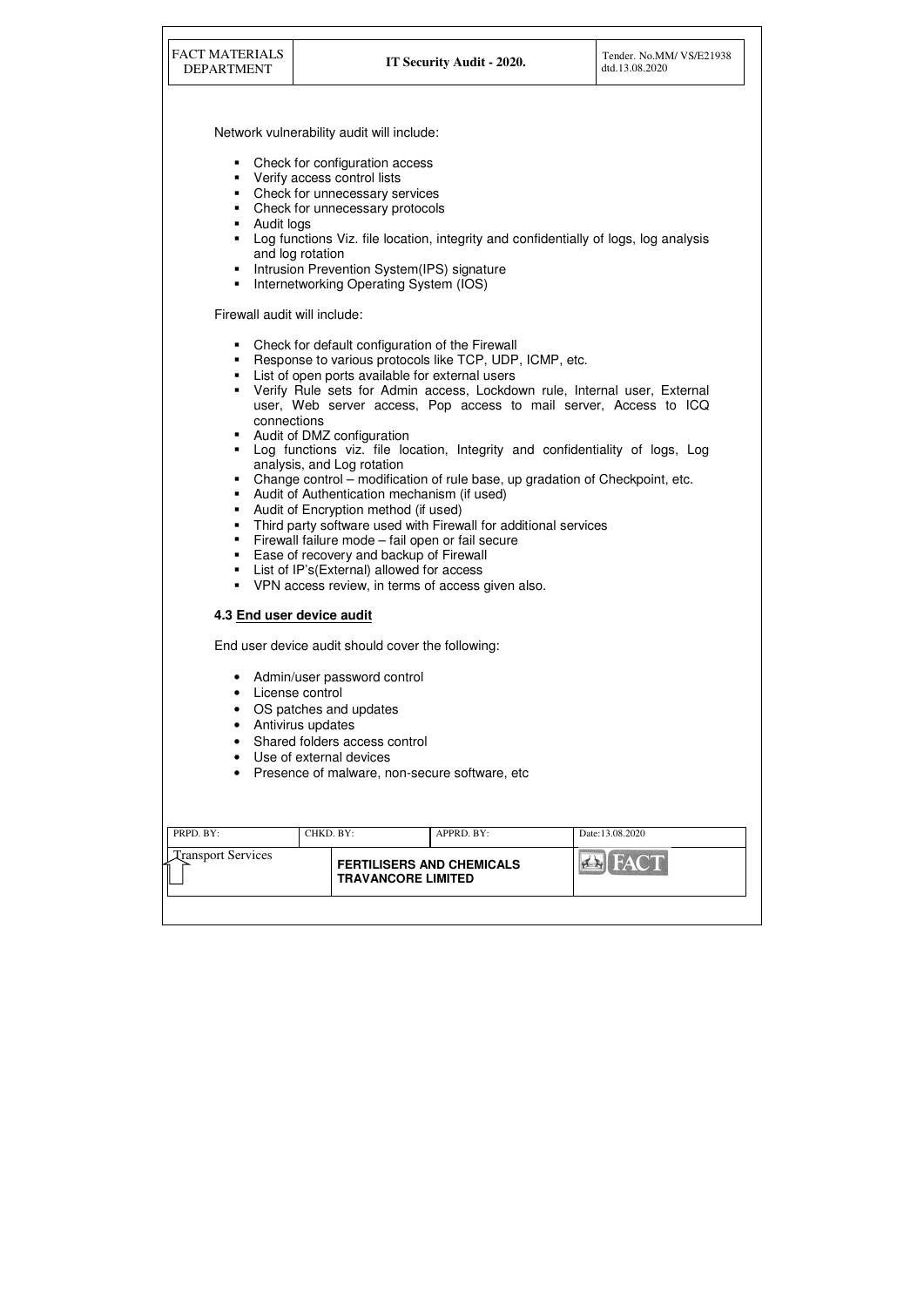| <b>FACT MATERIALS</b><br><b>DEPARTMENT</b>                                                                                                                                                                                                                      |                                                                                                                                                                                                                                                                                                                                                                                                                                                                                                                                                                                                                                                                                                                                                                                                                                                                                                   | IT Security Audit - 2020. | Tender. No.MM/ VS/E21938<br>dtd.13.08.2020 |  |  |  |  |  |
|-----------------------------------------------------------------------------------------------------------------------------------------------------------------------------------------------------------------------------------------------------------------|---------------------------------------------------------------------------------------------------------------------------------------------------------------------------------------------------------------------------------------------------------------------------------------------------------------------------------------------------------------------------------------------------------------------------------------------------------------------------------------------------------------------------------------------------------------------------------------------------------------------------------------------------------------------------------------------------------------------------------------------------------------------------------------------------------------------------------------------------------------------------------------------------|---------------------------|--------------------------------------------|--|--|--|--|--|
|                                                                                                                                                                                                                                                                 | Network vulnerability audit will include:                                                                                                                                                                                                                                                                                                                                                                                                                                                                                                                                                                                                                                                                                                                                                                                                                                                         |                           |                                            |  |  |  |  |  |
| ш<br>ш<br>п<br>п<br>п<br>Internetworking Operating System (IOS)<br>п                                                                                                                                                                                            | Check for configuration access<br>Verify access control lists<br>Check for unnecessary services<br>Check for unnecessary protocols<br>Audit logs<br>Log functions Viz. file location, integrity and confidentially of logs, log analysis<br>and log rotation<br>Intrusion Prevention System(IPS) signature                                                                                                                                                                                                                                                                                                                                                                                                                                                                                                                                                                                        |                           |                                            |  |  |  |  |  |
|                                                                                                                                                                                                                                                                 |                                                                                                                                                                                                                                                                                                                                                                                                                                                                                                                                                                                                                                                                                                                                                                                                                                                                                                   |                           |                                            |  |  |  |  |  |
| ш<br>п<br>п<br>Г<br>п<br>п<br>٠<br>п<br>VPN access review, in terms of access given also.<br>٠                                                                                                                                                                  | Firewall audit will include:<br>Check for default configuration of the Firewall<br>Response to various protocols like TCP, UDP, ICMP, etc.<br>List of open ports available for external users<br>Verify Rule sets for Admin access, Lockdown rule, Internal user, External<br>user, Web server access, Pop access to mail server, Access to ICQ<br>connections<br>Audit of DMZ configuration<br>Log functions viz. file location, Integrity and confidentiality of logs, Log<br>analysis, and Log rotation<br>Change control – modification of rule base, up gradation of Checkpoint, etc.<br>Audit of Authentication mechanism (if used)<br>Audit of Encryption method (if used)<br>Third party software used with Firewall for additional services<br>Firewall failure mode - fail open or fail secure<br>Ease of recovery and backup of Firewall<br>List of IP's (External) allowed for access |                           |                                            |  |  |  |  |  |
| 4.3 End user device audit                                                                                                                                                                                                                                       |                                                                                                                                                                                                                                                                                                                                                                                                                                                                                                                                                                                                                                                                                                                                                                                                                                                                                                   |                           |                                            |  |  |  |  |  |
| End user device audit should cover the following:<br>Admin/user password control<br>License control<br>OS patches and updates<br>Antivirus updates<br>Shared folders access control<br>Use of external devices<br>Presence of malware, non-secure software, etc |                                                                                                                                                                                                                                                                                                                                                                                                                                                                                                                                                                                                                                                                                                                                                                                                                                                                                                   |                           |                                            |  |  |  |  |  |
| PRPD. BY:                                                                                                                                                                                                                                                       |                                                                                                                                                                                                                                                                                                                                                                                                                                                                                                                                                                                                                                                                                                                                                                                                                                                                                                   |                           |                                            |  |  |  |  |  |
| <b>Transport Services</b>                                                                                                                                                                                                                                       | CHKD. BY:<br>APPRD. BY:<br>Date:13.08.2020<br><b>BIFACT</b><br><b>FERTILISERS AND CHEMICALS</b><br><b>TRAVANCORE LIMITED</b>                                                                                                                                                                                                                                                                                                                                                                                                                                                                                                                                                                                                                                                                                                                                                                      |                           |                                            |  |  |  |  |  |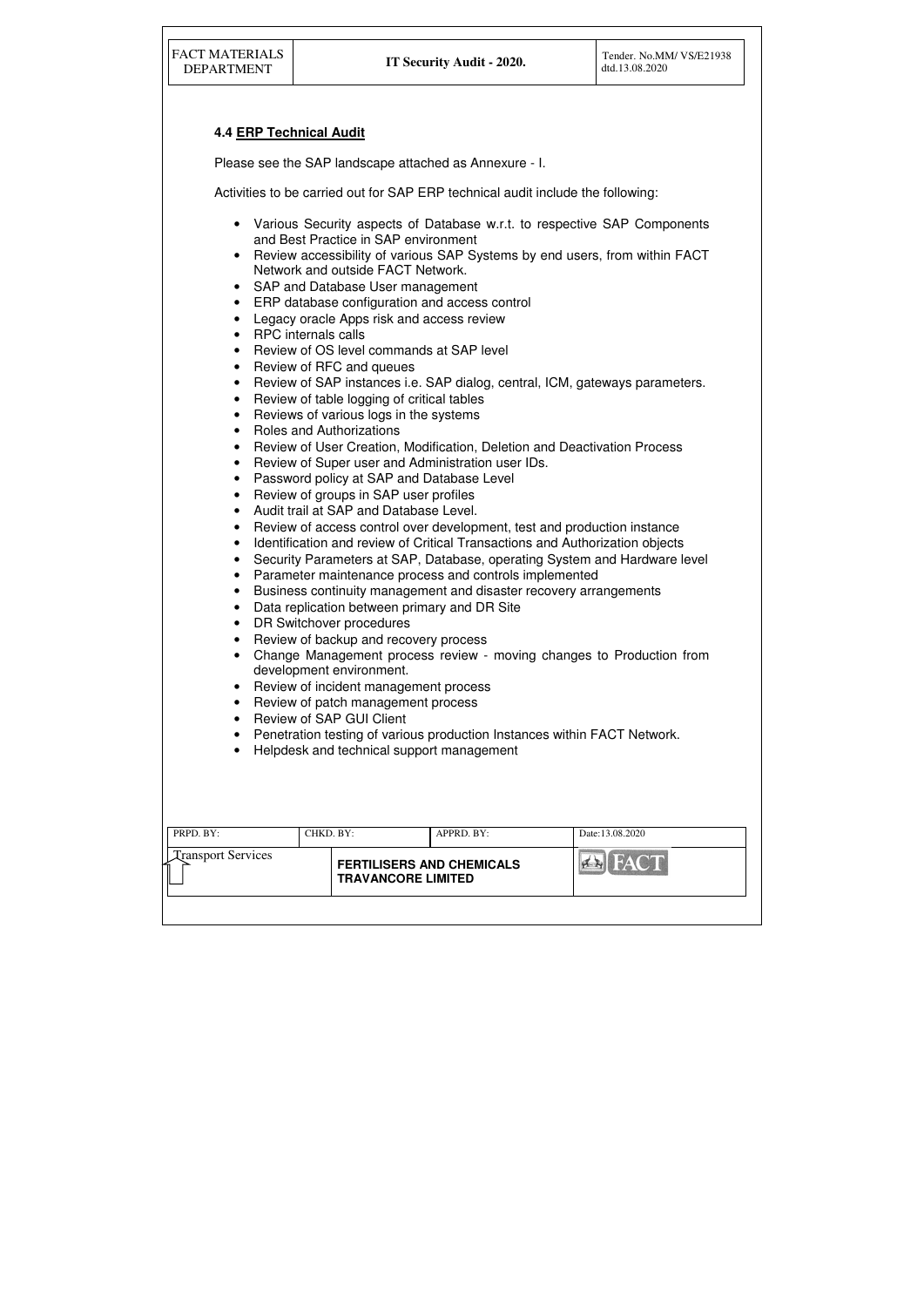| PRPD. BY:                 | CHKD. BY: |                                                               | APPRD. BY: | Date: 13.08.2020 |
|---------------------------|-----------|---------------------------------------------------------------|------------|------------------|
| <b>Transport Services</b> |           | <b>FERTILISERS AND CHEMICALS</b><br><b>TRAVANCORE LIMITED</b> |            |                  |
|                           |           |                                                               |            |                  |

# **4.4 ERP Technical Audit**

Please see the SAP landscape attached as Annexure - I.

Activities to be carried out for SAP ERP technical audit include the following:

- Various Security aspects of Database w.r.t. to respective SAP Components and Best Practice in SAP environment
- Review accessibility of various SAP Systems by end users, from within FACT Network and outside FACT Network.
- SAP and Database User management
- ERP database configuration and access control
- Legacy oracle Apps risk and access review
- RPC internals calls
- Review of OS level commands at SAP level
- Review of RFC and queues
- Review of SAP instances i.e. SAP dialog, central, ICM, gateways parameters.
- Review of table logging of critical tables
- Reviews of various logs in the systems
- Roles and Authorizations
- Review of User Creation, Modification, Deletion and Deactivation Process
- Review of Super user and Administration user IDs.
- Password policy at SAP and Database Level
- Review of groups in SAP user profiles
- Audit trail at SAP and Database Level.
- Review of access control over development, test and production instance
- Identification and review of Critical Transactions and Authorization objects
- Security Parameters at SAP, Database, operating System and Hardware level
- Parameter maintenance process and controls implemented
- Business continuity management and disaster recovery arrangements
- Data replication between primary and DR Site
- DR Switchover procedures
- Review of backup and recovery process
- Change Management process review moving changes to Production from development environment.
- Review of incident management process
- Review of patch management process
- Review of SAP GUI Client
- Penetration testing of various production Instances within FACT Network.
- Helpdesk and technical support management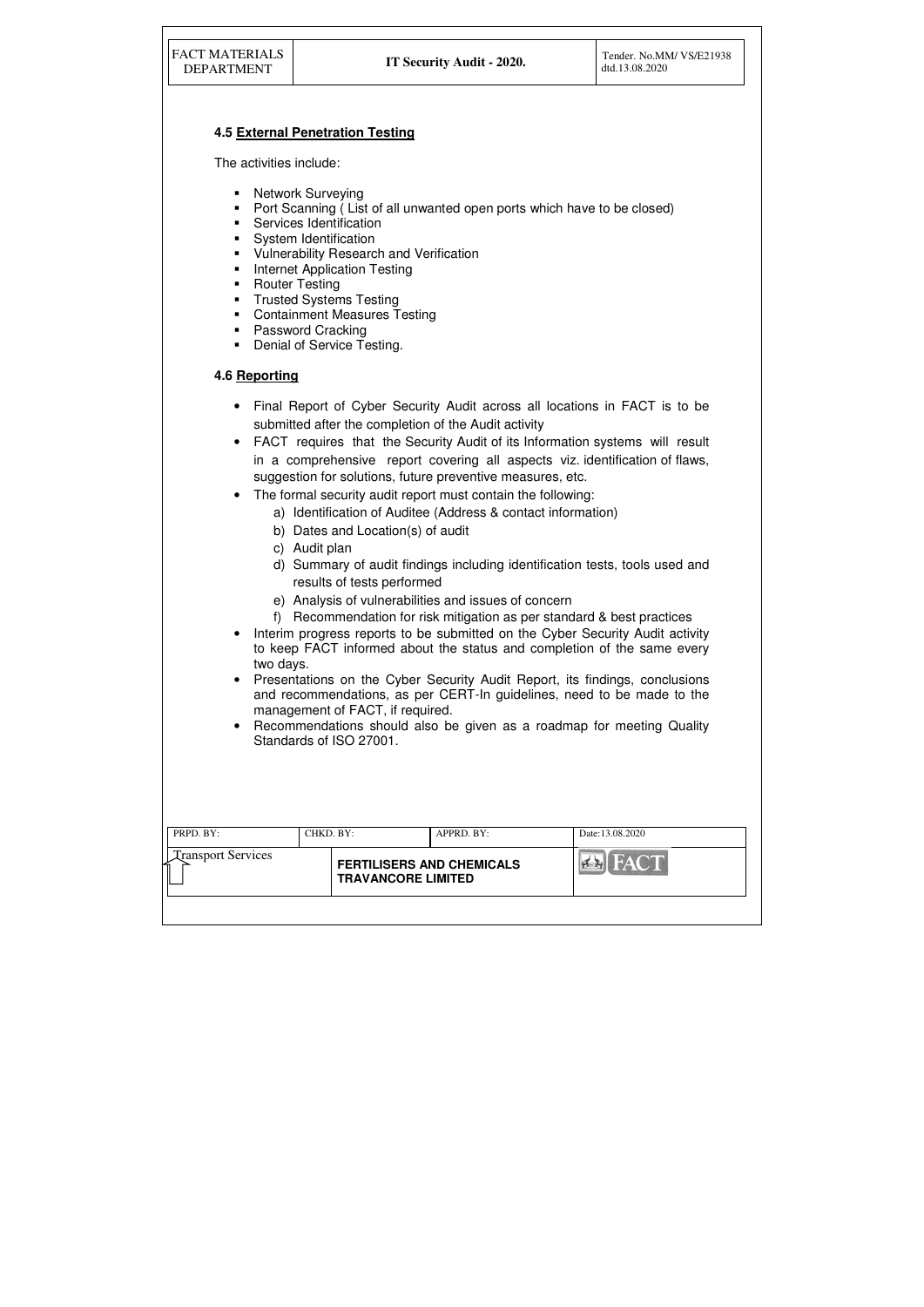| <b>FACT MATERIALS</b><br><b>DEPARTMENT</b>                                              |                                                                                                                                                                                                                                                                                                                                   | IT Security Audit - 2020.                                                                                                                                                                                                                                                                                  | Tender. No.MM/VS/E21938<br>dtd.13.08.2020                                                                                                                                                                                                                                                                                                                                                                                                                                                                                                                                                                                                                                                                                                                                                         |
|-----------------------------------------------------------------------------------------|-----------------------------------------------------------------------------------------------------------------------------------------------------------------------------------------------------------------------------------------------------------------------------------------------------------------------------------|------------------------------------------------------------------------------------------------------------------------------------------------------------------------------------------------------------------------------------------------------------------------------------------------------------|---------------------------------------------------------------------------------------------------------------------------------------------------------------------------------------------------------------------------------------------------------------------------------------------------------------------------------------------------------------------------------------------------------------------------------------------------------------------------------------------------------------------------------------------------------------------------------------------------------------------------------------------------------------------------------------------------------------------------------------------------------------------------------------------------|
|                                                                                         | <b>4.5 External Penetration Testing</b>                                                                                                                                                                                                                                                                                           |                                                                                                                                                                                                                                                                                                            |                                                                                                                                                                                                                                                                                                                                                                                                                                                                                                                                                                                                                                                                                                                                                                                                   |
| The activities include:                                                                 |                                                                                                                                                                                                                                                                                                                                   |                                                                                                                                                                                                                                                                                                            |                                                                                                                                                                                                                                                                                                                                                                                                                                                                                                                                                                                                                                                                                                                                                                                                   |
| п<br>٠<br>٠<br>٠<br>п<br>п<br>п<br>п<br>п<br>п<br>٠                                     | <b>Network Surveying</b><br>Services Identification<br>System Identification<br><b>Vulnerability Research and Verification</b><br><b>Internet Application Testing</b><br><b>Router Testing</b><br><b>Trusted Systems Testing</b><br><b>Containment Measures Testing</b><br><b>Password Cracking</b><br>Denial of Service Testing. | Port Scanning (List of all unwanted open ports which have to be closed)                                                                                                                                                                                                                                    |                                                                                                                                                                                                                                                                                                                                                                                                                                                                                                                                                                                                                                                                                                                                                                                                   |
| 4.6 Reporting                                                                           |                                                                                                                                                                                                                                                                                                                                   |                                                                                                                                                                                                                                                                                                            |                                                                                                                                                                                                                                                                                                                                                                                                                                                                                                                                                                                                                                                                                                                                                                                                   |
| $\bullet$<br>$\bullet$<br>$\bullet$<br>$\bullet$<br>two days.<br>$\bullet$<br>$\bullet$ | b) Dates and Location(s) of audit<br>c) Audit plan<br>results of tests performed<br>management of FACT, if required.<br>Standards of ISO 27001.                                                                                                                                                                                   | submitted after the completion of the Audit activity<br>suggestion for solutions, future preventive measures, etc.<br>The formal security audit report must contain the following:<br>a) Identification of Auditee (Address & contact information)<br>e) Analysis of vulnerabilities and issues of concern | Final Report of Cyber Security Audit across all locations in FACT is to be<br>FACT requires that the Security Audit of its Information systems will result<br>in a comprehensive report covering all aspects viz. identification of flaws,<br>d) Summary of audit findings including identification tests, tools used and<br>f) Recommendation for risk mitigation as per standard & best practices<br>Interim progress reports to be submitted on the Cyber Security Audit activity<br>to keep FACT informed about the status and completion of the same every<br>Presentations on the Cyber Security Audit Report, its findings, conclusions<br>and recommendations, as per CERT-In guidelines, need to be made to the<br>Recommendations should also be given as a roadmap for meeting Quality |
| PRPD. BY:                                                                               | CHKD. BY:                                                                                                                                                                                                                                                                                                                         | APPRD. BY:                                                                                                                                                                                                                                                                                                 | Date:13.08.2020                                                                                                                                                                                                                                                                                                                                                                                                                                                                                                                                                                                                                                                                                                                                                                                   |
| <b>Transport Services</b>                                                               | <b>TRAVANCORE LIMITED</b>                                                                                                                                                                                                                                                                                                         | <b>FERTILISERS AND CHEMICALS</b>                                                                                                                                                                                                                                                                           |                                                                                                                                                                                                                                                                                                                                                                                                                                                                                                                                                                                                                                                                                                                                                                                                   |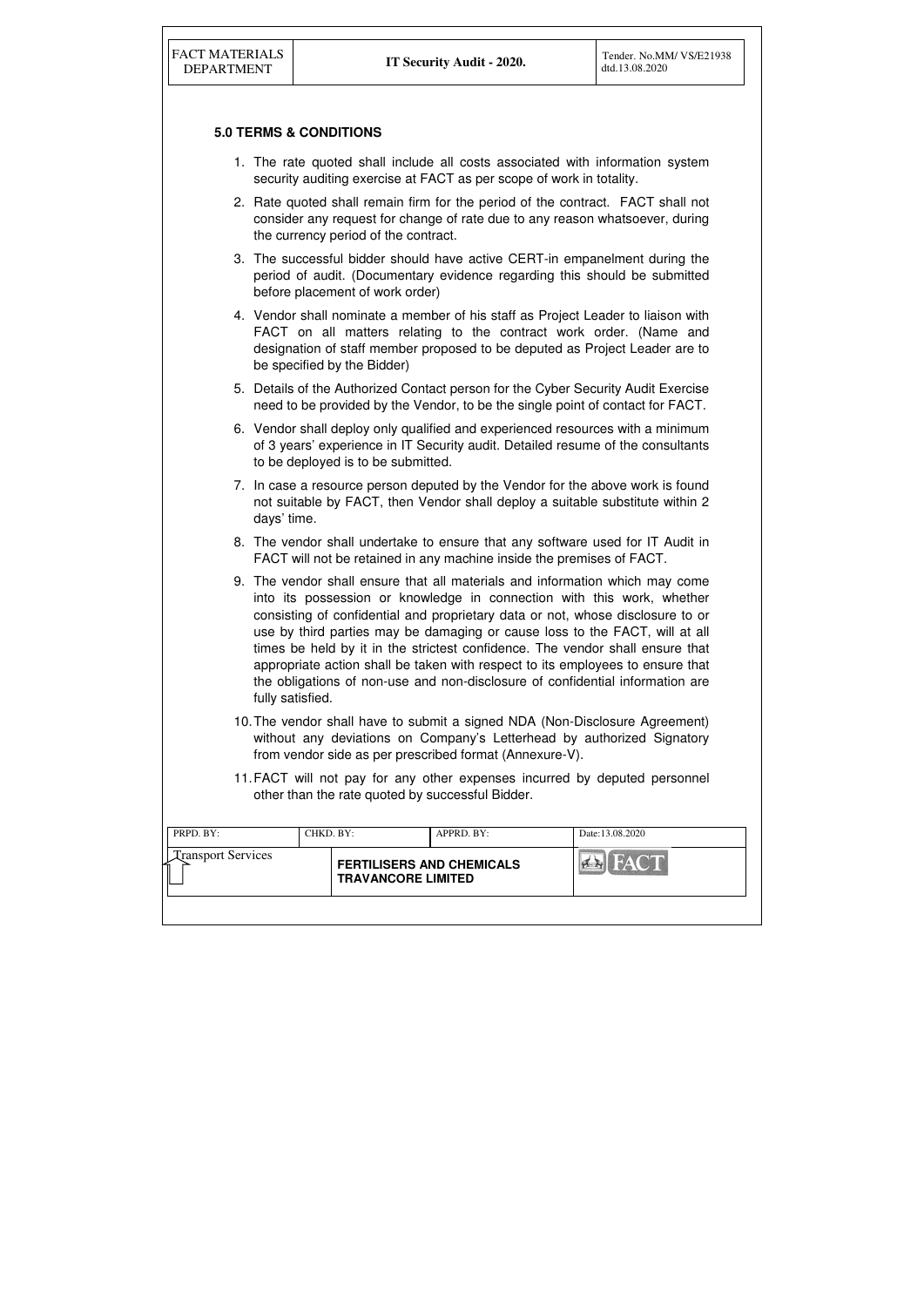| PRPD. BY:                      | CHKD. BY: |                                                               | APPRD. BY: | Date:13.08.2020         |
|--------------------------------|-----------|---------------------------------------------------------------|------------|-------------------------|
| <b>Transport Services</b><br>≺ |           | <b>FERTILISERS AND CHEMICALS</b><br><b>TRAVANCORE LIMITED</b> |            | <b>FACT</b><br>$\sigma$ |
|                                |           |                                                               |            |                         |

# **5.0 TERMS & CONDITIONS**

- 1. The rate quoted shall include all costs associated with information system security auditing exercise at FACT as per scope of work in totality.
- 2. Rate quoted shall remain firm for the period of the contract. FACT shall not consider any request for change of rate due to any reason whatsoever, during the currency period of the contract.
- 3. The successful bidder should have active CERT-in empanelment during the period of audit. (Documentary evidence regarding this should be submitted before placement of work order)
- 4. Vendor shall nominate a member of his staff as Project Leader to liaison with FACT on all matters relating to the contract work order. (Name and designation of staff member proposed to be deputed as Project Leader are to be specified by the Bidder)
- 5. Details of the Authorized Contact person for the Cyber Security Audit Exercise need to be provided by the Vendor, to be the single point of contact for FACT.
- 6. Vendor shall deploy only qualified and experienced resources with a minimum of 3 years' experience in IT Security audit. Detailed resume of the consultants to be deployed is to be submitted.
- 7. In case a resource person deputed by the Vendor for the above work is found not suitable by FACT, then Vendor shall deploy a suitable substitute within 2 days' time.
- 8. The vendor shall undertake to ensure that any software used for IT Audit in FACT will not be retained in any machine inside the premises of FACT.
- 9. The vendor shall ensure that all materials and information which may come into its possession or knowledge in connection with this work, whether consisting of confidential and proprietary data or not, whose disclosure to or use by third parties may be damaging or cause loss to the FACT, will at all times be held by it in the strictest confidence. The vendor shall ensure that appropriate action shall be taken with respect to its employees to ensure that the obligations of non-use and non-disclosure of confidential information are fully satisfied.
- 10. The vendor shall have to submit a signed NDA (Non-Disclosure Agreement) without any deviations on Company's Letterhead by authorized Signatory from vendor side as per prescribed format (Annexure-V).
- 11. FACT will not pay for any other expenses incurred by deputed personnel other than the rate quoted by successful Bidder.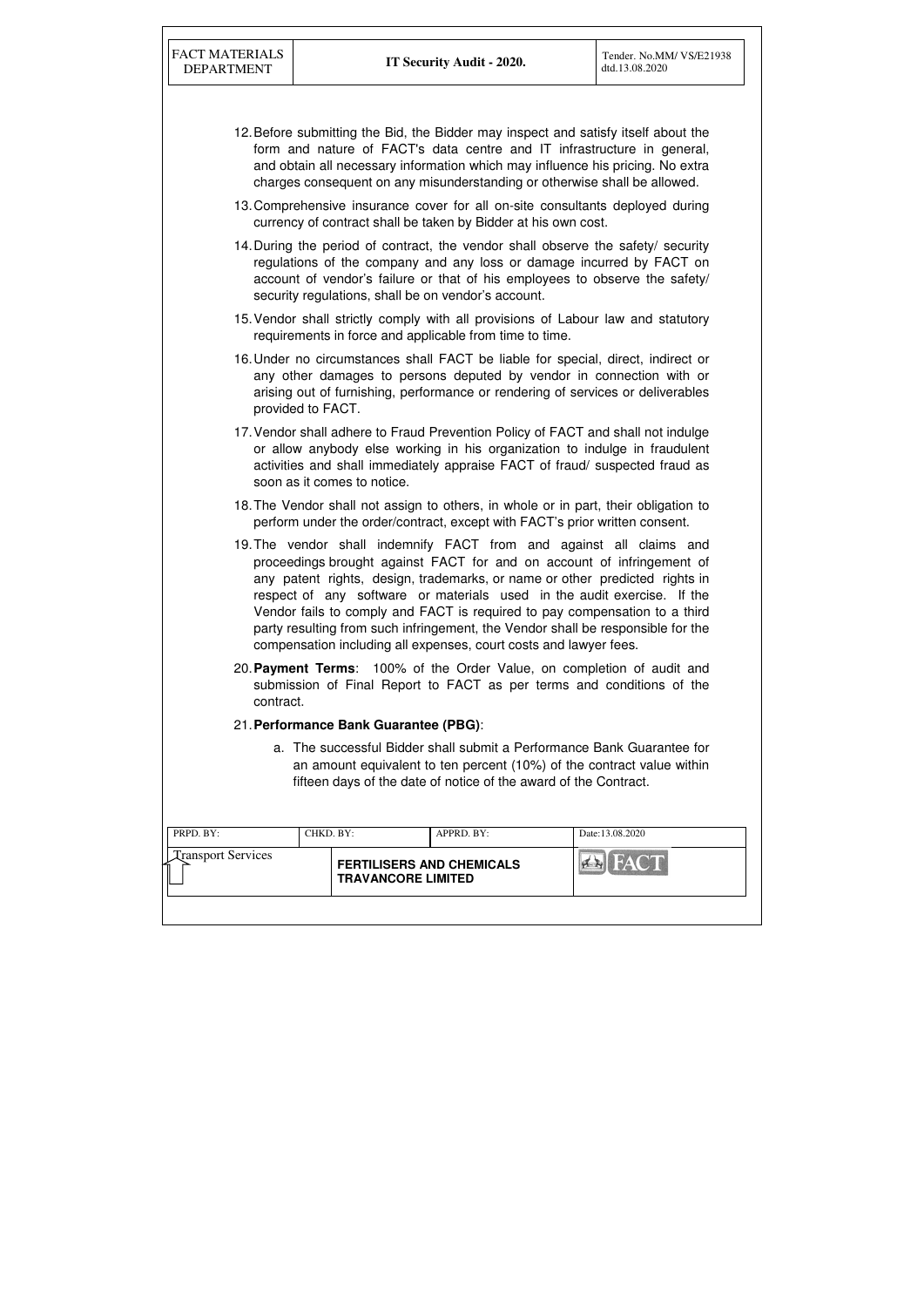| PRPD. BY:                 | CHKD. BY: |                                                               | APPRD. BY: | Date:13.08.2020    |
|---------------------------|-----------|---------------------------------------------------------------|------------|--------------------|
| <b>Transport Services</b> |           | <b>FERTILISERS AND CHEMICALS</b><br><b>TRAVANCORE LIMITED</b> |            | <b>THEAT COMPA</b> |
|                           |           |                                                               |            |                    |

- 12. Before submitting the Bid, the Bidder may inspect and satisfy itself about the form and nature of FACT's data centre and IT infrastructure in general, and obtain all necessary information which may influence his pricing. No extra charges consequent on any misunderstanding or otherwise shall be allowed.
- 13. Comprehensive insurance cover for all on-site consultants deployed during currency of contract shall be taken by Bidder at his own cost.
- 14. During the period of contract, the vendor shall observe the safety/ security regulations of the company and any loss or damage incurred by FACT on account of vendor's failure or that of his employees to observe the safety/ security regulations, shall be on vendor's account.
- 15. Vendor shall strictly comply with all provisions of Labour law and statutory requirements in force and applicable from time to time.
- 16. Under no circumstances shall FACT be liable for special, direct, indirect or any other damages to persons deputed by vendor in connection with or arising out of furnishing, performance or rendering of services or deliverables provided to FACT.
- 17. Vendor shall adhere to Fraud Prevention Policy of FACT and shall not indulge or allow anybody else working in his organization to indulge in fraudulent activities and shall immediately appraise FACT of fraud/ suspected fraud as soon as it comes to notice.
- 18. The Vendor shall not assign to others, in whole or in part, their obligation to perform under the order/contract, except with FACT's prior written consent.
- 19. The vendor shall indemnify FACT from and against all claims and proceedings brought against FACT for and on account of infringement of any patent rights, design, trademarks, or name or other predicted rights in respect of any software or materials used in the audit exercise. If the Vendor fails to comply and FACT is required to pay compensation to a third party resulting from such infringement, the Vendor shall be responsible for the compensation including all expenses, court costs and lawyer fees.
- 20. **Payment Terms**: 100% of the Order Value, on completion of audit and submission of Final Report to FACT as per terms and conditions of the contract.
- 21. **Performance Bank Guarantee (PBG)**:
	- a. The successful Bidder shall submit a Performance Bank Guarantee for an amount equivalent to ten percent (10%) of the contract value within fifteen days of the date of notice of the award of the Contract.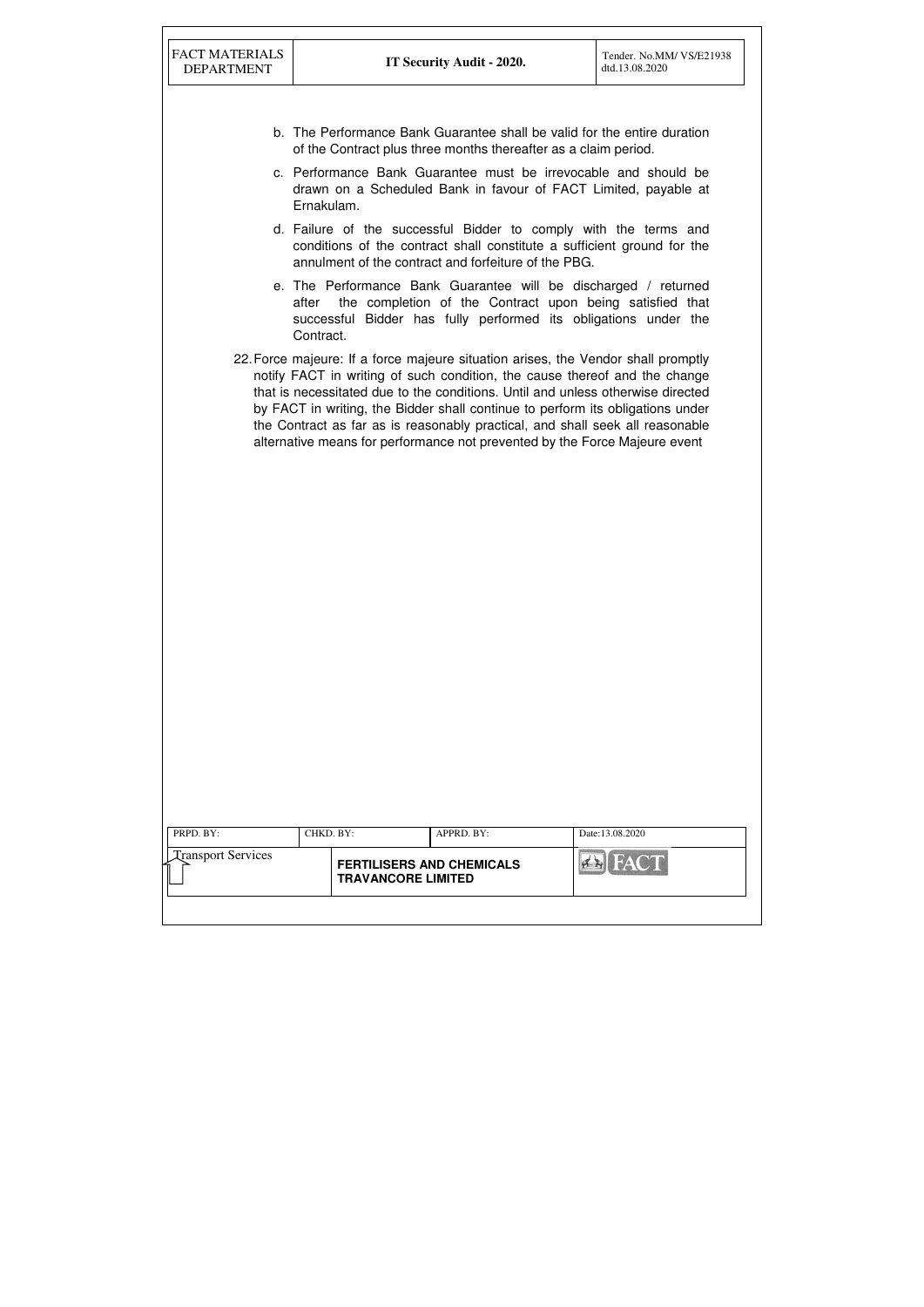| PRPD. BY:                 | CHKD. BY:                                                     | APPRD. BY: | Date:13.08.2020        |
|---------------------------|---------------------------------------------------------------|------------|------------------------|
| <b>Transport Services</b> | <b>FERTILISERS AND CHEMICALS</b><br><b>TRAVANCORE LIMITED</b> |            | <b>FACT</b><br>$H - H$ |
|                           |                                                               |            |                        |

- b. The Performance Bank Guarantee shall be valid for the entire duration of the Contract plus three months thereafter as a claim period.
- c. Performance Bank Guarantee must be irrevocable and should be drawn on a Scheduled Bank in favour of FACT Limited, payable at Ernakulam.
- d. Failure of the successful Bidder to comply with the terms and conditions of the contract shall constitute a sufficient ground for the annulment of the contract and forfeiture of the PBG.
- e. The Performance Bank Guarantee will be discharged / returned after the completion of the Contract upon being satisfied that successful Bidder has fully performed its obligations under the Contract.
- 22. Force majeure: If a force majeure situation arises, the Vendor shall promptly notify FACT in writing of such condition, the cause thereof and the change that is necessitated due to the conditions. Until and unless otherwise directed by FACT in writing, the Bidder shall continue to perform its obligations under the Contract as far as is reasonably practical, and shall seek all reasonable alternative means for performance not prevented by the Force Majeure event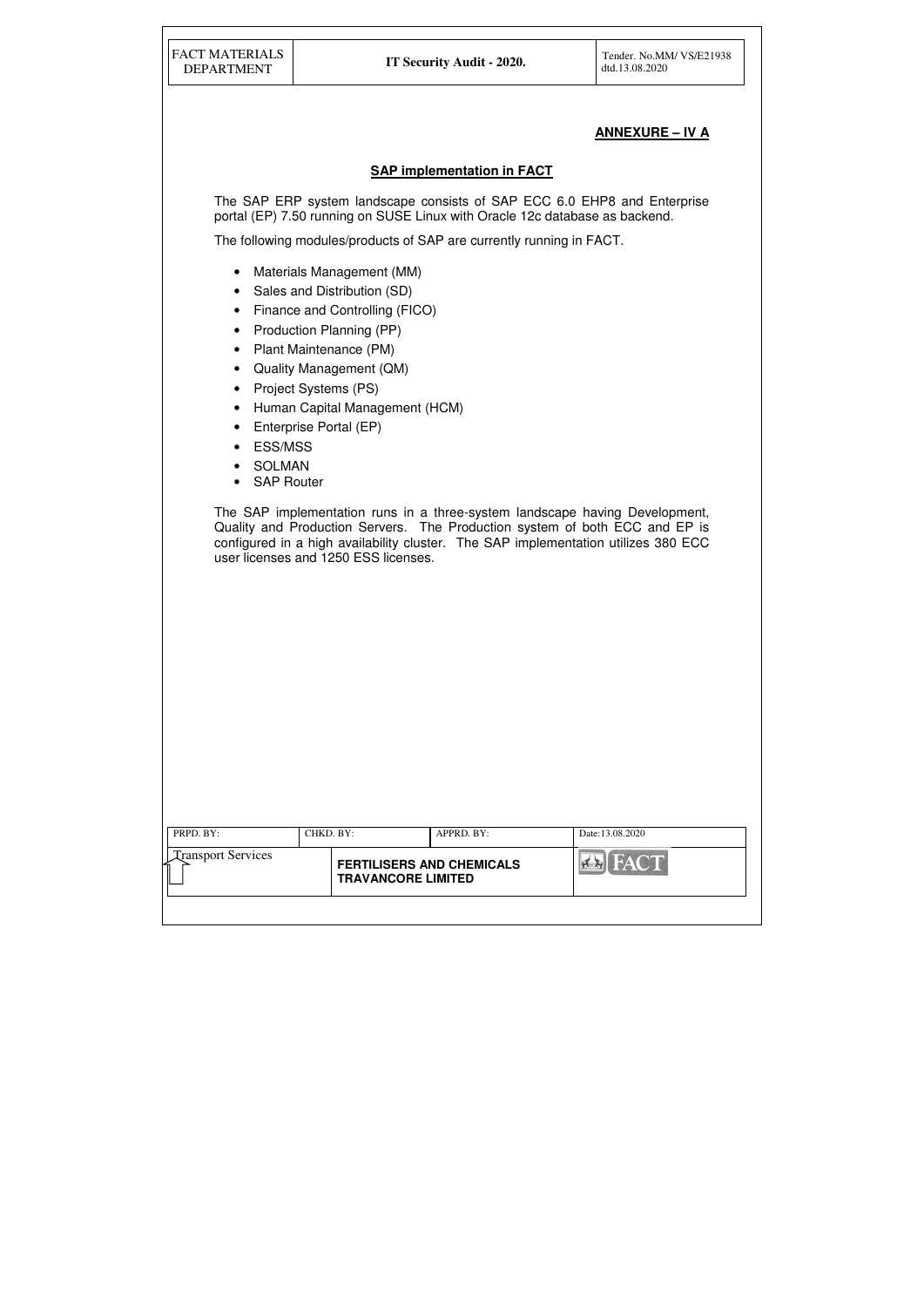| PRPD. BY:                 | CHKD. BY:                 | APPRD. BY:                       | Date:13.08.2020 |
|---------------------------|---------------------------|----------------------------------|-----------------|
| <b>Transport Services</b> | <b>TRAVANCORE LIMITED</b> | <b>FERTILISERS AND CHEMICALS</b> | <b>BEN FACT</b> |
|                           |                           |                                  |                 |

# **ANNEXURE – IV A**

### **SAP implementation in FACT**

The SAP ERP system landscape consists of SAP ECC 6.0 EHP8 and Enterprise portal (EP) 7.50 running on SUSE Linux with Oracle 12c database as backend.

The following modules/products of SAP are currently running in FACT.

- Materials Management (MM)
- Sales and Distribution (SD)
- Finance and Controlling (FICO)
- Production Planning (PP)
- Plant Maintenance (PM)
- Quality Management (QM)
- Project Systems (PS)
- Human Capital Management (HCM)
- Enterprise Portal (EP)
- ESS/MSS
- SOLMAN
- SAP Router

The SAP implementation runs in a three-system landscape having Development, Quality and Production Servers. The Production system of both ECC and EP is configured in a high availability cluster. The SAP implementation utilizes 380 ECC user licenses and 1250 ESS licenses.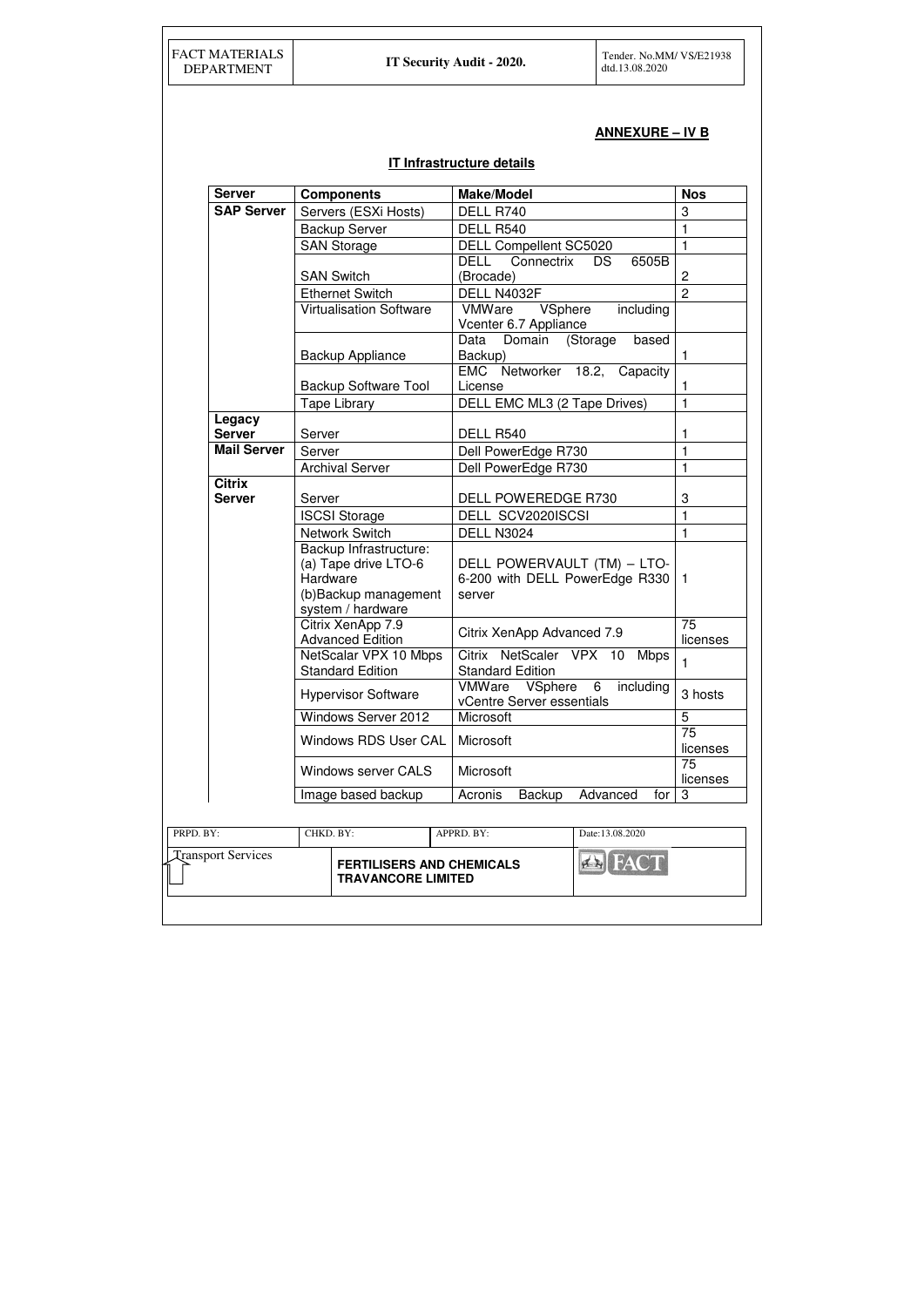# **ANNEXURE – IV B**

# **IT Infrastructure details**

| <b>Server</b>             | <b>Components</b>                                                                                        | <b>Make/Model</b>                                                       | <b>Nos</b>     |
|---------------------------|----------------------------------------------------------------------------------------------------------|-------------------------------------------------------------------------|----------------|
| <b>SAP Server</b>         | Servers (ESXi Hosts)                                                                                     | DELL R740                                                               | 3              |
|                           | <b>Backup Server</b>                                                                                     | DELL R540                                                               | 1              |
|                           | <b>SAN Storage</b>                                                                                       | <b>DELL Compellent SC5020</b>                                           | $\mathbf{1}$   |
|                           |                                                                                                          | DELL<br>Connectrix<br>6505B<br>DS.                                      |                |
|                           | <b>SAN Switch</b>                                                                                        | (Brocade)                                                               | $\overline{c}$ |
|                           | <b>Ethernet Switch</b>                                                                                   | DELL N4032F                                                             | $\overline{2}$ |
|                           | <b>Virtualisation Software</b>                                                                           | VSphere<br>VMWare<br>including<br>Vcenter 6.7 Appliance                 |                |
|                           | <b>Backup Appliance</b>                                                                                  | Domain<br>(Storage<br>based<br>Data<br>Backup)                          | 1              |
|                           | <b>Backup Software Tool</b>                                                                              | EMC Networker 18.2, Capacity<br>License                                 | 1              |
|                           | <b>Tape Library</b>                                                                                      | DELL EMC ML3 (2 Tape Drives)                                            | $\mathbf{1}$   |
| Legacy                    |                                                                                                          |                                                                         |                |
| <b>Server</b>             | Server                                                                                                   | DELL R540                                                               | 1              |
| <b>Mail Server</b>        | Server                                                                                                   | Dell PowerEdge R730                                                     | $\mathbf{1}$   |
|                           | <b>Archival Server</b>                                                                                   | Dell PowerEdge R730                                                     | $\mathbf{1}$   |
| <b>Citrix</b>             |                                                                                                          |                                                                         |                |
| <b>Server</b>             | Server                                                                                                   | DELL POWEREDGE R730                                                     | 3              |
|                           | <b>ISCSI Storage</b>                                                                                     | DELL SCV2020ISCSI                                                       | $\mathbf{1}$   |
|                           | <b>Network Switch</b>                                                                                    | <b>DELL N3024</b>                                                       | 1              |
|                           | Backup Infrastructure:<br>(a) Tape drive LTO-6<br>Hardware<br>(b) Backup management<br>system / hardware | DELL POWERVAULT (TM) - LTO-<br>6-200 with DELL PowerEdge R330<br>server | $\mathbf{1}$   |
|                           | Citrix XenApp 7.9<br><b>Advanced Edition</b>                                                             | Citrix XenApp Advanced 7.9                                              | 75<br>licenses |
|                           | NetScalar VPX 10 Mbps<br><b>Standard Edition</b>                                                         | Citrix NetScaler VPX 10<br><b>Mbps</b><br><b>Standard Edition</b>       | 1              |
|                           | <b>Hypervisor Software</b>                                                                               | VMWare VSphere<br>6<br>including<br><b>vCentre Server essentials</b>    | 3 hosts        |
|                           | <b>Windows Server 2012</b>                                                                               | <b>Microsoft</b>                                                        | 5              |
|                           | <b>Windows RDS User CAL</b>                                                                              | Microsoft                                                               | 75<br>licenses |
|                           | <b>Windows server CALS</b>                                                                               | Microsoft                                                               | 75<br>licenses |
|                           | Image based backup                                                                                       | Acronis<br><b>Backup</b><br>Advanced<br>for                             | 3              |
|                           |                                                                                                          |                                                                         |                |
| PRPD. BY:                 | CHKD. BY:                                                                                                | Date:13.08.2020                                                         |                |
| <b>Transport Services</b> | APPRD. BY:<br><b>EN FACT</b><br><b>FERTILISERS AND CHEMICALS</b><br><b>TRAVANCORE LIMITED</b>            |                                                                         |                |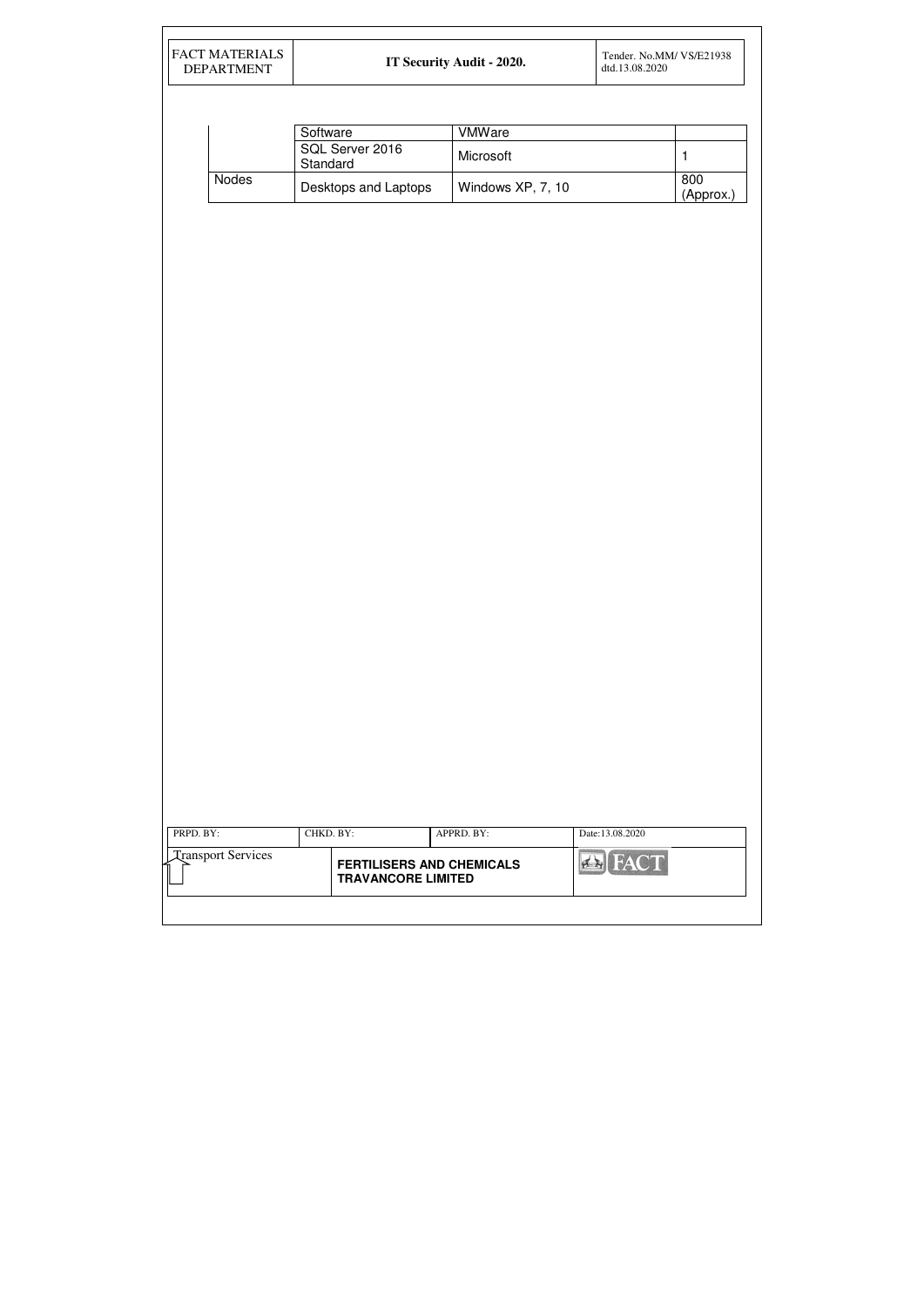| <b>DEPARTMENT</b>         |                                  | IT Security Audit - 2020. | Tender. No.MM/ VS/E21938<br>dtd.13.08.2020 |              |
|---------------------------|----------------------------------|---------------------------|--------------------------------------------|--------------|
|                           |                                  |                           |                                            |              |
|                           | Software                         | <b>VMWare</b>             |                                            |              |
|                           | SQL Server 2016                  | Microsoft                 |                                            | $\mathbf{1}$ |
| Nodes                     | Standard                         |                           |                                            | 800          |
|                           | Desktops and Laptops             | Windows XP, 7, 10         |                                            | (Approx.)    |
|                           |                                  |                           |                                            |              |
|                           |                                  |                           |                                            |              |
|                           |                                  |                           |                                            |              |
|                           |                                  |                           |                                            |              |
|                           |                                  |                           |                                            |              |
|                           |                                  |                           |                                            |              |
|                           |                                  |                           |                                            |              |
|                           |                                  |                           |                                            |              |
|                           |                                  |                           |                                            |              |
|                           |                                  |                           |                                            |              |
|                           |                                  |                           |                                            |              |
|                           |                                  |                           |                                            |              |
|                           |                                  |                           |                                            |              |
|                           |                                  |                           |                                            |              |
|                           |                                  |                           |                                            |              |
|                           |                                  |                           |                                            |              |
|                           |                                  |                           |                                            |              |
|                           |                                  |                           |                                            |              |
|                           |                                  |                           |                                            |              |
|                           |                                  |                           |                                            |              |
|                           |                                  |                           |                                            |              |
|                           |                                  |                           |                                            |              |
|                           |                                  |                           |                                            |              |
|                           |                                  |                           |                                            |              |
|                           |                                  |                           |                                            |              |
|                           |                                  |                           |                                            |              |
|                           |                                  |                           |                                            |              |
|                           |                                  |                           |                                            |              |
| PRPD. BY:                 | CHKD. BY:                        | APPRD. BY:                | Date:13.08.2020                            |              |
| <b>Transport Services</b> | <b>FERTILISERS AND CHEMICALS</b> |                           | <b>Ex</b> FACT                             |              |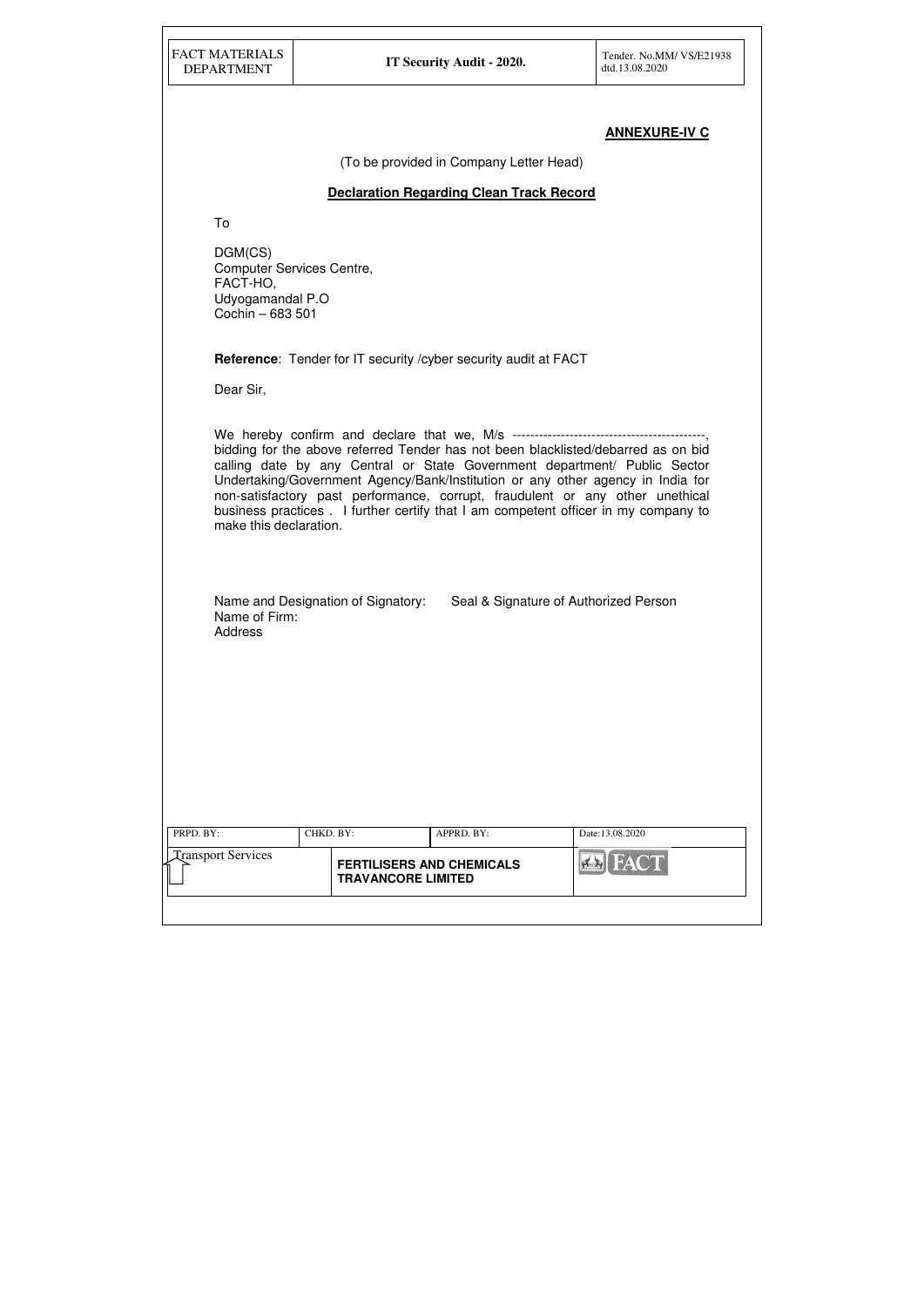| PRPD. BY:                      | CHKD. BY: |                                                               | APPRD. BY: | Date:13.08.2020 |
|--------------------------------|-----------|---------------------------------------------------------------|------------|-----------------|
| <b>Transport Services</b><br>ĺ |           | <b>FERTILISERS AND CHEMICALS</b><br><b>TRAVANCORE LIMITED</b> |            |                 |
|                                |           |                                                               |            |                 |

# **ANNEXURE-IV C**

(To be provided in Company Letter Head)

#### **Declaration Regarding Clean Track Record**

To

DGM(CS) Computer Services Centre, FACT-HO, Udyogamandal P.O Cochin – 683 501

**Reference**: Tender for IT security /cyber security audit at FACT

Dear Sir,

We hereby confirm and declare that we, M/s ---------------------------bidding for the above referred Tender has not been blacklisted/debarred as on bid calling date by any Central or State Government department/ Public Sector Undertaking/Government Agency/Bank/Institution or any other agency in India for non-satisfactory past performance, corrupt, fraudulent or any other unethical business practices . I further certify that I am competent officer in my company to make this declaration.

Name and Designation of Signatory: Seal & Signature of Authorized Person Name of Firm: Address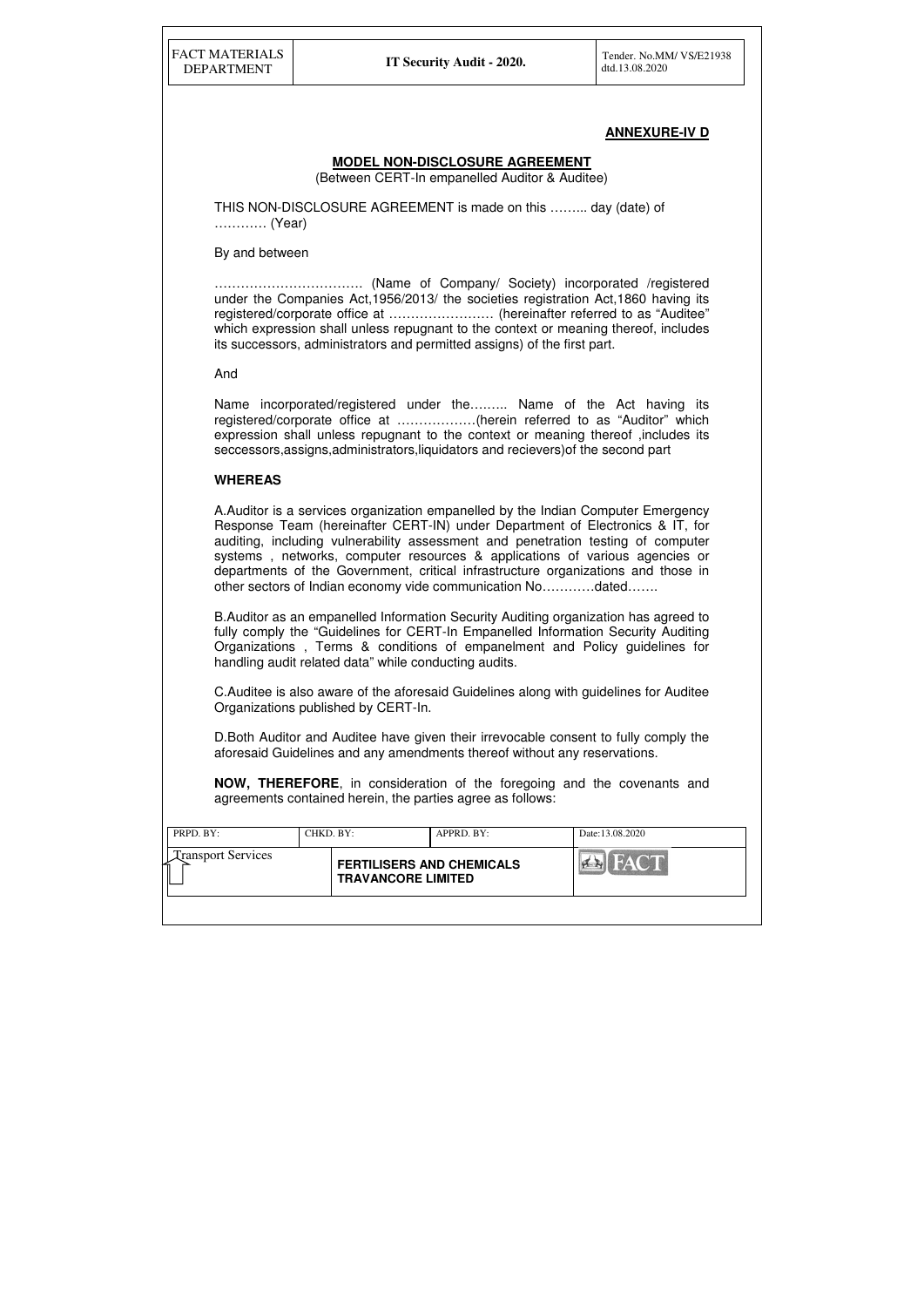| <b>Transport Services</b><br><b>FACT</b><br><b>FERTILISERS AND CHEMICALS</b><br>$\mathbf{A}$ $\mathbf{A}$<br><b>TRAVANCORE LIMITED</b> | PRPD. BY: | CHKD. BY: | $APPRD$ . $BY$ : | Date: 13.08.2020 |
|----------------------------------------------------------------------------------------------------------------------------------------|-----------|-----------|------------------|------------------|
|                                                                                                                                        |           |           |                  |                  |

# **ANNEXURE-IV D**

#### **MODEL NON-DISCLOSURE AGREEMENT**

(Between CERT-In empanelled Auditor & Auditee)

THIS NON-DISCLOSURE AGREEMENT is made on this ……... day (date) of ………… (Year)

#### By and between

Name incorporated/registered under the…...... Name of the Act having its registered/corporate office at ………………(herein referred to as "Auditor" which expression shall unless repugnant to the context or meaning thereof ,includes its seccessors,assigns,administrators,liquidators and recievers)of the second part

……………………………. (Name of Company/ Society) incorporated /registered under the Companies Act,1956/2013/ the societies registration Act,1860 having its registered/corporate office at …………………… (hereinafter referred to as "Auditee" which expression shall unless repugnant to the context or meaning thereof, includes its successors, administrators and permitted assigns) of the first part.

And

#### **WHEREAS**

A.Auditor is a services organization empanelled by the Indian Computer Emergency Response Team (hereinafter CERT-IN) under Department of Electronics & IT, for auditing, including vulnerability assessment and penetration testing of computer systems , networks, computer resources & applications of various agencies or departments of the Government, critical infrastructure organizations and those in other sectors of Indian economy vide communication No…………dated…….

B.Auditor as an empanelled Information Security Auditing organization has agreed to fully comply the "Guidelines for CERT-In Empanelled Information Security Auditing Organizations , Terms & conditions of empanelment and Policy guidelines for handling audit related data" while conducting audits.

C.Auditee is also aware of the aforesaid Guidelines along with guidelines for Auditee Organizations published by CERT-In.

D.Both Auditor and Auditee have given their irrevocable consent to fully comply the aforesaid Guidelines and any amendments thereof without any reservations.

**NOW, THEREFORE**, in consideration of the foregoing and the covenants and agreements contained herein, the parties agree as follows: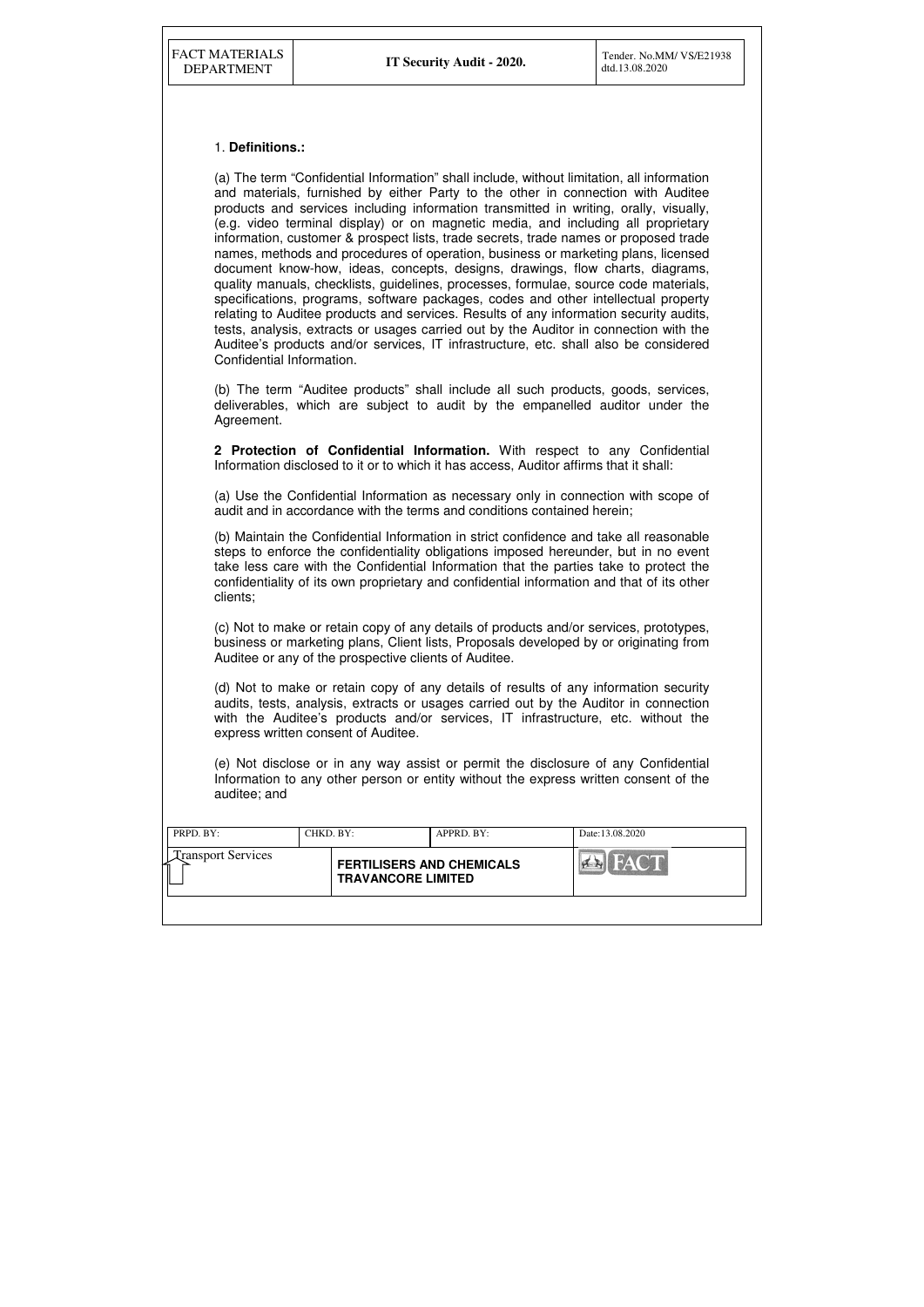| PRPD. BY:                 | CHKD. BY: |                                                               | APPRD. BY: | Date:13.08.2020                   |
|---------------------------|-----------|---------------------------------------------------------------|------------|-----------------------------------|
| <b>Transport Services</b> |           | <b>FERTILISERS AND CHEMICALS</b><br><b>TRAVANCORE LIMITED</b> |            | HAYCH<br>$\left  \bullet \right $ |
|                           |           |                                                               |            |                                   |

#### 1. **Definitions.:**

(a) The term "Confidential Information" shall include, without limitation, all information and materials, furnished by either Party to the other in connection with Auditee products and services including information transmitted in writing, orally, visually, (e.g. video terminal display) or on magnetic media, and including all proprietary information, customer & prospect lists, trade secrets, trade names or proposed trade names, methods and procedures of operation, business or marketing plans, licensed document know-how, ideas, concepts, designs, drawings, flow charts, diagrams, quality manuals, checklists, guidelines, processes, formulae, source code materials, specifications, programs, software packages, codes and other intellectual property relating to Auditee products and services. Results of any information security audits, tests, analysis, extracts or usages carried out by the Auditor in connection with the Auditee's products and/or services, IT infrastructure, etc. shall also be considered Confidential Information.

(b) The term "Auditee products" shall include all such products, goods, services, deliverables, which are subject to audit by the empanelled auditor under the Agreement.

**2 Protection of Confidential Information.** With respect to any Confidential Information disclosed to it or to which it has access, Auditor affirms that it shall:

(a) Use the Confidential Information as necessary only in connection with scope of audit and in accordance with the terms and conditions contained herein;

(b) Maintain the Confidential Information in strict confidence and take all reasonable steps to enforce the confidentiality obligations imposed hereunder, but in no event take less care with the Confidential Information that the parties take to protect the confidentiality of its own proprietary and confidential information and that of its other clients;

(c) Not to make or retain copy of any details of products and/or services, prototypes, business or marketing plans, Client lists, Proposals developed by or originating from Auditee or any of the prospective clients of Auditee.

(d) Not to make or retain copy of any details of results of any information security audits, tests, analysis, extracts or usages carried out by the Auditor in connection with the Auditee's products and/or services, IT infrastructure, etc. without the express written consent of Auditee.

(e) Not disclose or in any way assist or permit the disclosure of any Confidential Information to any other person or entity without the express written consent of the auditee; and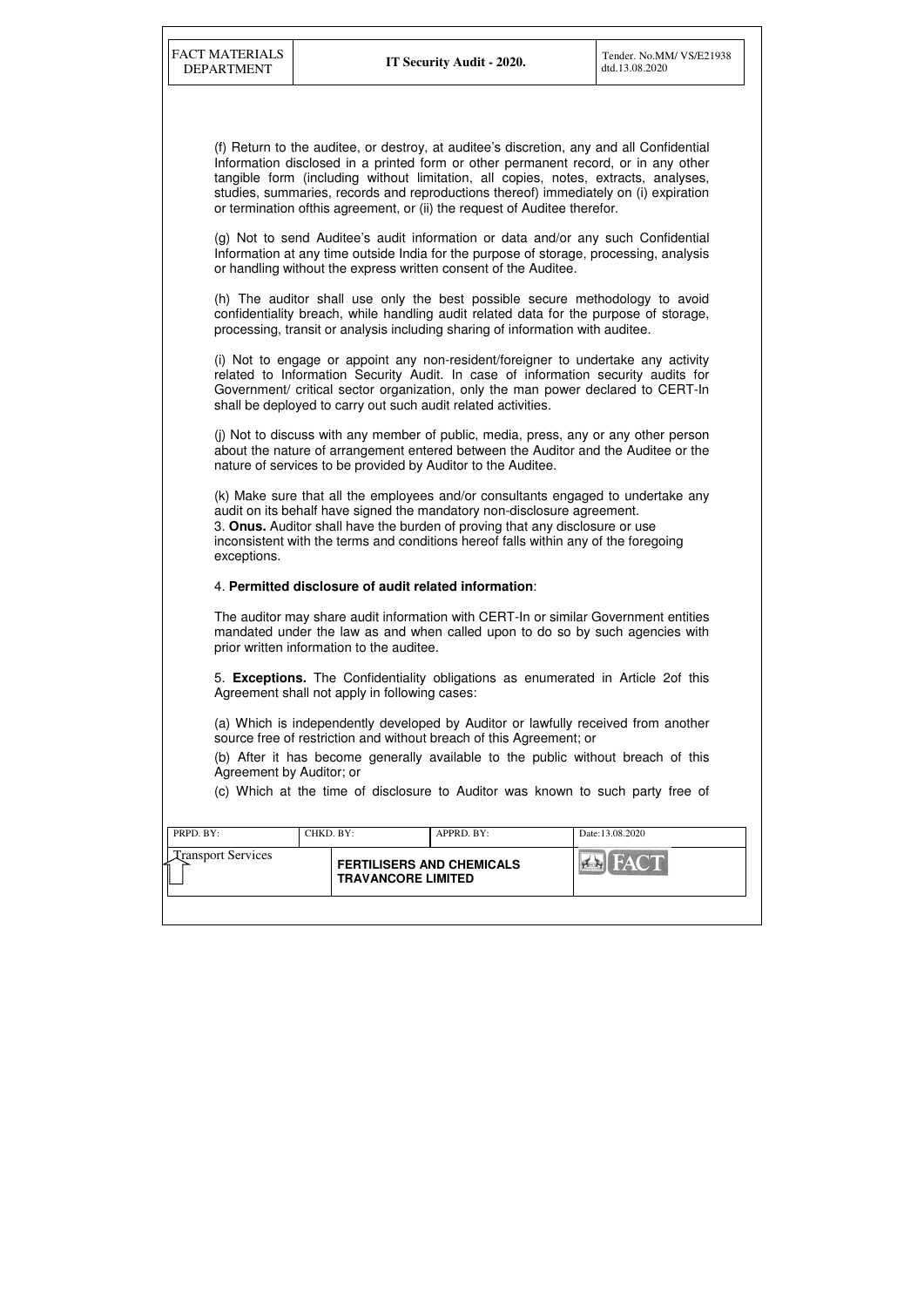| <b>Transport Services</b><br><b>FERTILISERS AND CHEMICALS</b><br><b>TRAVANCORE LIMITED</b> | PRPD. BY: | CHKD, BY: | APPRD. BY: | Date:13.08.2020 |
|--------------------------------------------------------------------------------------------|-----------|-----------|------------|-----------------|
|                                                                                            |           |           |            |                 |

(f) Return to the auditee, or destroy, at auditee's discretion, any and all Confidential Information disclosed in a printed form or other permanent record, or in any other tangible form (including without limitation, all copies, notes, extracts, analyses, studies, summaries, records and reproductions thereof) immediately on (i) expiration or termination ofthis agreement, or (ii) the request of Auditee therefor.

(g) Not to send Auditee's audit information or data and/or any such Confidential Information at any time outside India for the purpose of storage, processing, analysis or handling without the express written consent of the Auditee.

(h) The auditor shall use only the best possible secure methodology to avoid confidentiality breach, while handling audit related data for the purpose of storage, processing, transit or analysis including sharing of information with auditee.

(i) Not to engage or appoint any non-resident/foreigner to undertake any activity related to Information Security Audit. In case of information security audits for Government/ critical sector organization, only the man power declared to CERT-In shall be deployed to carry out such audit related activities.

(j) Not to discuss with any member of public, media, press, any or any other person about the nature of arrangement entered between the Auditor and the Auditee or the nature of services to be provided by Auditor to the Auditee.

(k) Make sure that all the employees and/or consultants engaged to undertake any audit on its behalf have signed the mandatory non-disclosure agreement. 3. **Onus.** Auditor shall have the burden of proving that any disclosure or use inconsistent with the terms and conditions hereof falls within any of the foregoing exceptions.

#### 4. **Permitted disclosure of audit related information**:

The auditor may share audit information with CERT-In or similar Government entities mandated under the law as and when called upon to do so by such agencies with prior written information to the auditee.

5. **Exceptions.** The Confidentiality obligations as enumerated in Article 2of this Agreement shall not apply in following cases:

(a) Which is independently developed by Auditor or lawfully received from another source free of restriction and without breach of this Agreement; or

(b) After it has become generally available to the public without breach of this Agreement by Auditor; or

(c) Which at the time of disclosure to Auditor was known to such party free of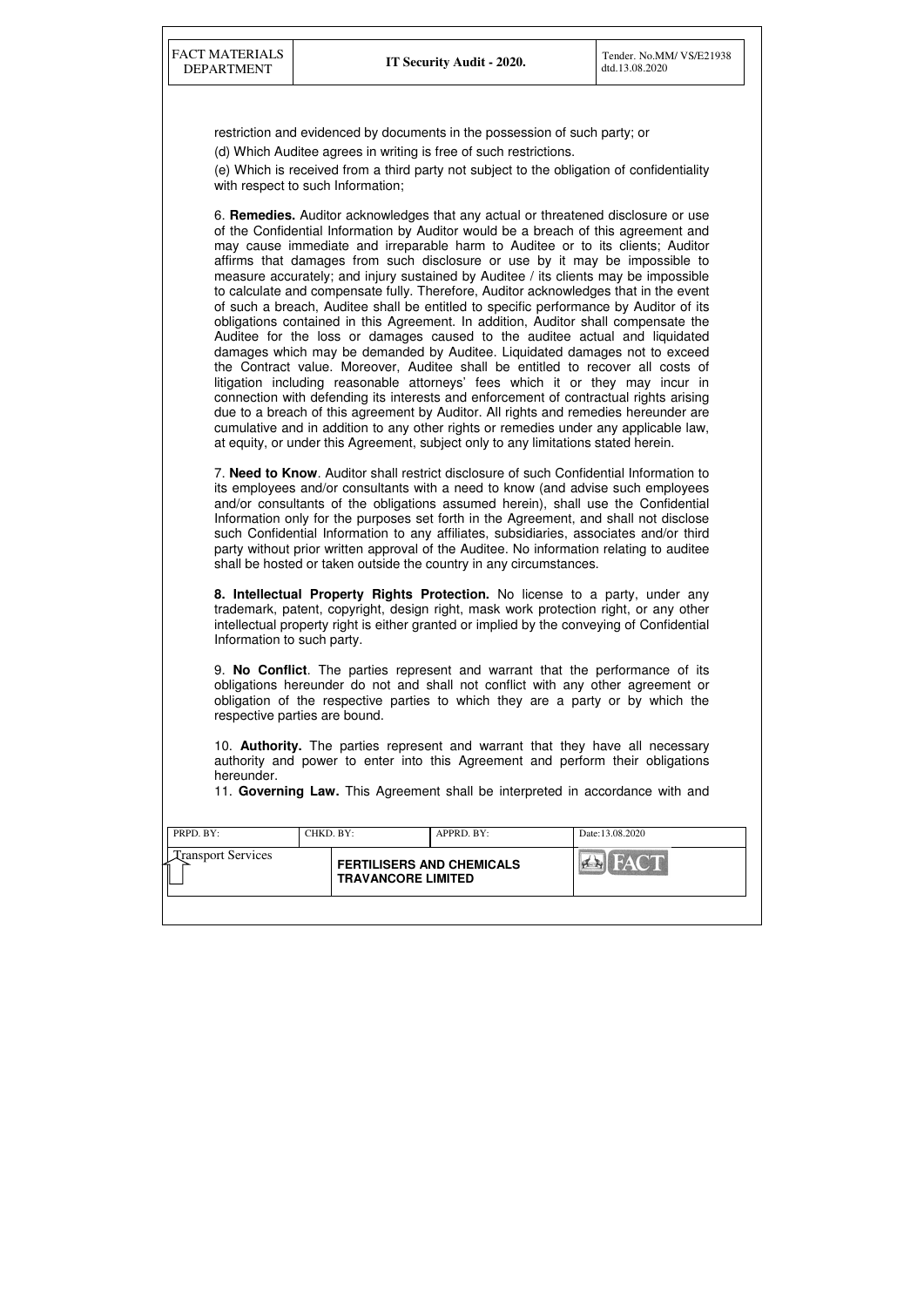| PRPD. BY:                 | CHKD. BY:                                                     | APPRD. BY: | Date:13.08.2020 |
|---------------------------|---------------------------------------------------------------|------------|-----------------|
| <b>Transport Services</b> | <b>FERTILISERS AND CHEMICALS</b><br><b>TRAVANCORE LIMITED</b> |            |                 |
|                           |                                                               |            |                 |

restriction and evidenced by documents in the possession of such party; or

(d) Which Auditee agrees in writing is free of such restrictions.

(e) Which is received from a third party not subject to the obligation of confidentiality with respect to such Information;

6. **Remedies.** Auditor acknowledges that any actual or threatened disclosure or use of the Confidential Information by Auditor would be a breach of this agreement and may cause immediate and irreparable harm to Auditee or to its clients; Auditor affirms that damages from such disclosure or use by it may be impossible to measure accurately; and injury sustained by Auditee / its clients may be impossible to calculate and compensate fully. Therefore, Auditor acknowledges that in the event of such a breach, Auditee shall be entitled to specific performance by Auditor of its obligations contained in this Agreement. In addition, Auditor shall compensate the Auditee for the loss or damages caused to the auditee actual and liquidated damages which may be demanded by Auditee. Liquidated damages not to exceed the Contract value. Moreover, Auditee shall be entitled to recover all costs of litigation including reasonable attorneys' fees which it or they may incur in connection with defending its interests and enforcement of contractual rights arising due to a breach of this agreement by Auditor. All rights and remedies hereunder are cumulative and in addition to any other rights or remedies under any applicable law, at equity, or under this Agreement, subject only to any limitations stated herein.

7. **Need to Know**. Auditor shall restrict disclosure of such Confidential Information to its employees and/or consultants with a need to know (and advise such employees and/or consultants of the obligations assumed herein), shall use the Confidential Information only for the purposes set forth in the Agreement, and shall not disclose such Confidential Information to any affiliates, subsidiaries, associates and/or third party without prior written approval of the Auditee. No information relating to auditee shall be hosted or taken outside the country in any circumstances.

**8. Intellectual Property Rights Protection.** No license to a party, under any trademark, patent, copyright, design right, mask work protection right, or any other intellectual property right is either granted or implied by the conveying of Confidential Information to such party.

9. **No Conflict**. The parties represent and warrant that the performance of its obligations hereunder do not and shall not conflict with any other agreement or obligation of the respective parties to which they are a party or by which the respective parties are bound.

10. **Authority.** The parties represent and warrant that they have all necessary authority and power to enter into this Agreement and perform their obligations hereunder.

11. **Governing Law.** This Agreement shall be interpreted in accordance with and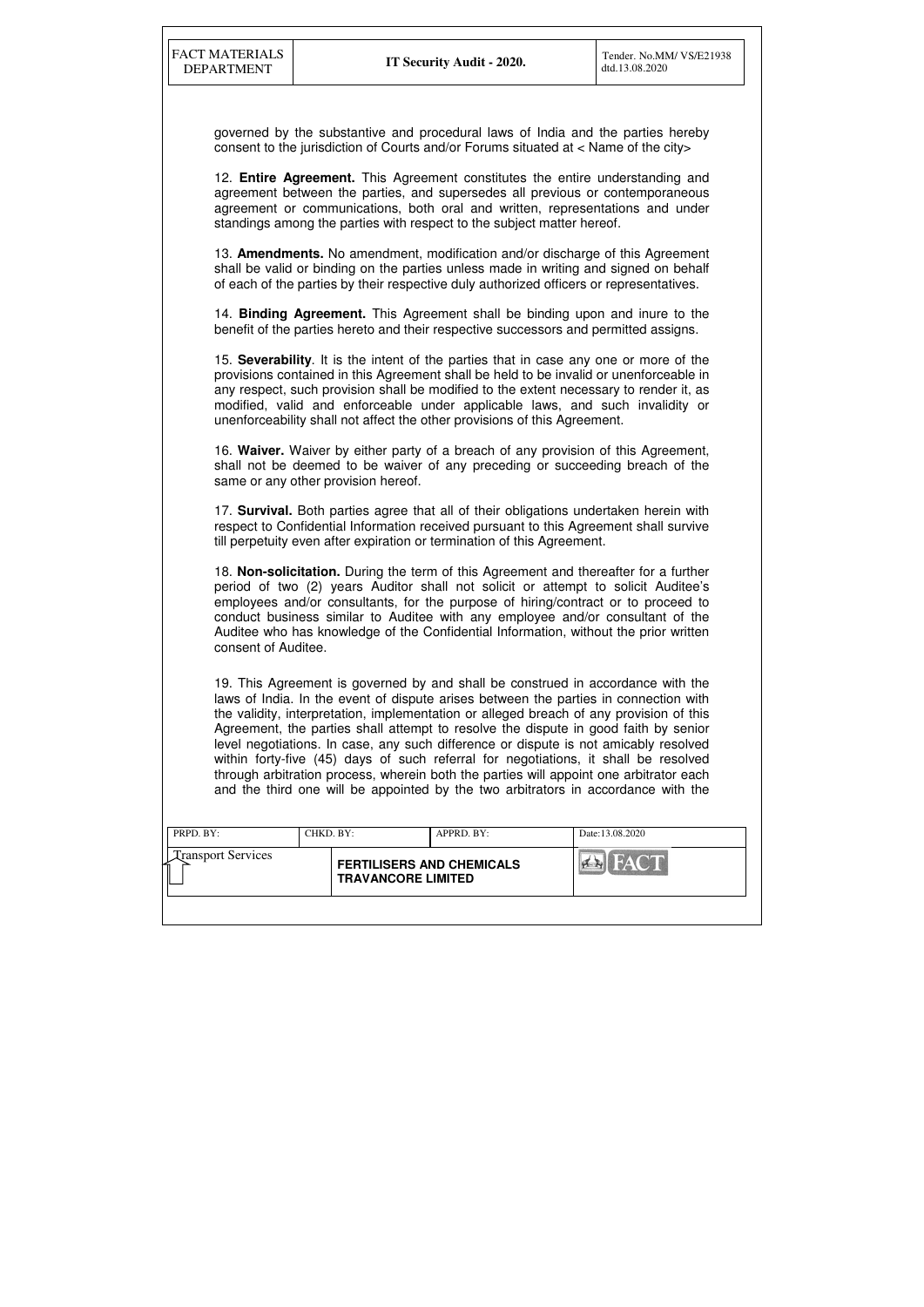| PRPD. BY:                 | CHKD. BY: |                                                               | APPRD. BY: | Date:13.08.2020                         |
|---------------------------|-----------|---------------------------------------------------------------|------------|-----------------------------------------|
| <b>Transport Services</b> |           | <b>FERTILISERS AND CHEMICALS</b><br><b>TRAVANCORE LIMITED</b> |            | <b>THE RAY ONE IN</b><br>$\sum_{i=1}^n$ |
|                           |           |                                                               |            |                                         |

governed by the substantive and procedural laws of India and the parties hereby consent to the jurisdiction of Courts and/or Forums situated at < Name of the city>

12. **Entire Agreement.** This Agreement constitutes the entire understanding and agreement between the parties, and supersedes all previous or contemporaneous agreement or communications, both oral and written, representations and under standings among the parties with respect to the subject matter hereof.

13. **Amendments.** No amendment, modification and/or discharge of this Agreement shall be valid or binding on the parties unless made in writing and signed on behalf of each of the parties by their respective duly authorized officers or representatives.

14. **Binding Agreement.** This Agreement shall be binding upon and inure to the benefit of the parties hereto and their respective successors and permitted assigns.

15. **Severability**. It is the intent of the parties that in case any one or more of the provisions contained in this Agreement shall be held to be invalid or unenforceable in any respect, such provision shall be modified to the extent necessary to render it, as modified, valid and enforceable under applicable laws, and such invalidity or unenforceability shall not affect the other provisions of this Agreement.

16. **Waiver.** Waiver by either party of a breach of any provision of this Agreement, shall not be deemed to be waiver of any preceding or succeeding breach of the same or any other provision hereof.

17. **Survival.** Both parties agree that all of their obligations undertaken herein with respect to Confidential Information received pursuant to this Agreement shall survive till perpetuity even after expiration or termination of this Agreement.

18. **Non-solicitation.** During the term of this Agreement and thereafter for a further period of two (2) years Auditor shall not solicit or attempt to solicit Auditee's employees and/or consultants, for the purpose of hiring/contract or to proceed to conduct business similar to Auditee with any employee and/or consultant of the Auditee who has knowledge of the Confidential Information, without the prior written consent of Auditee.

19. This Agreement is governed by and shall be construed in accordance with the laws of India. In the event of dispute arises between the parties in connection with the validity, interpretation, implementation or alleged breach of any provision of this Agreement, the parties shall attempt to resolve the dispute in good faith by senior level negotiations. In case, any such difference or dispute is not amicably resolved within forty-five (45) days of such referral for negotiations, it shall be resolved through arbitration process, wherein both the parties will appoint one arbitrator each and the third one will be appointed by the two arbitrators in accordance with the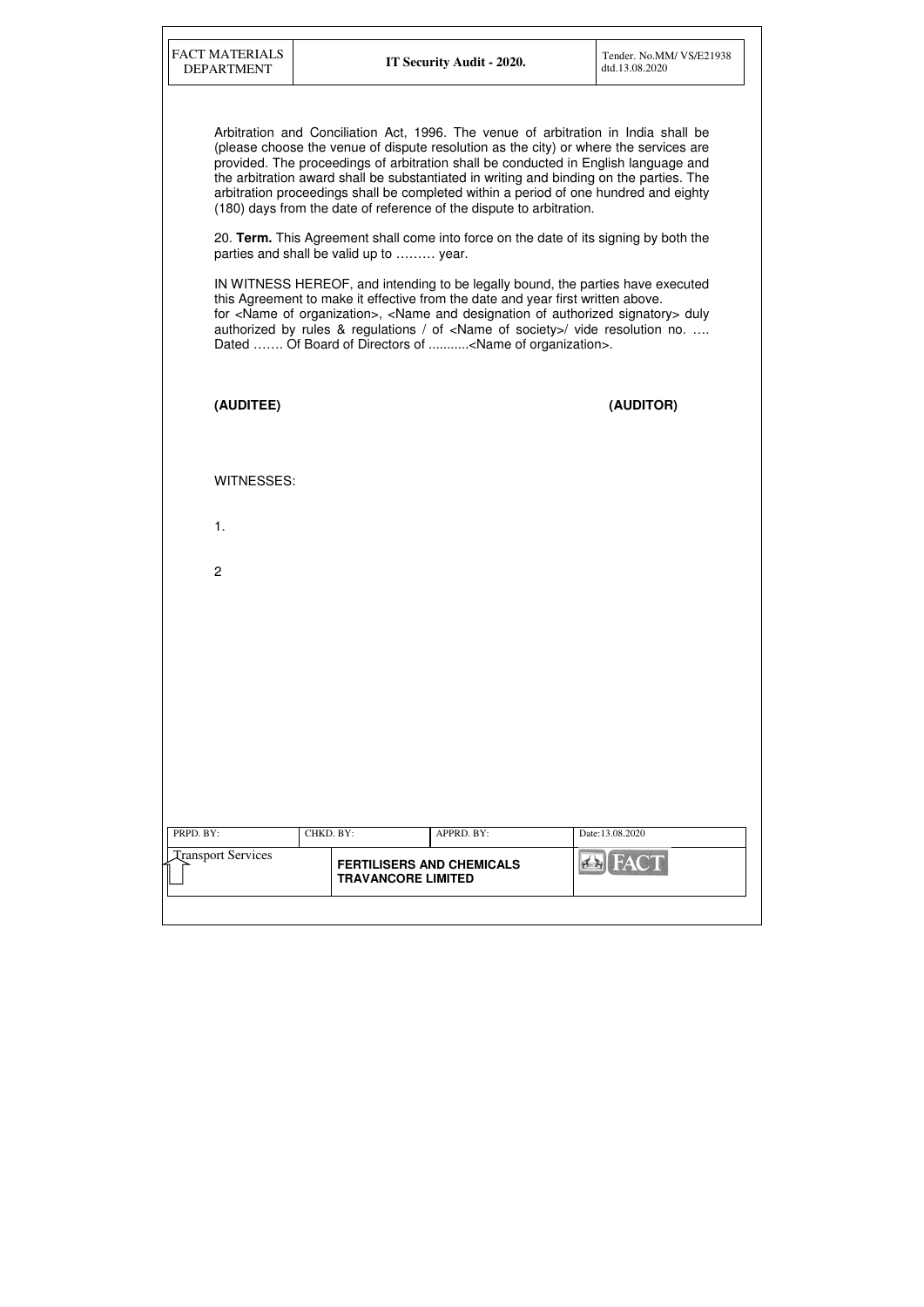IN WITNESS HEREOF, and intending to be legally bound, the parties have executed this Agreement to make it effective from the date and year first written above. for <Name of organization>, <Name and designation of authorized signatory> duly authorized by rules & regulations / of <Name of society>/ vide resolution no. …. Dated ....... Of Board of Directors of ...........<Name of organization>.

Arbitration and Conciliation Act, 1996. The venue of arbitration in India shall be (please choose the venue of dispute resolution as the city) or where the services are provided. The proceedings of arbitration shall be conducted in English language and the arbitration award shall be substantiated in writing and binding on the parties. The arbitration proceedings shall be completed within a period of one hundred and eighty (180) days from the date of reference of the dispute to arbitration.

| (AUDITEE)                 |                                                               |            | (AUDITOR)       |
|---------------------------|---------------------------------------------------------------|------------|-----------------|
|                           |                                                               |            |                 |
| WITNESSES:                |                                                               |            |                 |
| 1.                        |                                                               |            |                 |
| $\overline{c}$            |                                                               |            |                 |
|                           |                                                               |            |                 |
|                           |                                                               |            |                 |
|                           |                                                               |            |                 |
|                           |                                                               |            |                 |
|                           |                                                               |            |                 |
| PRPD. BY:                 | CHKD. BY:                                                     | APPRD. BY: | Date:13.08.2020 |
| <b>Transport Services</b> | <b>FERTILISERS AND CHEMICALS</b><br><b>TRAVANCORE LIMITED</b> |            | <b>Ex</b> FACT  |
|                           |                                                               |            |                 |

20. **Term.** This Agreement shall come into force on the date of its signing by both the parties and shall be valid up to ……… year.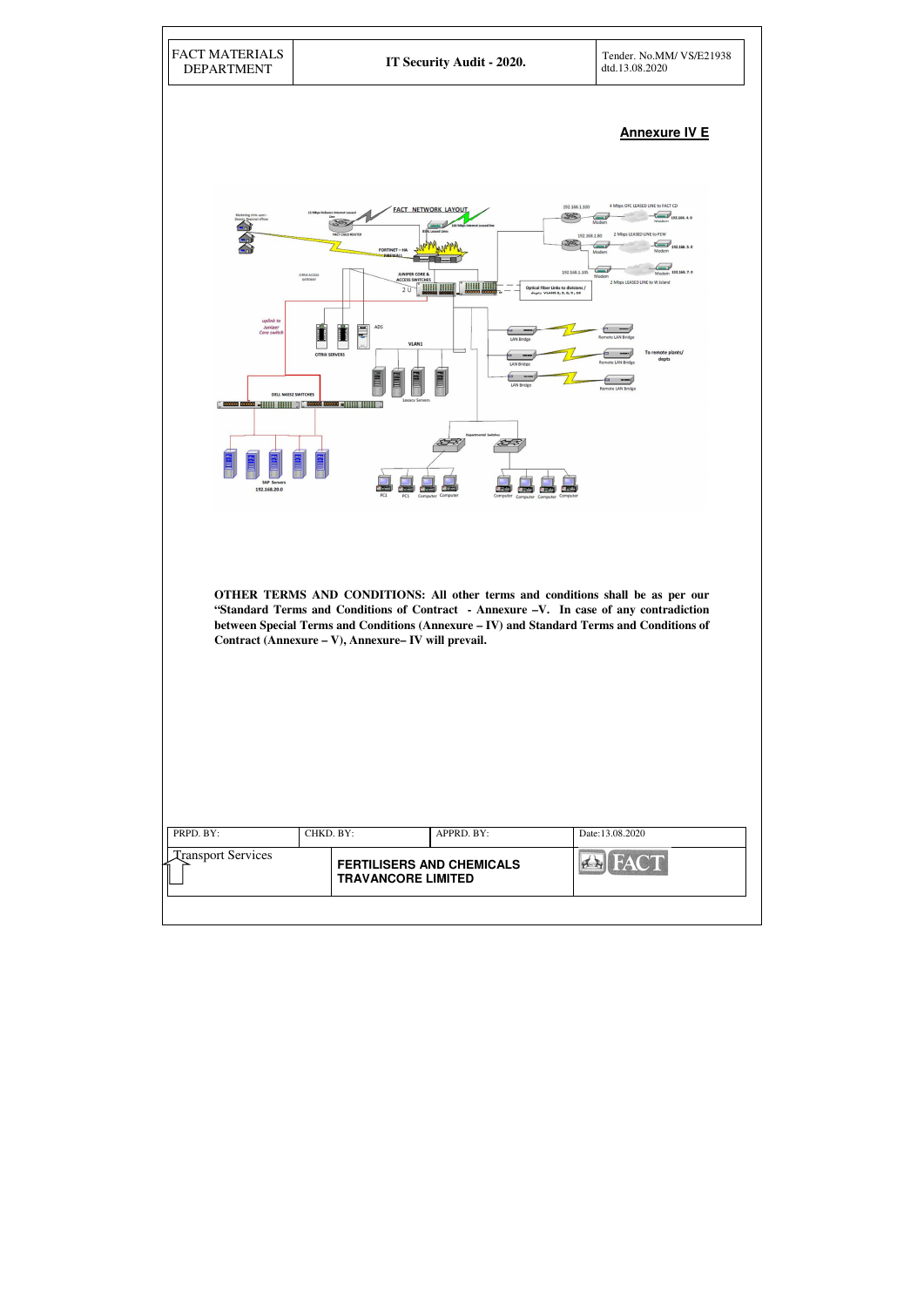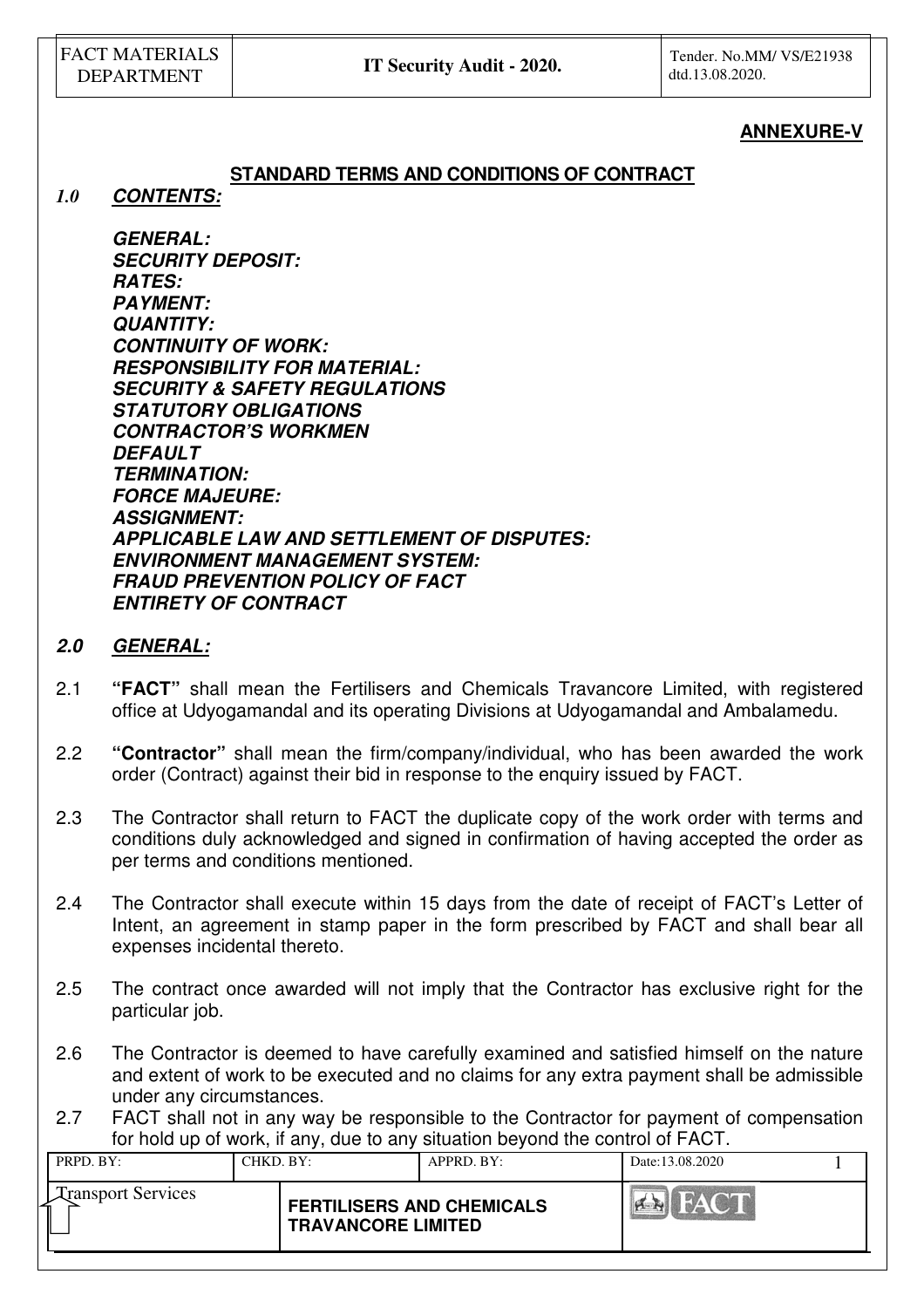# **ANNEXURE-V**

# **STANDARD TERMS AND CONDITIONS OF CONTRACT**

*1.0* **CONTENTS:** 

**GENERAL: SECURITY DEPOSIT: RATES: PAYMENT: QUANTITY: CONTINUITY OF WORK: RESPONSIBILITY FOR MATERIAL: SECURITY & SAFETY REGULATIONS STATUTORY OBLIGATIONS CONTRACTOR'S WORKMEN DEFAULT TERMINATION: FORCE MAJEURE: ASSIGNMENT: APPLICABLE LAW AND SETTLEMENT OF DISPUTES: ENVIRONMENT MANAGEMENT SYSTEM: FRAUD PREVENTION POLICY OF FACT ENTIRETY OF CONTRACT**

### **2.0 GENERAL:**

- 2.1 **"FACT"** shall mean the Fertilisers and Chemicals Travancore Limited, with registered office at Udyogamandal and its operating Divisions at Udyogamandal and Ambalamedu.
- 2.2 **"Contractor"** shall mean the firm/company/individual, who has been awarded the work order (Contract) against their bid in response to the enquiry issued by FACT.
- 2.3 The Contractor shall return to FACT the duplicate copy of the work order with terms and conditions duly acknowledged and signed in confirmation of having accepted the order as per terms and conditions mentioned.
- 2.4 The Contractor shall execute within 15 days from the date of receipt of FACT's Letter of Intent, an agreement in stamp paper in the form prescribed by FACT and shall bear all expenses incidental thereto.
- 2.5 The contract once awarded will not imply that the Contractor has exclusive right for the particular job.
- 2.6 The Contractor is deemed to have carefully examined and satisfied himself on the nature and extent of work to be executed and no claims for any extra payment shall be admissible under any circumstances.
- 2.7 FACT shall not in any way be responsible to the Contractor for payment of compensation for hold up of work, if any, due to any situation beyond the control of FACT.

| PRPD. BY:                 | CHKD, BY: |                                                               | APPRD. BY: | Date:13.08.2020 |  |
|---------------------------|-----------|---------------------------------------------------------------|------------|-----------------|--|
| <b>Transport Services</b> |           | <b>FERTILISERS AND CHEMICALS</b><br><b>TRAVANCORE LIMITED</b> |            |                 |  |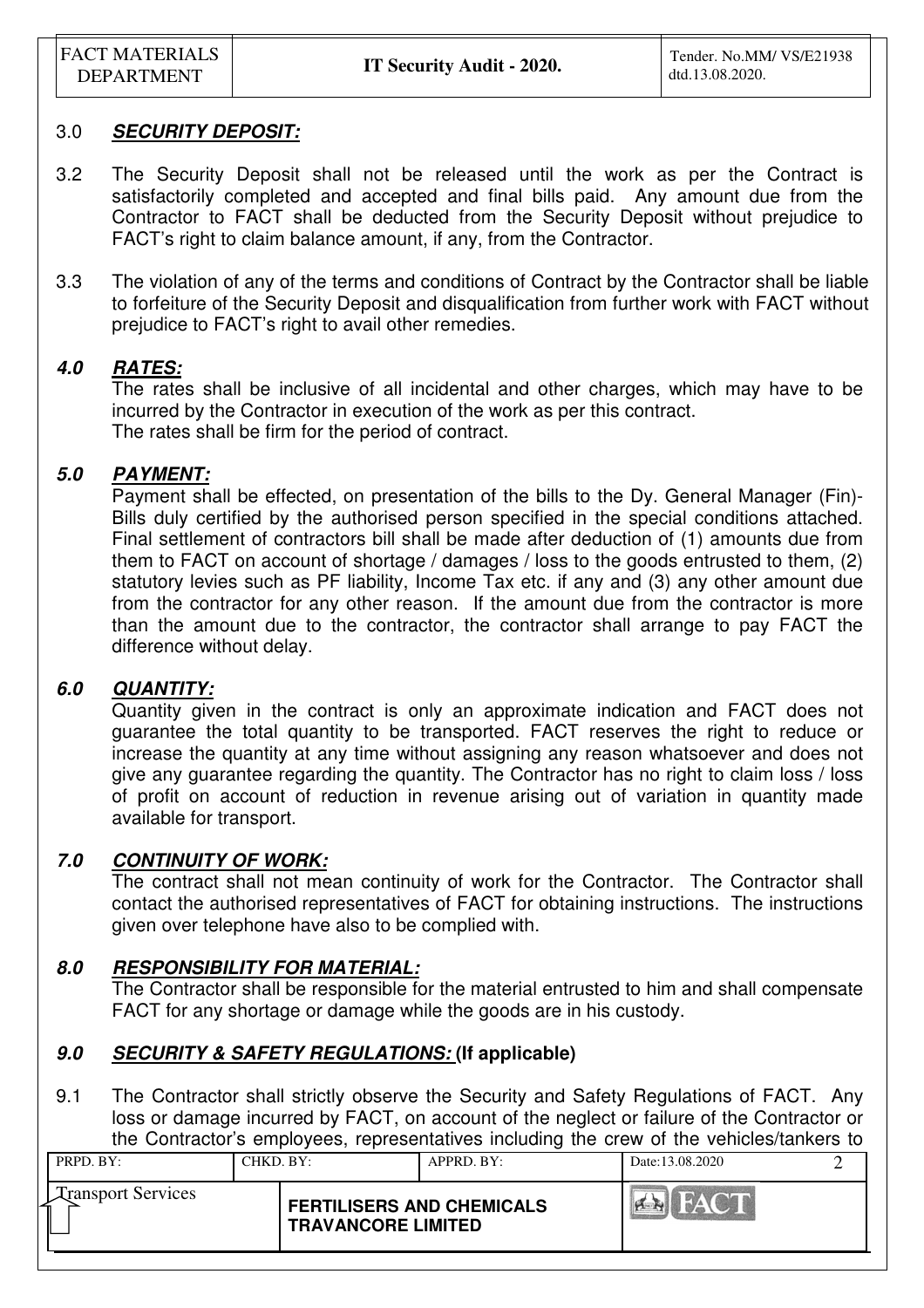FACT MATERIALS

## 3.0 **SECURITY DEPOSIT:**

- 3.2 The Security Deposit shall not be released until the work as per the Contract is satisfactorily completed and accepted and final bills paid. Any amount due from the Contractor to FACT shall be deducted from the Security Deposit without prejudice to FACT's right to claim balance amount, if any, from the Contractor.
- 3.3 The violation of any of the terms and conditions of Contract by the Contractor shall be liable to forfeiture of the Security Deposit and disqualification from further work with FACT without prejudice to FACT's right to avail other remedies.

# **4.0 RATES:**

The rates shall be inclusive of all incidental and other charges, which may have to be incurred by the Contractor in execution of the work as per this contract. The rates shall be firm for the period of contract.

# **5.0 PAYMENT:**

Payment shall be effected, on presentation of the bills to the Dy. General Manager (Fin)- Bills duly certified by the authorised person specified in the special conditions attached. Final settlement of contractors bill shall be made after deduction of (1) amounts due from them to FACT on account of shortage / damages / loss to the goods entrusted to them, (2) statutory levies such as PF liability, Income Tax etc. if any and (3) any other amount due from the contractor for any other reason. If the amount due from the contractor is more than the amount due to the contractor, the contractor shall arrange to pay FACT the difference without delay.

## **6.0 QUANTITY:**

Quantity given in the contract is only an approximate indication and FACT does not guarantee the total quantity to be transported. FACT reserves the right to reduce or increase the quantity at any time without assigning any reason whatsoever and does not give any guarantee regarding the quantity. The Contractor has no right to claim loss / loss of profit on account of reduction in revenue arising out of variation in quantity made available for transport.

## **7.0 CONTINUITY OF WORK:**

 The contract shall not mean continuity of work for the Contractor. The Contractor shall contact the authorised representatives of FACT for obtaining instructions. The instructions given over telephone have also to be complied with.

## **8.0 RESPONSIBILITY FOR MATERIAL:**

 The Contractor shall be responsible for the material entrusted to him and shall compensate FACT for any shortage or damage while the goods are in his custody.

# **9.0 SECURITY & SAFETY REGULATIONS: (If applicable)**

9.1 The Contractor shall strictly observe the Security and Safety Regulations of FACT. Any loss or damage incurred by FACT, on account of the neglect or failure of the Contractor or the Contractor's employees, representatives including the crew of the vehicles/tankers to

| PRPD. BY:                 | CHKD, BY:                                                     | APPRD. BY: | Date: 13.08.2020 |  |
|---------------------------|---------------------------------------------------------------|------------|------------------|--|
| <b>Transport Services</b> | <b>FERTILISERS AND CHEMICALS</b><br><b>TRAVANCORE LIMITED</b> |            | $\mathbf{A}$     |  |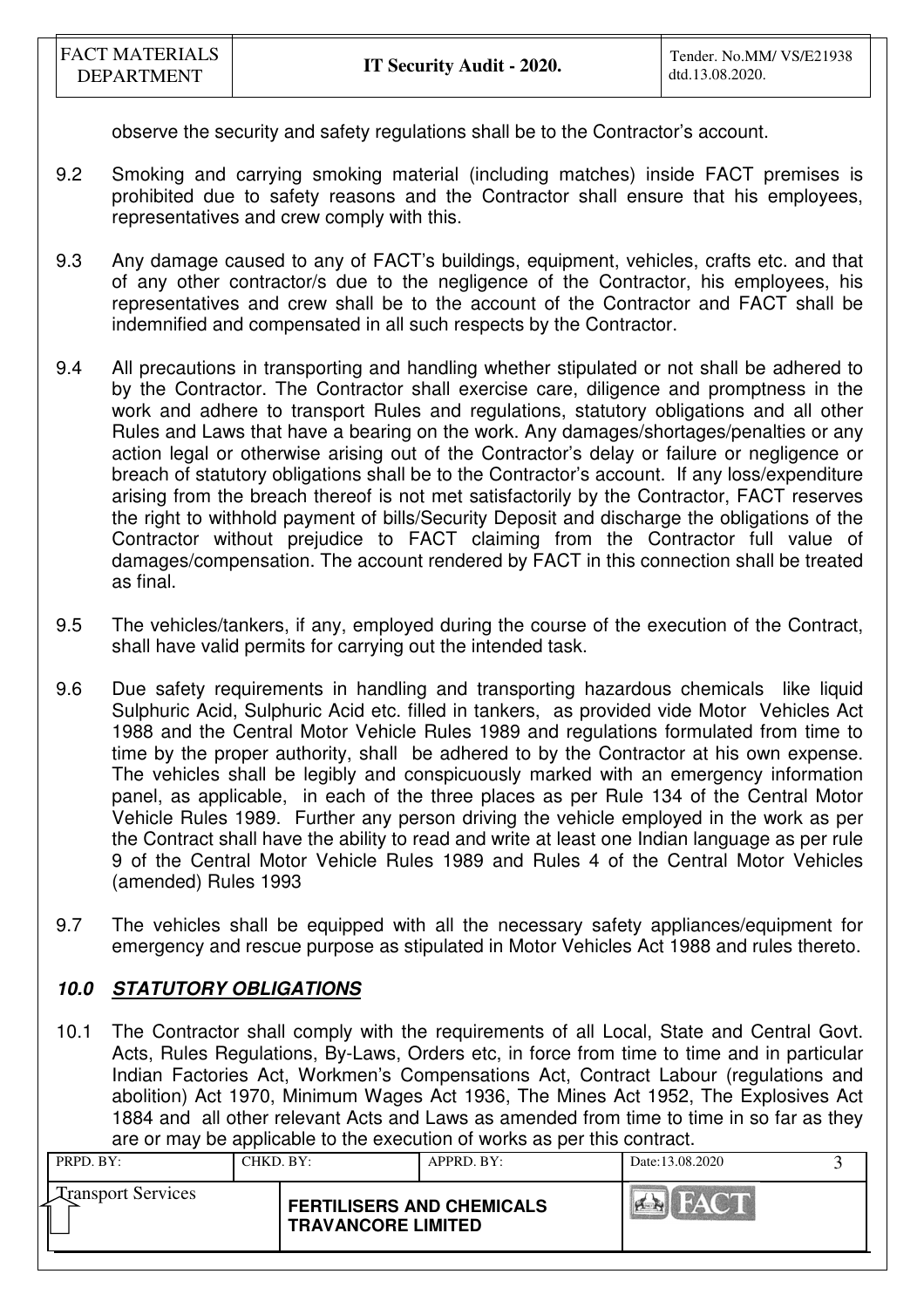observe the security and safety regulations shall be to the Contractor's account.

- 9.2 Smoking and carrying smoking material (including matches) inside FACT premises is prohibited due to safety reasons and the Contractor shall ensure that his employees, representatives and crew comply with this.
- 9.3 Any damage caused to any of FACT's buildings, equipment, vehicles, crafts etc. and that of any other contractor/s due to the negligence of the Contractor, his employees, his representatives and crew shall be to the account of the Contractor and FACT shall be indemnified and compensated in all such respects by the Contractor.
- 9.4 All precautions in transporting and handling whether stipulated or not shall be adhered to by the Contractor. The Contractor shall exercise care, diligence and promptness in the work and adhere to transport Rules and regulations, statutory obligations and all other Rules and Laws that have a bearing on the work. Any damages/shortages/penalties or any action legal or otherwise arising out of the Contractor's delay or failure or negligence or breach of statutory obligations shall be to the Contractor's account. If any loss/expenditure arising from the breach thereof is not met satisfactorily by the Contractor, FACT reserves the right to withhold payment of bills/Security Deposit and discharge the obligations of the Contractor without prejudice to FACT claiming from the Contractor full value of damages/compensation. The account rendered by FACT in this connection shall be treated as final.
- 9.5 The vehicles/tankers, if any, employed during the course of the execution of the Contract, shall have valid permits for carrying out the intended task.
- 9.6 Due safety requirements in handling and transporting hazardous chemicals like liquid Sulphuric Acid, Sulphuric Acid etc. filled in tankers, as provided vide Motor Vehicles Act 1988 and the Central Motor Vehicle Rules 1989 and regulations formulated from time to time by the proper authority, shall be adhered to by the Contractor at his own expense. The vehicles shall be legibly and conspicuously marked with an emergency information panel, as applicable, in each of the three places as per Rule 134 of the Central Motor Vehicle Rules 1989. Further any person driving the vehicle employed in the work as per the Contract shall have the ability to read and write at least one Indian language as per rule 9 of the Central Motor Vehicle Rules 1989 and Rules 4 of the Central Motor Vehicles (amended) Rules 1993
- 9.7 The vehicles shall be equipped with all the necessary safety appliances/equipment for emergency and rescue purpose as stipulated in Motor Vehicles Act 1988 and rules thereto.

# **10.0 STATUTORY OBLIGATIONS**

10.1 The Contractor shall comply with the requirements of all Local, State and Central Govt. Acts, Rules Regulations, By-Laws, Orders etc, in force from time to time and in particular Indian Factories Act, Workmen's Compensations Act, Contract Labour (regulations and abolition) Act 1970, Minimum Wages Act 1936, The Mines Act 1952, The Explosives Act 1884 and all other relevant Acts and Laws as amended from time to time in so far as they are or may be applicable to the execution of works as per this contract.

| PRPD. BY:                 | CHKD. BY: |                                                               | $APPRD$ . $BY$ : | Date:13.08.2020 |  |
|---------------------------|-----------|---------------------------------------------------------------|------------------|-----------------|--|
| <b>Transport Services</b> |           | <b>FERTILISERS AND CHEMICALS</b><br><b>TRAVANCORE LIMITED</b> |                  |                 |  |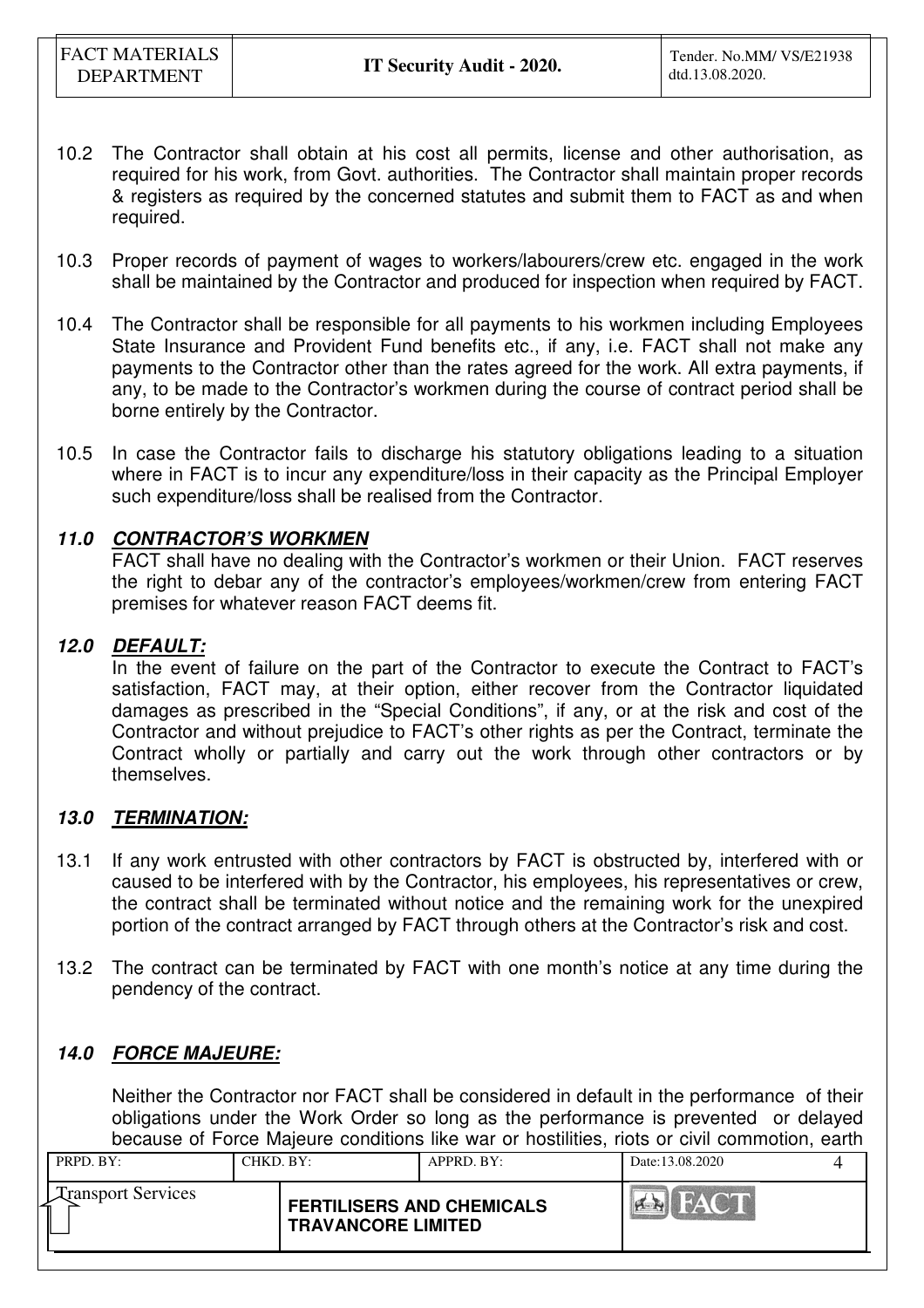- 10.2 The Contractor shall obtain at his cost all permits, license and other authorisation, as required for his work, from Govt. authorities. The Contractor shall maintain proper records & registers as required by the concerned statutes and submit them to FACT as and when required.
- 10.3 Proper records of payment of wages to workers/labourers/crew etc. engaged in the work shall be maintained by the Contractor and produced for inspection when required by FACT.
- 10.4 The Contractor shall be responsible for all payments to his workmen including Employees State Insurance and Provident Fund benefits etc., if any, i.e. FACT shall not make any payments to the Contractor other than the rates agreed for the work. All extra payments, if any, to be made to the Contractor's workmen during the course of contract period shall be borne entirely by the Contractor.
- 10.5 In case the Contractor fails to discharge his statutory obligations leading to a situation where in FACT is to incur any expenditure/loss in their capacity as the Principal Employer such expenditure/loss shall be realised from the Contractor.

# **11.0 CONTRACTOR'S WORKMEN**

 FACT shall have no dealing with the Contractor's workmen or their Union. FACT reserves the right to debar any of the contractor's employees/workmen/crew from entering FACT premises for whatever reason FACT deems fit.

# **12.0 DEFAULT:**

In the event of failure on the part of the Contractor to execute the Contract to FACT's satisfaction, FACT may, at their option, either recover from the Contractor liquidated damages as prescribed in the "Special Conditions", if any, or at the risk and cost of the Contractor and without prejudice to FACT's other rights as per the Contract, terminate the Contract wholly or partially and carry out the work through other contractors or by themselves.

## **13.0 TERMINATION:**

- 13.1 If any work entrusted with other contractors by FACT is obstructed by, interfered with or caused to be interfered with by the Contractor, his employees, his representatives or crew, the contract shall be terminated without notice and the remaining work for the unexpired portion of the contract arranged by FACT through others at the Contractor's risk and cost.
- 13.2 The contract can be terminated by FACT with one month's notice at any time during the pendency of the contract.

# **14.0 FORCE MAJEURE:**

 Neither the Contractor nor FACT shall be considered in default in the performance of their obligations under the Work Order so long as the performance is prevented or delayed because of Force Majeure conditions like war or hostilities, riots or civil commotion, earth

| PRPD. BY:                 | CHKD, BY: |                                                               | APPRD. BY: | Date: 13.08.2020 |  |
|---------------------------|-----------|---------------------------------------------------------------|------------|------------------|--|
| <b>Transport Services</b> |           | <b>FERTILISERS AND CHEMICALS</b><br><b>TRAVANCORE LIMITED</b> |            | <b>DAY</b>       |  |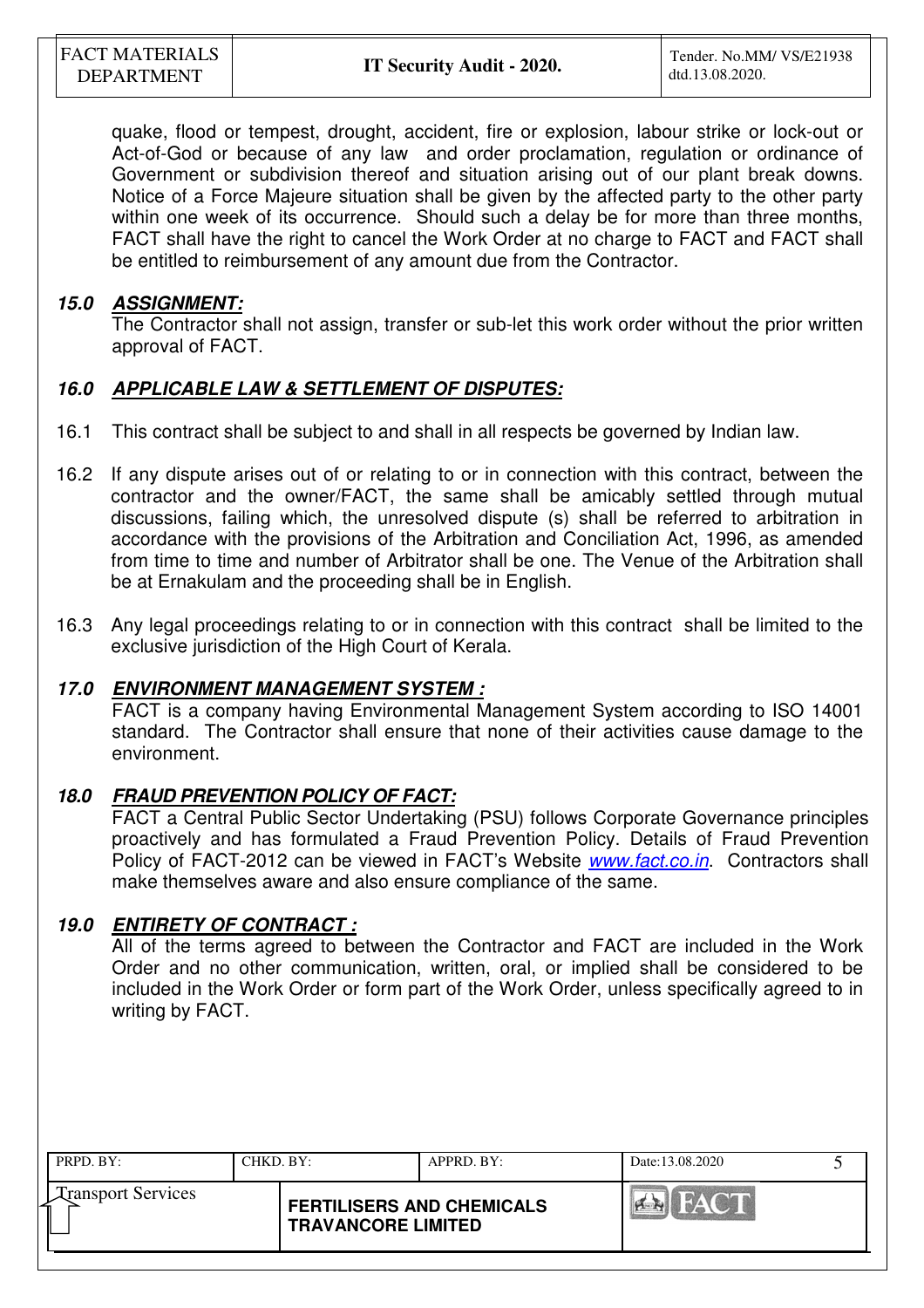quake, flood or tempest, drought, accident, fire or explosion, labour strike or lock-out or Act-of-God or because of any law and order proclamation, regulation or ordinance of Government or subdivision thereof and situation arising out of our plant break downs. Notice of a Force Majeure situation shall be given by the affected party to the other party within one week of its occurrence. Should such a delay be for more than three months, FACT shall have the right to cancel the Work Order at no charge to FACT and FACT shall be entitled to reimbursement of any amount due from the Contractor.

# **15.0 ASSIGNMENT:**

 The Contractor shall not assign, transfer or sub-let this work order without the prior written approval of FACT.

# **16.0 APPLICABLE LAW & SETTLEMENT OF DISPUTES:**

- 16.1 This contract shall be subject to and shall in all respects be governed by Indian law.
- 16.2 If any dispute arises out of or relating to or in connection with this contract, between the contractor and the owner/FACT, the same shall be amicably settled through mutual discussions, failing which, the unresolved dispute (s) shall be referred to arbitration in accordance with the provisions of the Arbitration and Conciliation Act, 1996, as amended from time to time and number of Arbitrator shall be one. The Venue of the Arbitration shall be at Ernakulam and the proceeding shall be in English.
- 16.3 Any legal proceedings relating to or in connection with this contract shall be limited to the exclusive jurisdiction of the High Court of Kerala.

# **17.0 ENVIRONMENT MANAGEMENT SYSTEM :**

FACT is a company having Environmental Management System according to ISO 14001 standard. The Contractor shall ensure that none of their activities cause damage to the environment.

# **18.0 FRAUD PREVENTION POLICY OF FACT:**

FACT a Central Public Sector Undertaking (PSU) follows Corporate Governance principles proactively and has formulated a Fraud Prevention Policy. Details of Fraud Prevention Policy of FACT-2012 can be viewed in FACT's Website *www.fact.co.in*. Contractors shall make themselves aware and also ensure compliance of the same.

## **19.0 ENTIRETY OF CONTRACT :**

All of the terms agreed to between the Contractor and FACT are included in the Work Order and no other communication, written, oral, or implied shall be considered to be included in the Work Order or form part of the Work Order, unless specifically agreed to in writing by FACT.

| PRPD. BY:                 | CHKD, BY:                 | APPRD. BY:                       | Date:13.08.2020 |  |
|---------------------------|---------------------------|----------------------------------|-----------------|--|
| <b>Transport Services</b> | <b>TRAVANCORE LIMITED</b> | <b>FERTILISERS AND CHEMICALS</b> | $\sum_{i=1}^n$  |  |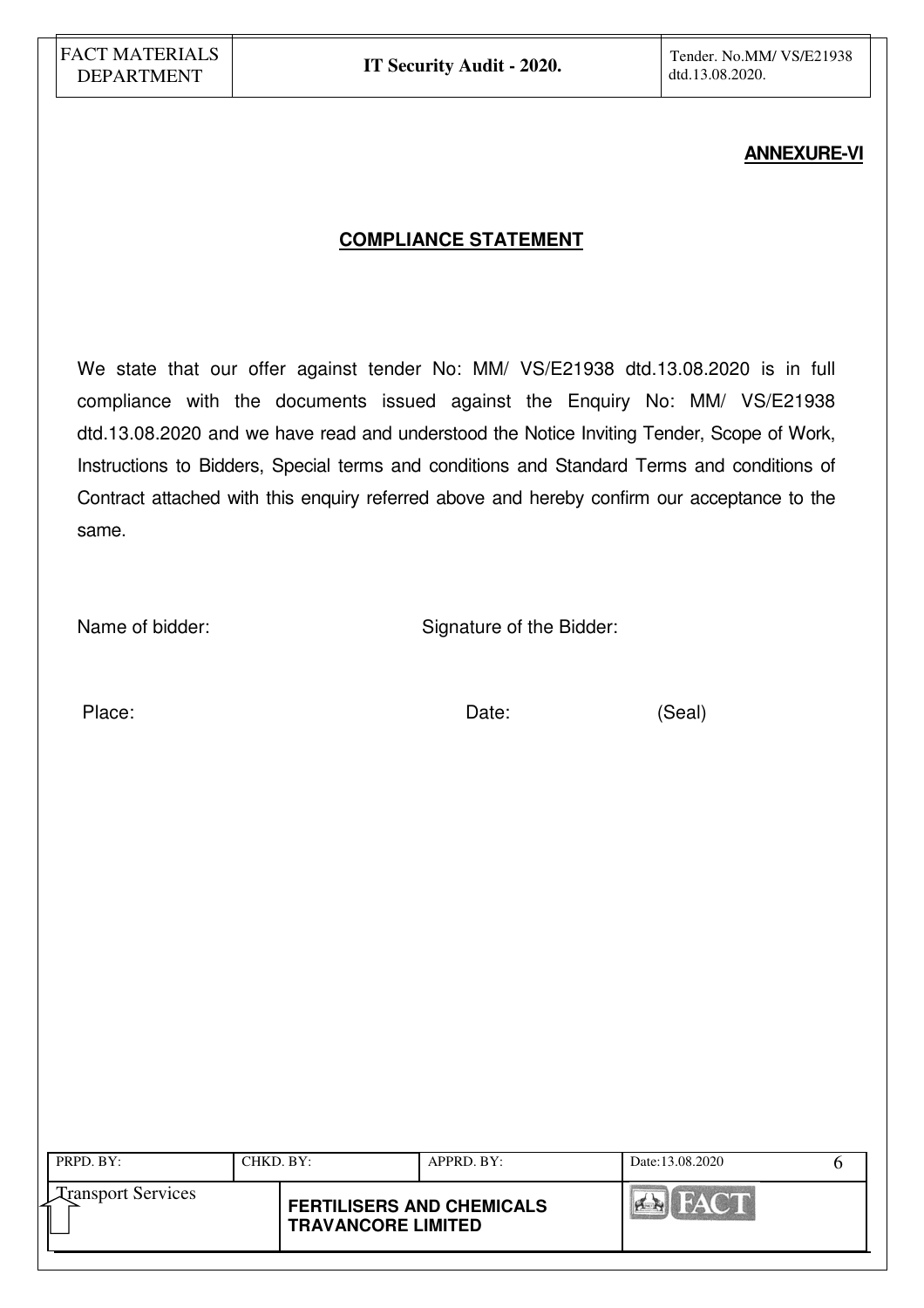### **ANNEXURE-VI**

# **COMPLIANCE STATEMENT**

We state that our offer against tender No: MM/ VS/E21938 dtd.13.08.2020 is in full compliance with the documents issued against the Enquiry No: MM/ VS/E21938 dtd.13.08.2020 and we have read and understood the Notice Inviting Tender, Scope of Work, Instructions to Bidders, Special terms and conditions and Standard Terms and conditions of Contract attached with this enquiry referred above and hereby confirm our acceptance to the same.

Name of bidder: Signature of the Bidder:

Place: (Seal)

| PRPD. BY:                 | CHKD. BY:                                                     | APPRD. BY: | Date:13.08.2020 |  |
|---------------------------|---------------------------------------------------------------|------------|-----------------|--|
| <b>Transport Services</b> | <b>FERTILISERS AND CHEMICALS</b><br><b>TRAVANCORE LIMITED</b> |            |                 |  |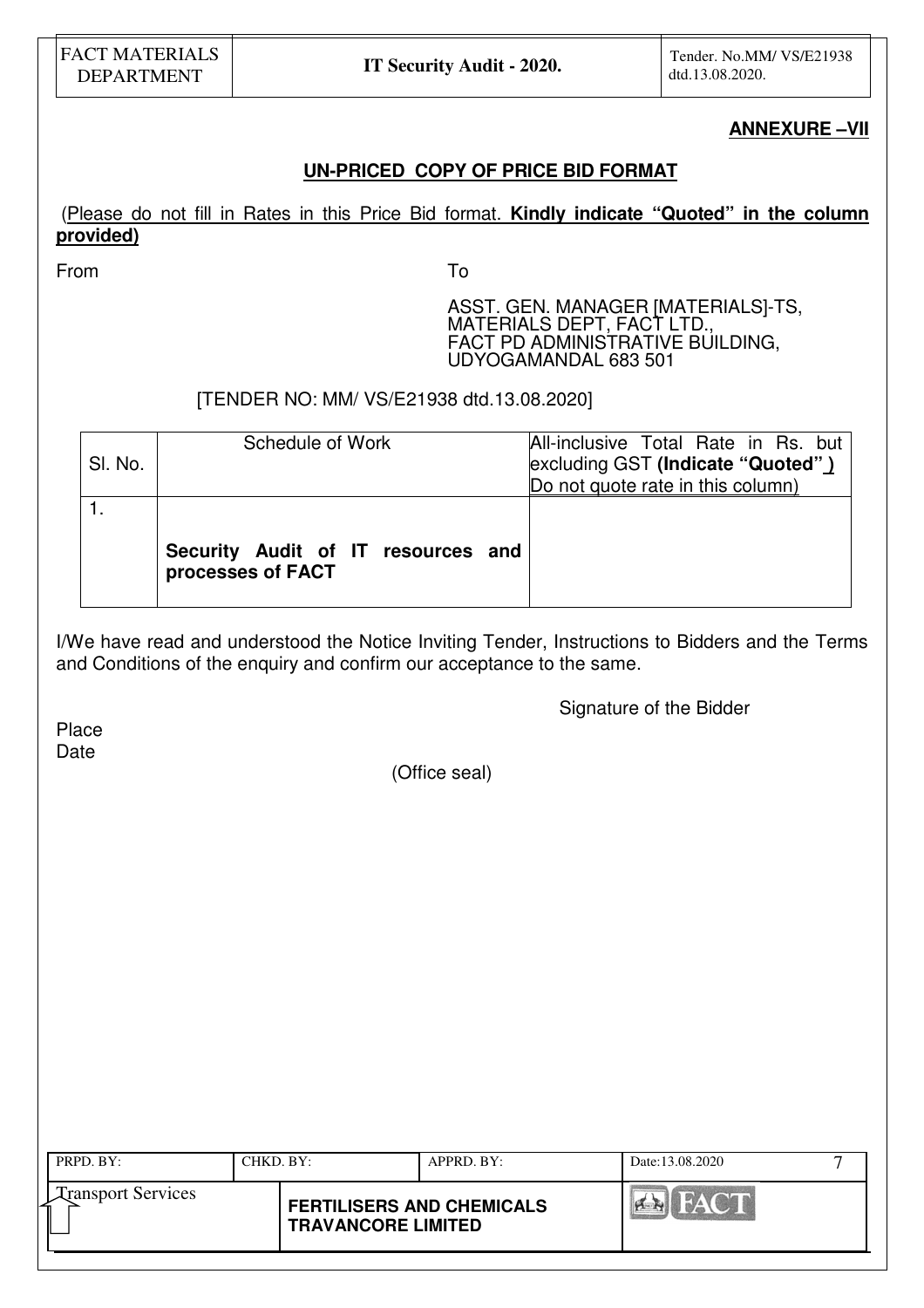#### **ANNEXURE –VII**

# **UN-PRICED COPY OF PRICE BID FORMAT**

# (Please do not fill in Rates in this Price Bid format. **Kindly indicate "Quoted" in the column provided)**

From To

ASST. GEN. MANAGER [MATERIALS]-TS, MATERIALS DEPT, FACT LTD., FACT PD ADMINISTRATIVE BUILDING, UDYOGAMANDAL 683 501

[TENDER NO: MM/ VS/E21938 dtd.13.08.2020]

| SI. No. | Schedule of Work                                        | All-inclusive Total Rate in Rs. but<br>excluding GST (Indicate "Quoted")<br>Do not quote rate in this column) |
|---------|---------------------------------------------------------|---------------------------------------------------------------------------------------------------------------|
|         | Security Audit of IT resources and<br>processes of FACT |                                                                                                               |

I/We have read and understood the Notice Inviting Tender, Instructions to Bidders and the Terms and Conditions of the enquiry and confirm our acceptance to the same.

Signature of the Bidder

Place Date

(Office seal)

| PRPD. BY:                 | CHKD, BY:                 | $APPRD$ . BY:                    | Date:13.08.2020 |  |
|---------------------------|---------------------------|----------------------------------|-----------------|--|
| <b>Transport Services</b> | <b>TRAVANCORE LIMITED</b> | <b>FERTILISERS AND CHEMICALS</b> |                 |  |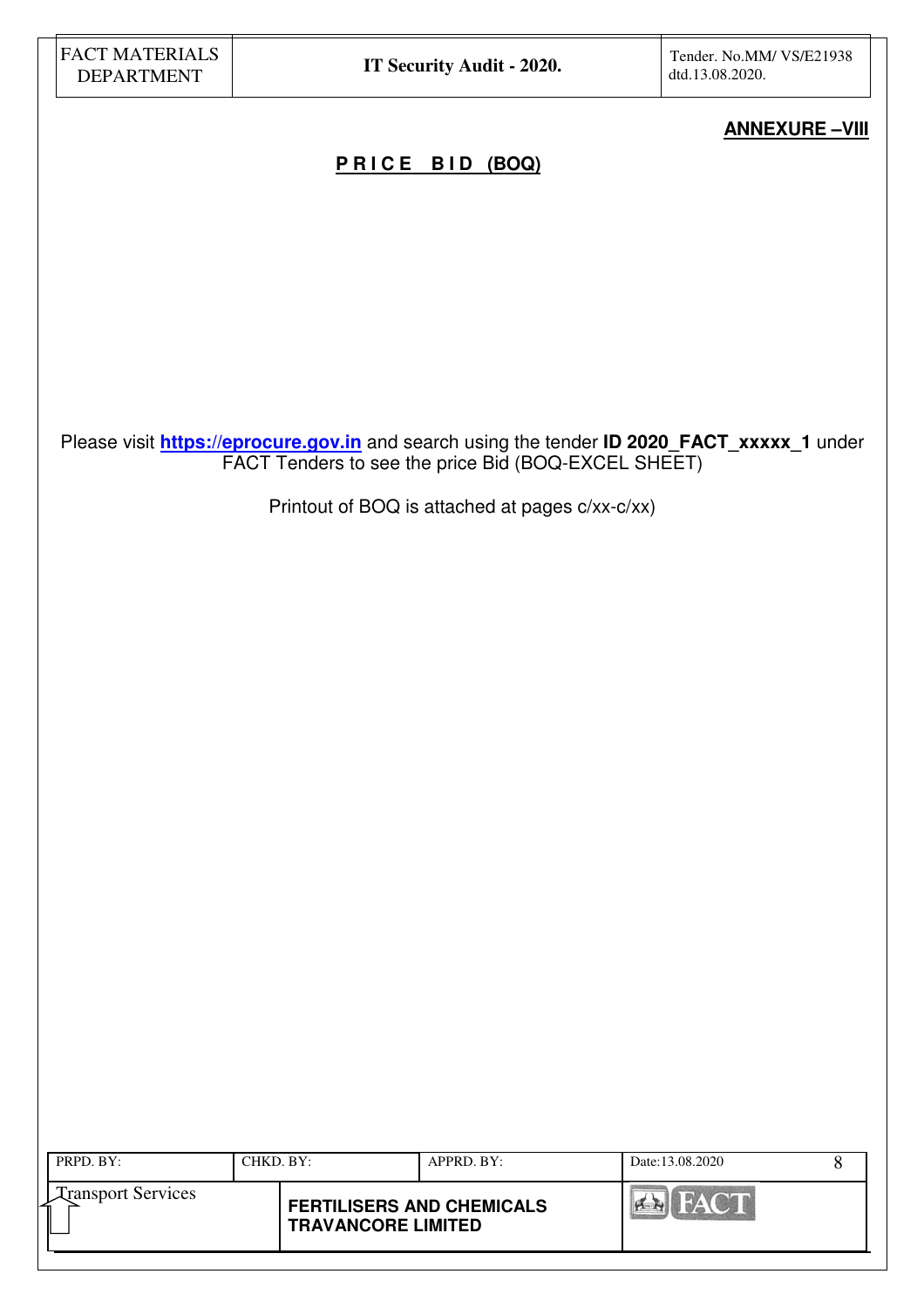# **ANNEXURE –VIII**

# **P R I C E B I D (BOQ)**

Please visit **https://eprocure.gov.in** and search using the tender **ID 2020\_FACT\_xxxxx\_1** under FACT Tenders to see the price Bid (BOQ-EXCEL SHEET)

Printout of BOQ is attached at pages c/xx-c/xx)

| PRPD. BY:                 | CHKD. BY:                 | APPRD. BY:                       | Date:13.08.2020 |  |
|---------------------------|---------------------------|----------------------------------|-----------------|--|
| <b>Transport Services</b> | <b>TRAVANCORE LIMITED</b> | <b>FERTILISERS AND CHEMICALS</b> | HAY CHE         |  |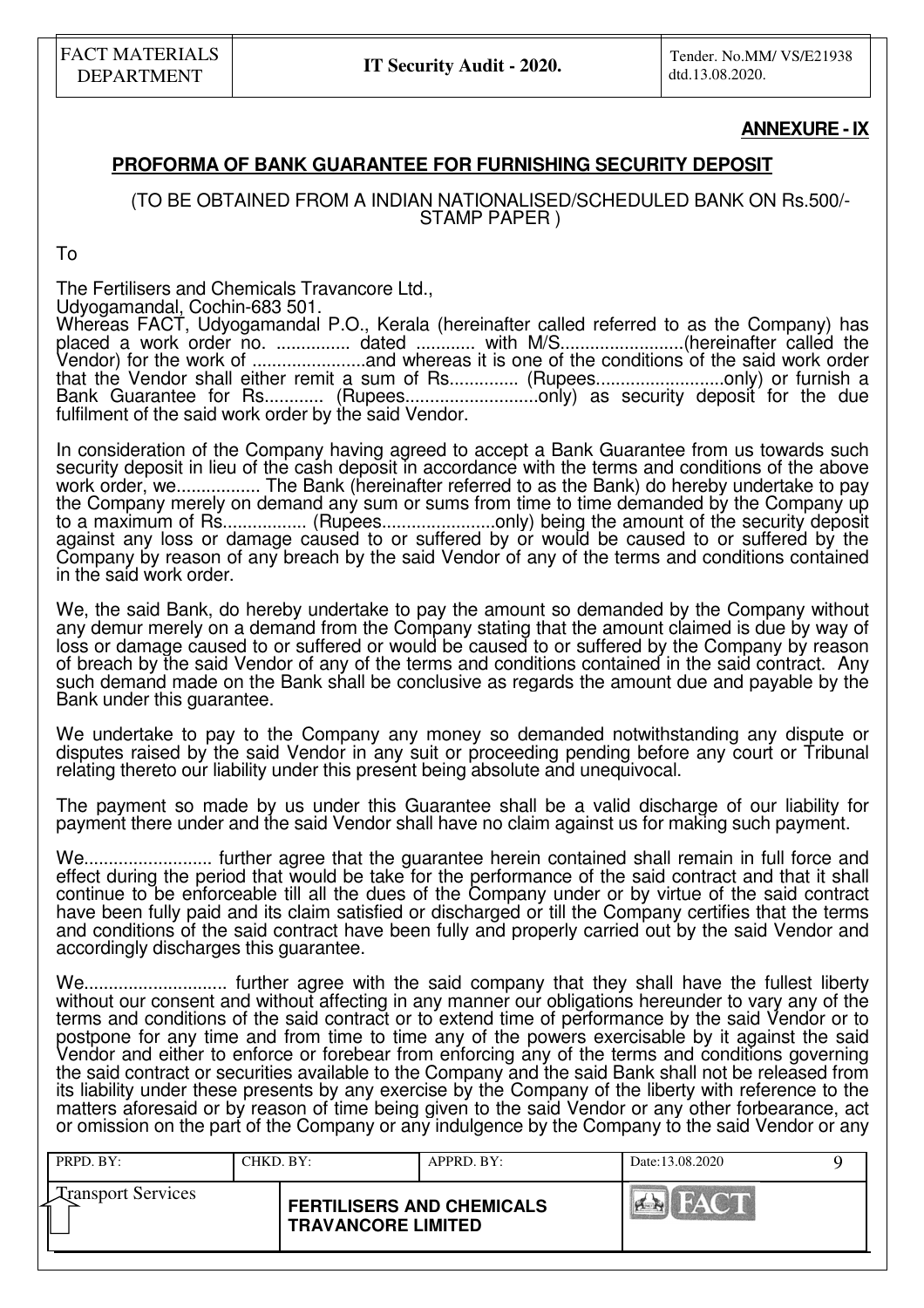#### **ANNEXURE - IX**

### **PROFORMA OF BANK GUARANTEE FOR FURNISHING SECURITY DEPOSIT**

(TO BE OBTAINED FROM A INDIAN NATIONALISED/SCHEDULED BANK ON Rs.500/- STAMP PAPER )

To

The Fertilisers and Chemicals Travancore Ltd.,

Udyogamandal, Cochin-683 501.

Whereas FACT, Udyogamandal P.O., Kerala (hereinafter called referred to as the Company) has placed a work order no. ............... dated ............ with M/S.........................(hereinafter called the Vendor) for the work of .......................and whereas it is one of the conditions of the said work order that the Vendor shall either remit a sum of Rs............... (Rupees.............................only) or furnish a Bank Guarantee for Rs............. (Rupees.................................only) as security deposit for the due fulfilment of the said work order by the said Vendor.

In consideration of the Company having agreed to accept a Bank Guarantee from us towards such security deposit in lieu of the cash deposit in accordance with the terms and conditions of the above work order, we................. The Bank (hereinafter referred to as the Bank) do hereby undertake to pay the Company merely on demand any sum or sums from time to time demanded by the Company up to a maximum of Rs................... (Rupees............................only) being the amount of the security deposit against any loss or damage caused to or suffered by or would be caused to or suffered by the Company by reason of any breach by the said Vendor of any of the terms and conditions contained in the said work order.

We, the said Bank, do hereby undertake to pay the amount so demanded by the Company without any demur merely on a demand from the Company stating that the amount claimed is due by way of loss or damage caused to or suffered or would be caused to or suffered by the Company by reason of breach by the said Vendor of any of the terms and conditions contained in the said contract. Any such demand made on the Bank shall be conclusive as regards the amount due and payable by the Bank under this guarantee.

We undertake to pay to the Company any money so demanded notwithstanding any dispute or disputes raised by the said Vendor in any suit or proceeding pending before any court or Tribunal relating thereto our liability under this present being absolute and unequivocal.

The payment so made by us under this Guarantee shall be a valid discharge of our liability for payment there under and the said Vendor shall have no claim against us for making such payment.

We.......................... further agree that the guarantee herein contained shall remain in full force and effect during the period that would be take for the performance of the said contract and that it shall continue to be enforceable till all the dues of the Company under or by virtue of the said contract have been fully paid and its claim satisfied or discharged or till the Company certifies that the terms and conditions of the said contract have been fully and properly carried out by the said Vendor and accordingly discharges this guarantee.

We............................. further agree with the said company that they shall have the fullest liberty without our consent and without affecting in any manner our obligations hereunder to vary any of the terms and conditions of the said contract or to extend time of performance by the said Vendor or to postpone for any time and from time to time any of the powers exercisable by it against the said Vendor and either to enforce or forebear from enforcing any of the terms and conditions governing the said contract or securities available to the Company and the said Bank shall not be released from its liability under these presents by any exercise by the Company of the liberty with reference to the matters aforesaid or by reason of time being given to the said Vendor or any other forbearance, act or omission on the part of the Company or any indulgence by the Company to the said Vendor or any

| PRPD. BY:                 | CHKD. BY:                 | APPRD. BY:                       | Date:13.08.2020              |  |
|---------------------------|---------------------------|----------------------------------|------------------------------|--|
| <b>Transport Services</b> | <b>TRAVANCORE LIMITED</b> | <b>FERTILISERS AND CHEMICALS</b> | <b>EVAN COM</b><br>$ A - A $ |  |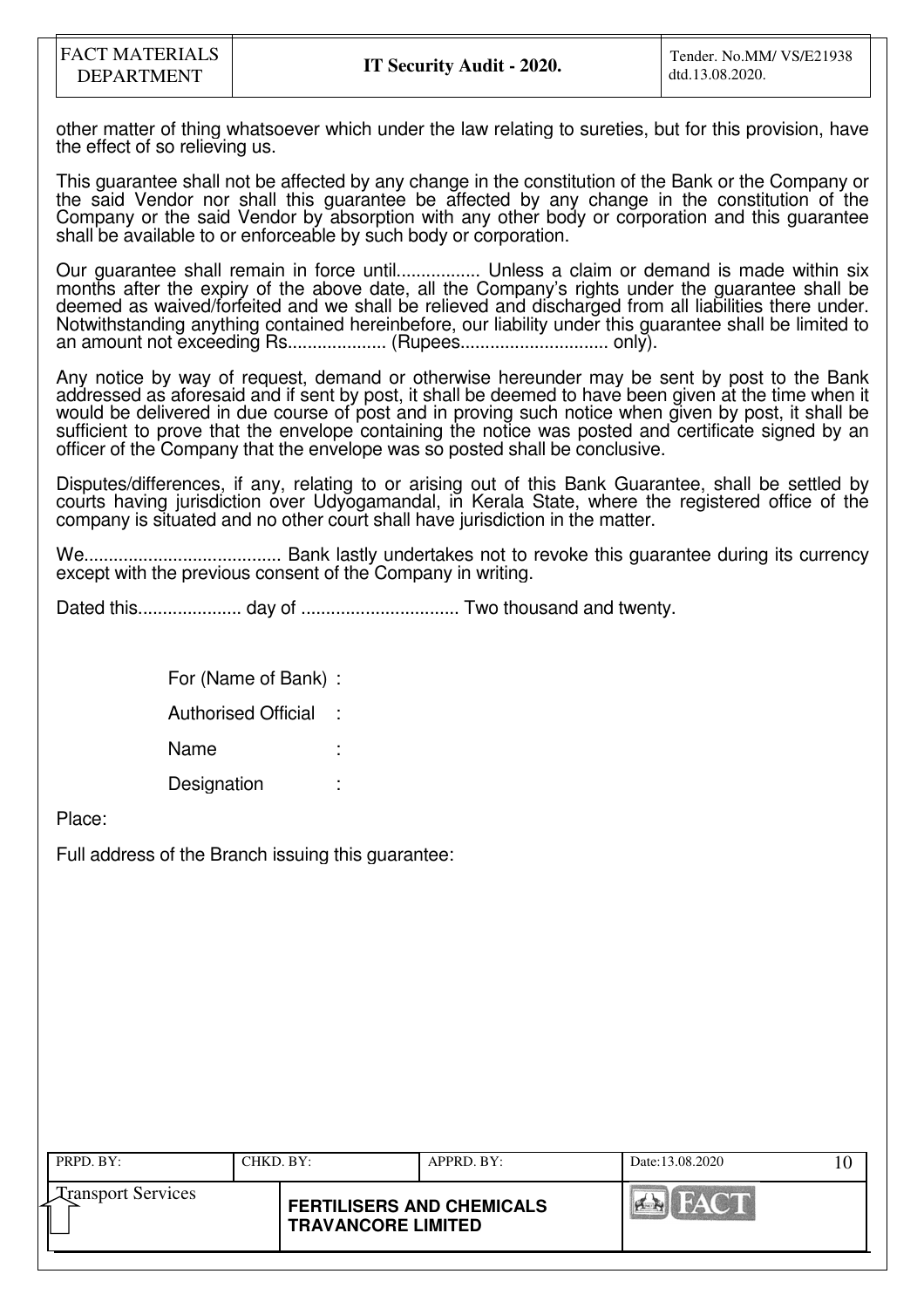other matter of thing whatsoever which under the law relating to sureties, but for this provision, have the effect of so relieving us.

This guarantee shall not be affected by any change in the constitution of the Bank or the Company or the said Vendor nor shall this guarantee be affected by any change in the constitution of the Company or the said Vendor by absorption with any other body or corporation and this guarantee shall be available to or enforceable by such body or corporation.

Our guarantee shall remain in force until................. Unless a claim or demand is made within six months after the expiry of the above date, all the Company's rights under the guarantee shall be deemed as waived/forfeited and we shall be relieved and discharged from all liabilities there under. Notwithstanding anything contained hereinbefore, our liability under this guarantee shall be limited to an amount not exceeding Rs.................... (Rupees.............................. only).

Any notice by way of request, demand or otherwise hereunder may be sent by post to the Bank addressed as aforesaid and if sent by post, it shall be deemed to have been given at the time when it would be delivered in due course of post and in proving such notice when given by post, it shall be sufficient to prove that the envelope containing the notice was posted and certificate signed by an officer of the Company that the envelope was so posted shall be conclusive.

Disputes/differences, if any, relating to or arising out of this Bank Guarantee, shall be settled by courts having jurisdiction over Udyogamandal, in Kerala State, where the registered office of the company is situated and no other court shall have jurisdiction in the matter.

We........................................ Bank lastly undertakes not to revoke this guarantee during its currency except with the previous consent of the Company in writing.

Dated this..................... day of ................................ Two thousand and twenty.

 For (Name of Bank) : Authorised Official : Name **Designation** 

Place:

Full address of the Branch issuing this guarantee:

| PRPD. BY:                 | CHKD. BY:                 | APPRD. BY:                       | Date:13.08.2020 |  |
|---------------------------|---------------------------|----------------------------------|-----------------|--|
| <b>Transport Services</b> | <b>TRAVANCORE LIMITED</b> | <b>FERTILISERS AND CHEMICALS</b> | HAY OF<br>H     |  |